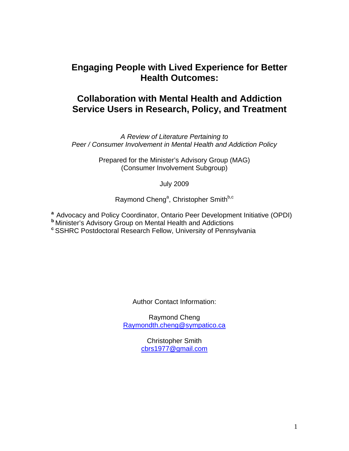# **Engaging People with Lived Experience for Better Health Outcomes:**

# **Collaboration with Mental Health and Addiction Service Users in Research, Policy, and Treatment**

*A Review of Literature Pertaining to Peer / Consumer Involvement in Mental Health and Addiction Policy* 

> Prepared for the Minister's Advisory Group (MAG) (Consumer Involvement Subgroup)

> > July 2009

Raymond Cheng<sup>a</sup>, Christopher Smith<sup>b,c</sup>

<sup>a</sup> Advocacy and Policy Coordinator, Ontario Peer Development Initiative (OPDI)

**<sup>b</sup>**Minister's Advisory Group on Mental Health and Addictions **<sup>c</sup>**SSHRC Postdoctoral Research Fellow, University of Pennsylvania

Author Contact Information:

Raymond Cheng [Raymondth.cheng@sympatico.ca](mailto:Raymondth.cheng@sympatico.ca)

> Christopher Smith [cbrs1977@gmail.com](mailto:cbrs1977@gmail.com)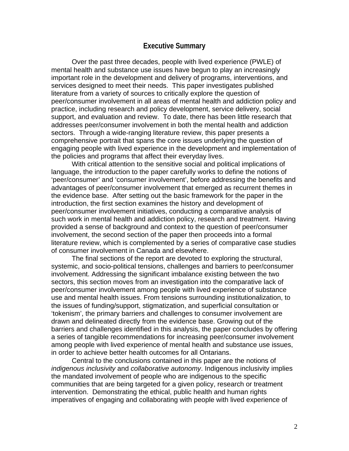#### **Executive Summary**

 Over the past three decades, people with lived experience (PWLE) of mental health and substance use issues have begun to play an increasingly important role in the development and delivery of programs, interventions, and services designed to meet their needs. This paper investigates published literature from a variety of sources to critically explore the question of peer/consumer involvement in all areas of mental health and addiction policy and practice, including research and policy development, service delivery, social support, and evaluation and review. To date, there has been little research that addresses peer/consumer involvement in both the mental health and addiction sectors. Through a wide-ranging literature review, this paper presents a comprehensive portrait that spans the core issues underlying the question of engaging people with lived experience in the development and implementation of the policies and programs that affect their everyday lives.

 With critical attention to the sensitive social and political implications of language, the introduction to the paper carefully works to define the notions of 'peer/consumer' and 'consumer involvement', before addressing the benefits and advantages of peer/consumer involvement that emerged as recurrent themes in the evidence base. After setting out the basic framework for the paper in the introduction, the first section examines the history and development of peer/consumer involvement initiatives, conducting a comparative analysis of such work in mental health and addiction policy, research and treatment. Having provided a sense of background and context to the question of peer/consumer involvement, the second section of the paper then proceeds into a formal literature review, which is complemented by a series of comparative case studies of consumer involvement in Canada and elsewhere.

The final sections of the report are devoted to exploring the structural, systemic, and socio-political tensions, challenges and barriers to peer/consumer involvement. Addressing the significant imbalance existing between the two sectors, this section moves from an investigation into the comparative lack of peer/consumer involvement among people with lived experience of substance use and mental health issues. From tensions surrounding institutionalization, to the issues of funding/support, stigmatization, and superficial consultation or 'tokenism', the primary barriers and challenges to consumer involvement are drawn and delineated directly from the evidence base. Growing out of the barriers and challenges identified in this analysis, the paper concludes by offering a series of tangible recommendations for increasing peer/consumer involvement among people with lived experience of mental health and substance use issues, in order to achieve better health outcomes for all Ontarians.

Central to the conclusions contained in this paper are the notions of *indigenous inclusivity* and *collaborative autonomy*. Indigenous inclusivity implies the mandated involvement of people who are indigenous to the specific communities that are being targeted for a given policy, research or treatment intervention. Demonstrating the ethical, public health and human rights imperatives of engaging and collaborating with people with lived experience of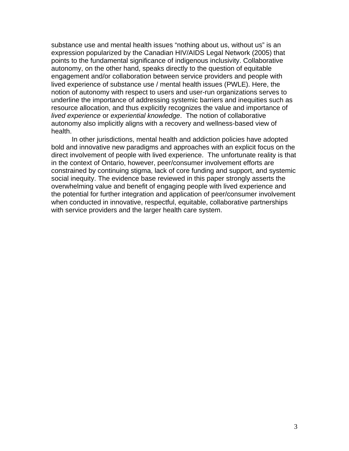substance use and mental health issues "nothing about us, without us" is an expression popularized by the Canadian HIV/AIDS Legal Network (2005) that points to the fundamental significance of indigenous inclusivity. Collaborative autonomy, on the other hand, speaks directly to the question of equitable engagement and/or collaboration between service providers and people with lived experience of substance use / mental health issues (PWLE). Here, the notion of autonomy with respect to users and user-run organizations serves to underline the importance of addressing systemic barriers and inequities such as resource allocation, and thus explicitly recognizes the value and importance of *lived experience* or *experiential knowledge*. The notion of collaborative autonomy also implicitly aligns with a recovery and wellness-based view of health.

 In other jurisdictions, mental health and addiction policies have adopted bold and innovative new paradigms and approaches with an explicit focus on the direct involvement of people with lived experience. The unfortunate reality is that in the context of Ontario, however, peer/consumer involvement efforts are constrained by continuing stigma, lack of core funding and support, and systemic social inequity. The evidence base reviewed in this paper strongly asserts the overwhelming value and benefit of engaging people with lived experience and the potential for further integration and application of peer/consumer involvement when conducted in innovative, respectful, equitable, collaborative partnerships with service providers and the larger health care system.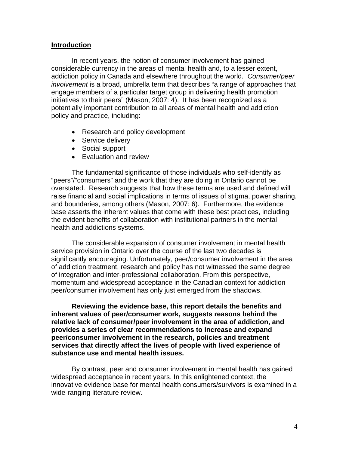#### **Introduction**

In recent years, the notion of consumer involvement has gained considerable currency in the areas of mental health and, to a lesser extent, addiction policy in Canada and elsewhere throughout the world. *Consumer/peer involvement* is a broad, umbrella term that describes "a range of approaches that engage members of a particular target group in delivering health promotion initiatives to their peers" (Mason, 2007: 4). It has been recognized as a potentially important contribution to all areas of mental health and addiction policy and practice, including:

- Research and policy development
- Service delivery
- Social support
- Evaluation and review

The fundamental significance of those individuals who self-identify as "peers"/"consumers" and the work that they are doing in Ontario cannot be overstated. Research suggests that how these terms are used and defined will raise financial and social implications in terms of issues of stigma, power sharing, and boundaries, among others (Mason, 2007: 6). Furthermore, the evidence base asserts the inherent values that come with these best practices, including the evident benefits of collaboration with institutional partners in the mental health and addictions systems.

The considerable expansion of consumer involvement in mental health service provision in Ontario over the course of the last two decades is significantly encouraging. Unfortunately, peer/consumer involvement in the area of addiction treatment, research and policy has not witnessed the same degree of integration and inter-professional collaboration. From this perspective, momentum and widespread acceptance in the Canadian context for addiction peer/consumer involvement has only just emerged from the shadows.

**Reviewing the evidence base, this report details the benefits and inherent values of peer/consumer work, suggests reasons behind the relative lack of consumer/peer involvement in the area of addiction, and provides a series of clear recommendations to increase and expand peer/consumer involvement in the research, policies and treatment services that directly affect the lives of people with lived experience of substance use and mental health issues.**

By contrast, peer and consumer involvement in mental health has gained widespread acceptance in recent years. In this enlightened context, the innovative evidence base for mental health consumers/survivors is examined in a wide-ranging literature review.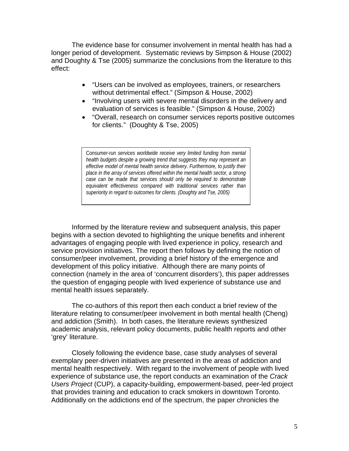The evidence base for consumer involvement in mental health has had a longer period of development. Systematic reviews by Simpson & House (2002) and Doughty & Tse (2005) summarize the conclusions from the literature to this effect:

- "Users can be involved as employees, trainers, or researchers without detrimental effect." (Simpson & House, 2002)
- "Involving users with severe mental disorders in the delivery and evaluation of services is feasible." (Simpson & House, 2002)
- "Overall, research on consumer services reports positive outcomes for clients." (Doughty & Tse, 2005)

C*onsumer-run services worldwide receive very limited funding from mental health budgets despite a growing trend that suggests they may represent an effective model of mental health service delivery. Furthermore, to justify their place in the array of services offered within the mental health sector, a strong case can be made that services should only be required to demonstrate equivalent effectiveness compared with traditional services rather than superiority in regard to outcomes for clients. (Doughty and Tse, 2005)* 

Informed by the literature review and subsequent analysis, this paper begins with a section devoted to highlighting the unique benefits and inherent advantages of engaging people with lived experience in policy, research and service provision initiatives. The report then follows by defining the notion of consumer/peer involvement, providing a brief history of the emergence and development of this policy initiative. Although there are many points of connection (namely in the area of 'concurrent disorders'), this paper addresses the question of engaging people with lived experience of substance use and mental health issues separately.

The co-authors of this report then each conduct a brief review of the literature relating to consumer/peer involvement in both mental health (Cheng) and addiction (Smith). In both cases, the literature reviews synthesized academic analysis, relevant policy documents, public health reports and other 'grey' literature.

Closely following the evidence base, case study analyses of several exemplary peer-driven initiatives are presented in the areas of addiction and mental health respectively. With regard to the involvement of people with lived experience of substance use, the report conducts an examination of the *Crack Users Project* (CUP), a capacity-building, empowerment-based, peer-led project that provides training and education to crack smokers in downtown Toronto. Additionally on the addictions end of the spectrum, the paper chronicles the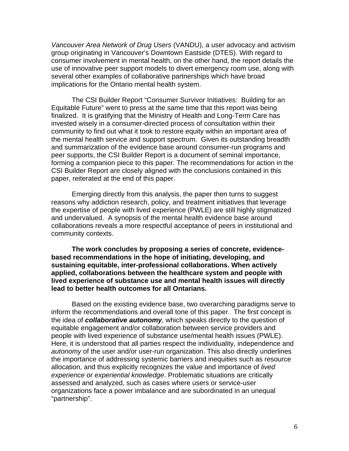*Vancouver Area Network of Drug Users* (VANDU), a user advocacy and activism group originating in Vancouver's Downtown Eastside (DTES). With regard to consumer involvement in mental health, on the other hand, the report details the use of innovative peer support models to divert emergency room use, along with several other examples of collaborative partnerships which have broad implications for the Ontario mental health system.

The CSI Builder Report "Consumer Survivor Initiatives: Building for an Equitable Future" went to press at the same time that this report was being finalized. It is gratifying that the Ministry of Health and Long-Term Care has invested wisely in a consumer-directed process of consultation within their community to find out what it took to restore equity within an important area of the mental health service and support spectrum. Given its outstanding breadth and summarization of the evidence base around consumer-run programs and peer supports, the CSI Builder Report is a document of seminal importance, forming a companion piece to this paper. The recommendations for action in the CSI Builder Report are closely aligned with the conclusions contained in this paper, reiterated at the end of this paper.

Emerging directly from this analysis, the paper then turns to suggest reasons why addiction research, policy, and treatment initiatives that leverage the expertise of people with lived experience (PWLE) are still highly stigmatized and undervalued. A synopsis of the mental health evidence base around collaborations reveals a more respectful acceptance of peers in institutional and community contexts.

**The work concludes by proposing a series of concrete, evidencebased recommendations in the hope of initiating, developing, and sustaining equitable, inter-professional collaborations. When actively applied, collaborations between the healthcare system and people with lived experience of substance use and mental health issues will directly lead to better health outcomes for all Ontarians.** 

Based on the existing evidence base, two overarching paradigms serve to inform the recommendations and overall tone of this paper. The first concept is the idea of *collaborative autonomy*, which speaks directly to the question of equitable engagement and/or collaboration between service providers and people with lived experience of substance use/mental health issues (PWLE). Here, it is understood that all parties respect the individuality, independence and *autonomy* of the user and/or user-run organization. This also directly underlines the importance of addressing systemic barriers and inequities such as resource allocation, and thus explicitly recognizes the value and importance of *lived experience* or *experiential knowledge*. Problematic situations are critically assessed and analyzed, such as cases where users or service-user organizations face a power imbalance and are subordinated in an unequal "partnership".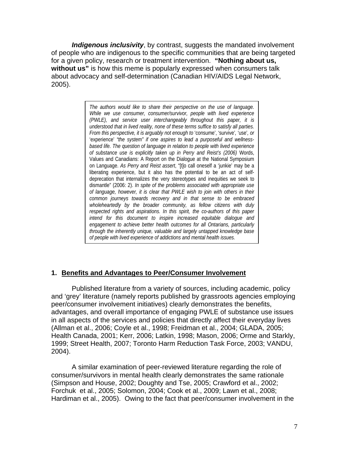*Indigenous inclusivity*, by contrast, suggests the mandated involvement of people who are indigenous to the specific communities that are being targeted for a given policy, research or treatment intervention. **"Nothing about us, without us"** is how this meme is popularly expressed when consumers talk about advocacy and self-determination (Canadian HIV/AIDS Legal Network, 2005).

> *The authors would like to share their perspective on the use of language. While we use consumer, consumer/survivor, people with lived experience (PWLE), and service user interchangeably throughout this paper, it is understood that in lived reality, none of these terms suffice to satisfy all parties. From this perspective, it is arguably not enough to* 'consume', 'survive'*,* 'use'*, or*  'experience' *"the system" if one aspires to lead a purposeful and wellnessbased life. The question of language in relation to people with lived experience of substance use is explicitly taken up in Perry and Reist's (2006)* Words, Values and Canadians: A Report on the Dialogue at the National Symposium on Language. *As Perry and Reist assert*, "[t]o call oneself a 'junkie' may be a liberating experience, but it also has the potential to be an act of selfdeprecation that internalizes the very stereotypes and inequities we seek to dismantle" (2006: 2). *In spite of the problems associated with appropriate use of language, however, it is clear that PWLE wish to join with others in their common journeys towards recovery and in that sense to be embraced wholeheartedly by the broader community, as fellow citizens with duly respected rights and aspirations. In this spirit, the co-authors of this paper intend for this document to inspire increased equitable dialogue and engagement to achieve better health outcomes for all Ontarians, particularly through the inherently unique, valuable and largely untapped knowledge base of people with lived experience of addictions and mental health issues.*

### **1. Benefits and Advantages to Peer/Consumer Involvement**

Published literature from a variety of sources, including academic, policy and 'grey' literature (namely reports published by grassroots agencies employing peer/consumer involvement initiatives) clearly demonstrates the benefits, advantages, and overall importance of engaging PWLE of substance use issues in all aspects of the services and policies that directly affect their everyday lives (Allman et al., 2006; Coyle et al., 1998; Freidman et al., 2004; GLADA, 2005; Health Canada, 2001; Kerr, 2006; Latkin, 1998; Mason, 2006; Orme and Starkly, 1999; Street Health, 2007; Toronto Harm Reduction Task Force, 2003; VANDU, 2004).

A similar examination of peer-reviewed literature regarding the role of consumer/survivors in mental health clearly demonstrates the same rationale (Simpson and House, 2002; Doughty and Tse, 2005; Crawford et al., 2002; Forchuk et al., 2005; Solomon, 2004; Cook et al., 2009; Lawn et al., 2008; Hardiman et al., 2005). Owing to the fact that peer/consumer involvement in the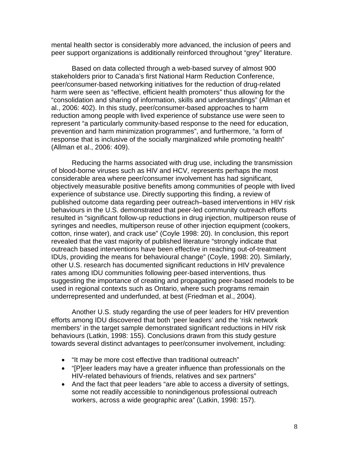mental health sector is considerably more advanced, the inclusion of peers and peer support organizations is additionally reinforced throughout "grey" literature.

Based on data collected through a web-based survey of almost 900 stakeholders prior to Canada's first National Harm Reduction Conference, peer/consumer-based networking initiatives for the reduction of drug-related harm were seen as "effective, efficient health promoters" thus allowing for the "consolidation and sharing of information, skills and understandings" (Allman et al., 2006: 402). In this study, peer/consumer-based approaches to harm reduction among people with lived experience of substance use were seen to represent "a particularly community-based response to the need for education, prevention and harm minimization programmes", and furthermore, "a form of response that is inclusive of the socially marginalized while promoting health" (Allman et al., 2006: 409).

Reducing the harms associated with drug use, including the transmission of blood-borne viruses such as HIV and HCV, represents perhaps the most considerable area where peer/consumer involvement has had significant, objectively measurable positive benefits among communities of people with lived experience of substance use. Directly supporting this finding, a review of published outcome data regarding peer outreach–based interventions in HIV risk behaviours in the U.S. demonstrated that peer-led community outreach efforts resulted in "significant follow-up reductions in drug injection, multiperson reuse of syringes and needles, multiperson reuse of other injection equipment (cookers, cotton, rinse water), and crack use" (Coyle 1998: 20). In conclusion, this report revealed that the vast majority of published literature "strongly indicate that outreach based interventions have been effective in reaching out-of-treatment IDUs, providing the means for behavioural change" (Coyle, 1998: 20). Similarly, other U.S. research has documented significant reductions in HIV prevalence rates among IDU communities following peer-based interventions, thus suggesting the importance of creating and propagating peer-based models to be used in regional contexts such as Ontario, where such programs remain underrepresented and underfunded, at best (Friedman et al., 2004).

Another U.S. study regarding the use of peer leaders for HIV prevention efforts among IDU discovered that both 'peer leaders' and the 'risk network members' in the target sample demonstrated significant reductions in HIV risk behaviours (Latkin, 1998: 155). Conclusions drawn from this study gesture towards several distinct advantages to peer/consumer involvement, including:

- "It may be more cost effective than traditional outreach"
- "[P]eer leaders may have a greater influence than professionals on the HIV-related behaviours of friends, relatives and sex partners"
- And the fact that peer leaders "are able to access a diversity of settings, some not readily accessible to nonindigenous professional outreach workers, across a wide geographic area" (Latkin, 1998: 157).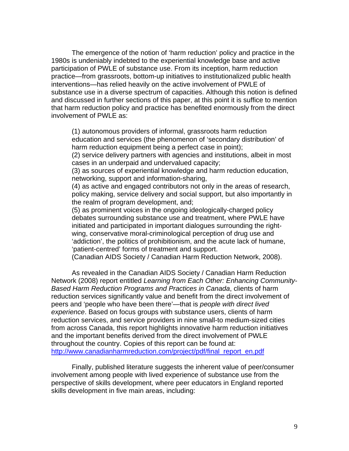The emergence of the notion of 'harm reduction' policy and practice in the 1980s is undeniably indebted to the experiential knowledge base and active participation of PWLE of substance use. From its inception, harm reduction practice—from grassroots, bottom-up initiatives to institutionalized public health interventions—has relied heavily on the active involvement of PWLE of substance use in a diverse spectrum of capacities. Although this notion is defined and discussed in further sections of this paper, at this point it is suffice to mention that harm reduction policy and practice has benefited enormously from the direct involvement of PWLE as:

(1) autonomous providers of informal, grassroots harm reduction education and services (the phenomenon of 'secondary distribution' of harm reduction equipment being a perfect case in point);

(2) service delivery partners with agencies and institutions, albeit in most cases in an underpaid and undervalued capacity;

(3) as sources of experiential knowledge and harm reduction education, networking, support and information-sharing,

(4) as active and engaged contributors not only in the areas of research, policy making, service delivery and social support, but also importantly in the realm of program development, and;

(5) as prominent voices in the ongoing ideologically-charged policy debates surrounding substance use and treatment, where PWLE have initiated and participated in important dialogues surrounding the rightwing, conservative moral-criminological perception of drug use and 'addiction', the politics of prohibitionism, and the acute lack of humane, 'patient-centred' forms of treatment and support.

(Canadian AIDS Society / Canadian Harm Reduction Network, 2008).

 As revealed in the Canadian AIDS Society / Canadian Harm Reduction Network (2008) report entitled *Learning from Each Other: Enhancing Community-Based Harm Reduction Programs and Practices in Canada*, clients of harm reduction services significantly value and benefit from the direct involvement of peers and 'people who have been there'—that is *people with direct lived experience*. Based on focus groups with substance users, clients of harm reduction services, and service providers in nine small-to medium-sized cities from across Canada, this report highlights innovative harm reduction initiatives and the important benefits derived from the direct involvement of PWLE throughout the country. Copies of this report can be found at: http://www.canadianharmreduction.com/project/pdf/final\_report\_en.pdf

Finally, published literature suggests the inherent value of peer/consumer involvement among people with lived experience of substance use from the perspective of skills development, where peer educators in England reported skills development in five main areas, including: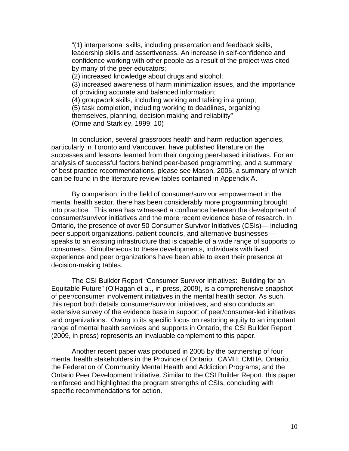"(1) interpersonal skills, including presentation and feedback skills, leadership skills and assertiveness. An increase in self-confidence and confidence working with other people as a result of the project was cited by many of the peer educators; (2) increased knowledge about drugs and alcohol; (3) increased awareness of harm minimization issues, and the importance of providing accurate and balanced information; (4) groupwork skills, including working and talking in a group; (5) task completion, including working to deadlines, organizing

themselves, planning, decision making and reliability"

(Orme and Starkley, 1999: 10)

In conclusion, several grassroots health and harm reduction agencies, particularly in Toronto and Vancouver, have published literature on the successes and lessons learned from their ongoing peer-based initiatives. For an analysis of successful factors behind peer-based programming, and a summary of best practice recommendations, please see Mason, 2006, a summary of which can be found in the literature review tables contained in Appendix A.

 By comparison, in the field of consumer/survivor empowerment in the mental health sector, there has been considerably more programming brought into practice. This area has witnessed a confluence between the development of consumer/survivor initiatives and the more recent evidence base of research. In Ontario, the presence of over 50 Consumer Survivor Initiatives (CSIs)— including peer support organizations, patient councils, and alternative businesses speaks to an existing infrastructure that is capable of a wide range of supports to consumers. Simultaneous to these developments, individuals with lived experience and peer organizations have been able to exert their presence at decision-making tables.

 The CSI Builder Report "Consumer Survivor Initiatives: Building for an Equitable Future" (O'Hagan et al., in press, 2009), is a comprehensive snapshot of peer/consumer involvement initiatives in the mental health sector. As such, this report both details consumer/survivor initiatives, and also conducts an extensive survey of the evidence base in support of peer/consumer-led initiatives and organizations. Owing to its specific focus on restoring equity to an important range of mental health services and supports in Ontario, the CSI Builder Report (2009, in press) represents an invaluable complement to this paper.

 Another recent paper was produced in 2005 by the partnership of four mental health stakeholders in the Province of Ontario: CAMH; CMHA, Ontario; the Federation of Community Mental Health and Addiction Programs; and the Ontario Peer Development Initiative. Similar to the CSI Builder Report, this paper reinforced and highlighted the program strengths of CSIs, concluding with specific recommendations for action.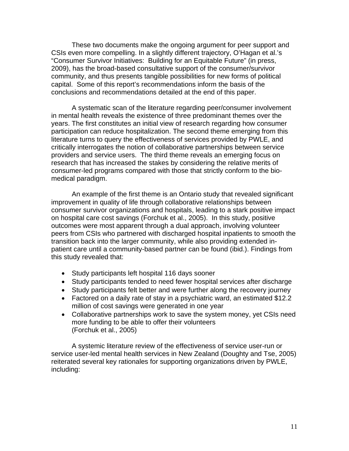These two documents make the ongoing argument for peer support and CSIs even more compelling. In a slightly different trajectory, O'Hagan et al.'s "Consumer Survivor Initiatives: Building for an Equitable Future" (in press, 2009), has the broad-based consultative support of the consumer/survivor community, and thus presents tangible possibilities for new forms of political capital. Some of this report's recommendations inform the basis of the conclusions and recommendations detailed at the end of this paper.

 A systematic scan of the literature regarding peer/consumer involvement in mental health reveals the existence of three predominant themes over the years. The first constitutes an initial view of research regarding how consumer participation can reduce hospitalization. The second theme emerging from this literature turns to query the effectiveness of services provided by PWLE, and critically interrogates the notion of collaborative partnerships between service providers and service users. The third theme reveals an emerging focus on research that has increased the stakes by considering the relative merits of consumer-led programs compared with those that strictly conform to the biomedical paradigm.

 An example of the first theme is an Ontario study that revealed significant improvement in quality of life through collaborative relationships between consumer survivor organizations and hospitals, leading to a stark positive impact on hospital care cost savings (Forchuk et al., 2005). In this study, positive outcomes were most apparent through a dual approach, involving volunteer peers from CSIs who partnered with discharged hospital inpatients to smooth the transition back into the larger community, while also providing extended inpatient care until a community-based partner can be found (ibid.). Findings from this study revealed that:

- Study participants left hospital 116 days sooner
- Study participants tended to need fewer hospital services after discharge
- Study participants felt better and were further along the recovery journey
- Factored on a daily rate of stay in a psychiatric ward, an estimated \$12.2 million of cost savings were generated in one year
- Collaborative partnerships work to save the system money, yet CSIs need more funding to be able to offer their volunteers (Forchuk et al., 2005)

 A systemic literature review of the effectiveness of service user-run or service user-led mental health services in New Zealand (Doughty and Tse, 2005) reiterated several key rationales for supporting organizations driven by PWLE, including: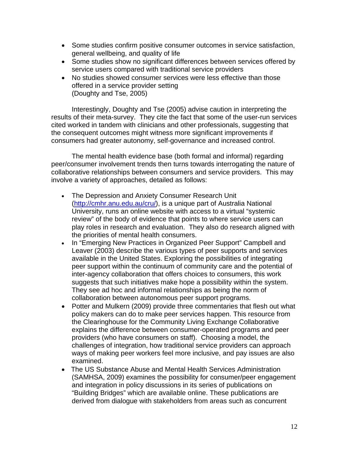- Some studies confirm positive consumer outcomes in service satisfaction, general wellbeing, and quality of life
- Some studies show no significant differences between services offered by service users compared with traditional service providers
- No studies showed consumer services were less effective than those offered in a service provider setting (Doughty and Tse, 2005)

Interestingly, Doughty and Tse (2005) advise caution in interpreting the results of their meta-survey. They cite the fact that some of the user-run services cited worked in tandem with clinicians and other professionals, suggesting that the consequent outcomes might witness more significant improvements if consumers had greater autonomy, self-governance and increased control.

The mental health evidence base (both formal and informal) regarding peer/consumer involvement trends then turns towards interrogating the nature of collaborative relationships between consumers and service providers. This may involve a variety of approaches, detailed as follows:

- The Depression and Anxiety Consumer Research Unit (<http://cmhr.anu.edu.au/cru/>), is a unique part of Australia National University, runs an online website with access to a virtual "systemic review" of the body of evidence that points to where service users can play roles in research and evaluation. They also do research aligned with the priorities of mental health consumers.
- In "Emerging New Practices in Organized Peer Support" Campbell and Leaver (2003) describe the various types of peer supports and services available in the United States. Exploring the possibilities of integrating peer support within the continuum of community care and the potential of inter-agency collaboration that offers choices to consumers, this work suggests that such initiatives make hope a possibility within the system. They see ad hoc and informal relationships as being the norm of collaboration between autonomous peer support programs.
- Potter and Mulkern (2009) provide three commentaries that flesh out what policy makers can do to make peer services happen. This resource from the Clearinghouse for the Community Living Exchange Collaborative explains the difference between consumer-operated programs and peer providers (who have consumers on staff). Choosing a model, the challenges of integration, how traditional service providers can approach ways of making peer workers feel more inclusive, and pay issues are also examined.
- The US Substance Abuse and Mental Health Services Administration (SAMHSA, 2009) examines the possibility for consumer/peer engagement and integration in policy discussions in its series of publications on "Building Bridges" which are available online. These publications are derived from dialogue with stakeholders from areas such as concurrent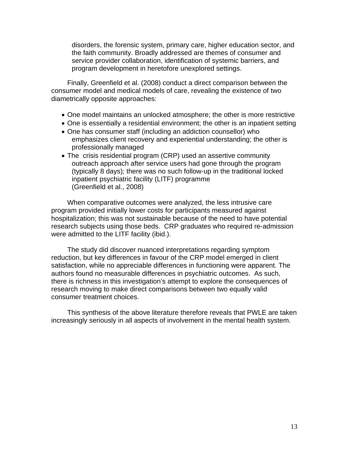disorders, the forensic system, primary care, higher education sector, and the faith community. Broadly addressed are themes of consumer and service provider collaboration, identification of systemic barriers, and program development in heretofore unexplored settings.

 Finally, Greenfield et al. (2008) conduct a direct comparison between the consumer model and medical models of care, revealing the existence of two diametrically opposite approaches:

- One model maintains an unlocked atmosphere; the other is more restrictive
- One is essentially a residential environment; the other is an inpatient setting
- One has consumer staff (including an addiction counsellor) who emphasizes client recovery and experiential understanding; the other is professionally managed
- The crisis residential program (CRP) used an assertive community outreach approach after service users had gone through the program (typically 8 days); there was no such follow-up in the traditional locked inpatient psychiatric facility (LITF) programme (Greenfield et al., 2008)

 When comparative outcomes were analyzed, the less intrusive care program provided initially lower costs for participants measured against hospitalization; this was not sustainable because of the need to have potential research subjects using those beds. CRP graduates who required re-admission were admitted to the LITF facility (ibid.).

 The study did discover nuanced interpretations regarding symptom reduction, but key differences in favour of the CRP model emerged in client satisfaction, while no appreciable differences in functioning were apparent. The authors found no measurable differences in psychiatric outcomes. As such, there is richness in this investigation's attempt to explore the consequences of research moving to make direct comparisons between two equally valid consumer treatment choices.

 This synthesis of the above literature therefore reveals that PWLE are taken increasingly seriously in all aspects of involvement in the mental health system.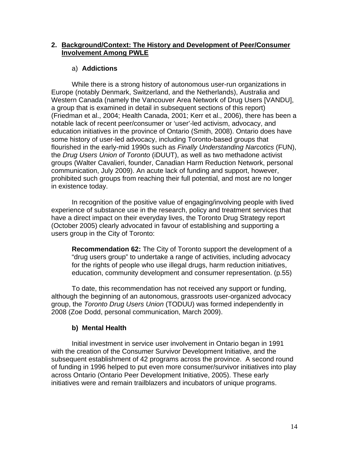## **2. Background/Context: The History and Development of Peer/Consumer Involvement Among PWLE**

# a) **Addictions**

While there is a strong history of autonomous user-run organizations in Europe (notably Denmark, Switzerland, and the Netherlands), Australia and Western Canada (namely the Vancouver Area Network of Drug Users [VANDU], a group that is examined in detail in subsequent sections of this report) (Friedman et al., 2004; Health Canada, 2001; Kerr et al., 2006), there has been a notable lack of recent peer/consumer or 'user'-led activism, advocacy, and education initiatives in the province of Ontario (Smith, 2008). Ontario does have some history of user-led advocacy, including Toronto-based groups that flourished in the early-mid 1990s such as *Finally Understanding Narcotics* (FUN), the *Drug Users Union of Toronto* (iDUUT), as well as two methadone activist groups (Walter Cavalieri, founder, Canadian Harm Reduction Network, personal communication, July 2009). An acute lack of funding and support, however, prohibited such groups from reaching their full potential, and most are no longer in existence today.

In recognition of the positive value of engaging/involving people with lived experience of substance use in the research, policy and treatment services that have a direct impact on their everyday lives, the Toronto Drug Strategy report (October 2005) clearly advocated in favour of establishing and supporting a users group in the City of Toronto:

**Recommendation 62:** The City of Toronto support the development of a "drug users group" to undertake a range of activities, including advocacy for the rights of people who use illegal drugs, harm reduction initiatives, education, community development and consumer representation. (p.55)

To date, this recommendation has not received any support or funding, although the beginning of an autonomous, grassroots user-organized advocacy group, the *Toronto Drug Users Union* (TODUU) was formed independently in 2008 (Zoe Dodd, personal communication, March 2009).

# **b) Mental Health**

 Initial investment in service user involvement in Ontario began in 1991 with the creation of the Consumer Survivor Development Initiative, and the subsequent establishment of 42 programs across the province. A second round of funding in 1996 helped to put even more consumer/survivor initiatives into play across Ontario (Ontario Peer Development Initiative, 2005). These early initiatives were and remain trailblazers and incubators of unique programs.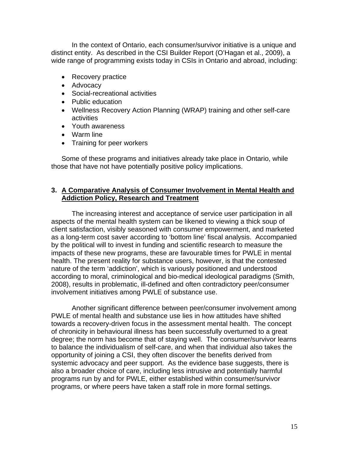In the context of Ontario, each consumer/survivor initiative is a unique and distinct entity. As described in the CSI Builder Report (O'Hagan et al., 2009), a wide range of programming exists today in CSIs in Ontario and abroad, including:

- Recovery practice
- Advocacy
- Social-recreational activities
- Public education
- Wellness Recovery Action Planning (WRAP) training and other self-care activities
- Youth awareness
- Warm line
- Training for peer workers

Some of these programs and initiatives already take place in Ontario, while those that have not have potentially positive policy implications.

## **3. A Comparative Analysis of Consumer Involvement in Mental Health and Addiction Policy, Research and Treatment**

The increasing interest and acceptance of service user participation in all aspects of the mental health system can be likened to viewing a thick soup of client satisfaction, visibly seasoned with consumer empowerment, and marketed as a long-term cost saver according to 'bottom line' fiscal analysis. Accompanied by the political will to invest in funding and scientific research to measure the impacts of these new programs, these are favourable times for PWLE in mental health. The present reality for substance users, however, is that the contested nature of the term 'addiction', which is variously positioned and understood according to moral, criminological and bio-medical ideological paradigms (Smith, 2008), results in problematic, ill-defined and often contradictory peer/consumer involvement initiatives among PWLE of substance use.

Another significant difference between peer/consumer involvement among PWLE of mental health and substance use lies in how attitudes have shifted towards a recovery-driven focus in the assessment mental health. The concept of chronicity in behavioural illness has been successfully overturned to a great degree; the norm has become that of staying well. The consumer/survivor learns to balance the individualism of self-care, and when that individual also takes the opportunity of joining a CSI, they often discover the benefits derived from systemic advocacy and peer support. As the evidence base suggests, there is also a broader choice of care, including less intrusive and potentially harmful programs run by and for PWLE, either established within consumer/survivor programs, or where peers have taken a staff role in more formal settings.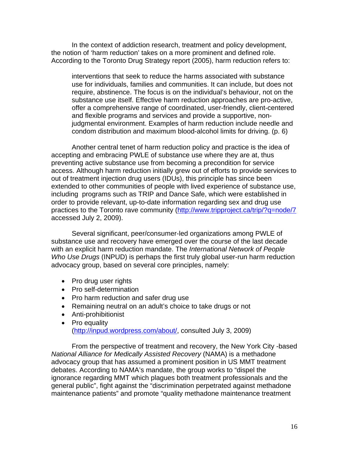In the context of addiction research, treatment and policy development, the notion of 'harm reduction' takes on a more prominent and defined role. According to the Toronto Drug Strategy report (2005), harm reduction refers to:

interventions that seek to reduce the harms associated with substance use for individuals, families and communities. It can include, but does not require, abstinence. The focus is on the individual's behaviour, not on the substance use itself. Effective harm reduction approaches are pro-active, offer a comprehensive range of coordinated, user-friendly, client-centered and flexible programs and services and provide a supportive, nonjudgmental environment. Examples of harm reduction include needle and condom distribution and maximum blood-alcohol limits for driving. (p. 6)

Another central tenet of harm reduction policy and practice is the idea of accepting and embracing PWLE of substance use where they are at, thus preventing active substance use from becoming a precondition for service access. Although harm reduction initially grew out of efforts to provide services to out of treatment injection drug users (IDUs), this principle has since been extended to other communities of people with lived experience of substance use, including programs such as TRIP and Dance Safe, which were established in order to provide relevant, up-to-date information regarding sex and drug use practices to the Toronto rave community [\(http://www.tripproject.ca/trip/?q=node/7](http://www.tripproject.ca/trip/?q=node/7) accessed July 2, 2009).

Several significant, peer/consumer-led organizations among PWLE of substance use and recovery have emerged over the course of the last decade with an explicit harm reduction mandate. The *International Network of People Who Use Drugs* (INPUD) is perhaps the first truly global user-run harm reduction advocacy group, based on several core principles, namely:

- Pro drug user rights
- Pro self-determination
- Pro harm reduction and safer drug use
- Remaining neutral on an adult's choice to take drugs or not
- Anti-prohibitionist
- Pro equality ([http://inpud.wordpress.com/about/,](http://inpud.wordpress.com/about/) consulted July 3, 2009)

From the perspective of treatment and recovery, the New York City -based *National Alliance for Medically Assisted Recovery* (NAMA) is a methadone advocacy group that has assumed a prominent position in US MMT treatment debates. According to NAMA's mandate, the group works to "dispel the ignorance regarding MMT which plagues both treatment professionals and the general public", fight against the "discrimination perpetrated against methadone maintenance patients" and promote "quality methadone maintenance treatment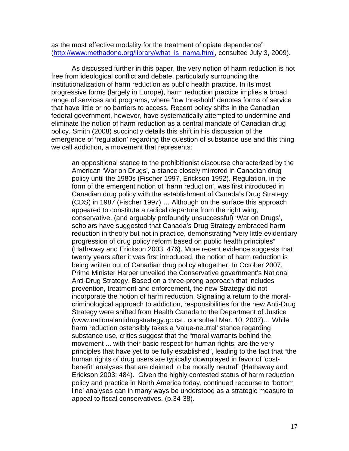as the most effective modality for the treatment of opiate dependence" ([http://www.methadone.org/library/what\\_is\\_nama.html,](http://www.methadone.org/library/what_is_nama.html) consulted July 3, 2009).

As discussed further in this paper, the very notion of harm reduction is not free from ideological conflict and debate, particularly surrounding the institutionalization of harm reduction as public health practice. In its most progressive forms (largely in Europe), harm reduction practice implies a broad range of services and programs, where 'low threshold' denotes forms of service that have little or no barriers to access. Recent policy shifts in the Canadian federal government, however, have systematically attempted to undermine and eliminate the notion of harm reduction as a central mandate of Canadian drug policy. Smith (2008) succinctly details this shift in his discussion of the emergence of 'regulation' regarding the question of substance use and this thing we call addiction, a movement that represents:

an oppositional stance to the prohibitionist discourse characterized by the American 'War on Drugs', a stance closely mirrored in Canadian drug policy until the 1980s (Fischer 1997, Erickson 1992). Regulation, in the form of the emergent notion of 'harm reduction', was first introduced in Canadian drug policy with the establishment of Canada's Drug Strategy (CDS) in 1987 (Fischer 1997) … Although on the surface this approach appeared to constitute a radical departure from the right wing, conservative, (and arguably profoundly unsuccessful) 'War on Drugs', scholars have suggested that Canada's Drug Strategy embraced harm reduction in theory but not in practice, demonstrating "very little evidentiary progression of drug policy reform based on public health principles" (Hathaway and Erickson 2003: 476). More recent evidence suggests that twenty years after it was first introduced, the notion of harm reduction is being written out of Canadian drug policy altogether. In October 2007, Prime Minister Harper unveiled the Conservative government's National Anti-Drug Strategy. Based on a three-prong approach that includes prevention, treatment and enforcement, the new Strategy did not incorporate the notion of harm reduction. Signaling a return to the moralcriminological approach to addiction, responsibilities for the new Anti-Drug Strategy were shifted from Health Canada to the Department of Justice (www.nationalantidrugstrategy.gc.ca , consulted Mar. 10, 2007)… While harm reduction ostensibly takes a 'value-neutral' stance regarding substance use, critics suggest that the "moral warrants behind the movement ... with their basic respect for human rights, are the very principles that have yet to be fully established", leading to the fact that "the human rights of drug users are typically downplayed in favor of 'costbenefit' analyses that are claimed to be morally neutral" (Hathaway and Erickson 2003: 484). Given the highly contested status of harm reduction policy and practice in North America today, continued recourse to 'bottom line' analyses can in many ways be understood as a strategic measure to appeal to fiscal conservatives. (p.34-38).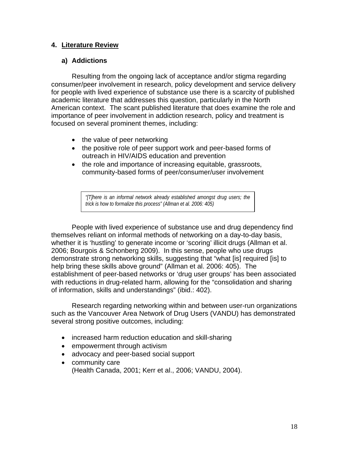## **4. Literature Review**

## **a) Addictions**

Resulting from the ongoing lack of acceptance and/or stigma regarding consumer/peer involvement in research, policy development and service delivery for people with lived experience of substance use there is a scarcity of published academic literature that addresses this question, particularly in the North American context. The scant published literature that does examine the role and importance of peer involvement in addiction research, policy and treatment is focused on several prominent themes, including:

- the value of peer networking
- the positive role of peer support work and peer-based forms of outreach in HIV/AIDS education and prevention
- the role and importance of increasing equitable, grassroots, community-based forms of peer/consumer/user involvement

*"[T]here is an informal network already established amongst drug users; the trick is how to formalize this process" (Allman et al. 2006: 405)*

People with lived experience of substance use and drug dependency find themselves reliant on informal methods of networking on a day-to-day basis, whether it is 'hustling' to generate income or 'scoring' illicit drugs (Allman et al. 2006; Bourgois & Schonberg 2009). In this sense, people who use drugs demonstrate strong networking skills, suggesting that "what [is] required [is] to help bring these skills above ground" (Allman et al. 2006: 405). The establishment of peer-based networks or 'drug user groups' has been associated with reductions in drug-related harm, allowing for the "consolidation and sharing of information, skills and understandings" (ibid.: 402).

Research regarding networking within and between user-run organizations such as the Vancouver Area Network of Drug Users (VANDU) has demonstrated several strong positive outcomes, including:

- increased harm reduction education and skill-sharing
- empowerment through activism
- advocacy and peer-based social support
- community care (Health Canada, 2001; Kerr et al., 2006; VANDU, 2004).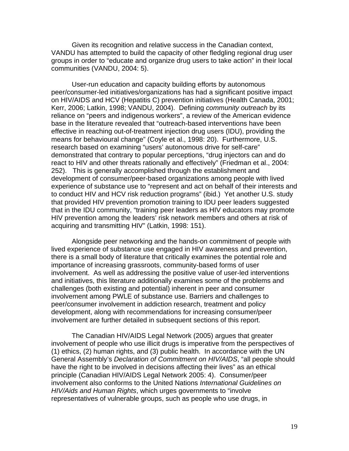Given its recognition and relative success in the Canadian context, VANDU has attempted to build the capacity of other fledgling regional drug user groups in order to "educate and organize drug users to take action" in their local communities (VANDU, 2004: 5).

User-run education and capacity building efforts by autonomous peer/consumer-led initiatives/organizations has had a significant positive impact on HIV/AIDS and HCV (Hepatitis C) prevention initiatives (Health Canada, 2001; Kerr, 2006; Latkin, 1998; VANDU, 2004). Defining *community outreach* by its reliance on "peers and indigenous workers", a review of the American evidence base in the literature revealed that "outreach-based interventions have been effective in reaching out-of-treatment injection drug users (IDU), providing the means for behavioural change" (Coyle et al., 1998: 20). Furthermore, U.S. research based on examining "users' autonomous drive for self-care" demonstrated that contrary to popular perceptions, "drug injectors can and do react to HIV and other threats rationally and effectively" (Friedman et al., 2004: 252). This is generally accomplished through the establishment and development of consumer/peer-based organizations among people with lived experience of substance use to "represent and act on behalf of their interests and to conduct HIV and HCV risk reduction programs" (ibid.) Yet another U.S. study that provided HIV prevention promotion training to IDU peer leaders suggested that in the IDU community, "training peer leaders as HIV educators may promote HIV prevention among the leaders' risk network members and others at risk of acquiring and transmitting HIV" (Latkin, 1998: 151).

Alongside peer networking and the hands-on commitment of people with lived experience of substance use engaged in HIV awareness and prevention, there is a small body of literature that critically examines the potential role and importance of increasing grassroots, community-based forms of user involvement. As well as addressing the positive value of user-led interventions and initiatives, this literature additionally examines some of the problems and challenges (both existing and potential) inherent in peer and consumer involvement among PWLE of substance use. Barriers and challenges to peer/consumer involvement in addiction research, treatment and policy development, along with recommendations for increasing consumer/peer involvement are further detailed in subsequent sections of this report.

The Canadian HIV/AIDS Legal Network (2005) argues that greater involvement of people who use illicit drugs is imperative from the perspectives of (1) ethics, (2) human rights, and (3) public health. In accordance with the UN General Assembly's *Declaration of Commitment on HIV/AIDS*, "all people should have the right to be involved in decisions affecting their lives" as an ethical principle (Canadian HIV/AIDS Legal Network 2005: 4). Consumer/peer involvement also conforms to the United Nations *International Guidelines on HIV/Aids and Human Rights*, which urges governments to "involve representatives of vulnerable groups, such as people who use drugs, in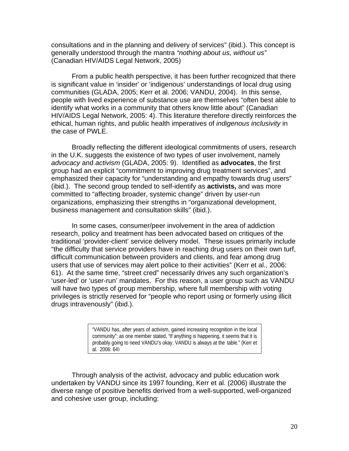consultations and in the planning and delivery of services" (ibid.). This concept is generally understood through the mantra *"nothing about us, without us"* (Canadian HIV/AIDS Legal Network, 2005)

From a public health perspective, it has been further recognized that there is significant value in 'insider' or 'indigenous' understandings of local drug using communities (GLADA, 2005; Kerr et al. 2006; VANDU, 2004). In this sense, people with lived experience of substance use are themselves "often best able to identify what works in a community that others know little about" (Canadian HIV/AIDS Legal Network, 2005: 4). This literature therefore directly reinforces the ethical, human rights, and public health imperatives of *indigenous inclusivity* in the case of PWLE.

Broadly reflecting the different ideological commitments of users, research in the U.K. suggests the existence of two types of user involvement, namely *advocacy* and *activism* (GLADA, 2005: 9). Identified as **advocates**, the first group had an explicit "commitment to improving drug treatment services", and emphasized their capacity for "understanding and empathy towards drug users" (ibid.). The second group tended to self-identify as **activists,** and was more committed to "affecting broader, systemic change" driven by user-run organizations, emphasizing their strengths in "organizational development, business management and consultation skills" (ibid.).

In some cases, consumer/peer involvement in the area of addiction research, policy and treatment has been advocated based on critiques of the traditional 'provider-client' service delivery model. These issues primarily include "the difficulty that service providers have in reaching drug users on their own turf, difficult communication between providers and clients, and fear among drug users that use of services may alert police to their activities" (Kerr et al., 2006: 61). At the same time, "street cred" necessarily drives any such organization's 'user-led' or 'user-run' mandates. For this reason, a user group such as VANDU will have two types of group membership, where full membership with voting privileges is strictly reserved for "people who report using or formerly using illicit drugs intravenously" (ibid.).

> "VANDU has, after years of activism, gained increasing recognition in the local community"; as one member stated, "If anything is happening, it seems that it is probably going to need VANDU's okay. VANDU is always at the table." (Kerr et al. 2006: 64)

Through analysis of the activist, advocacy and public education work undertaken by VANDU since its 1997 founding, Kerr et al. (2006) illustrate the diverse range of positive benefits derived from a well-supported, well-organized and cohesive user group, including: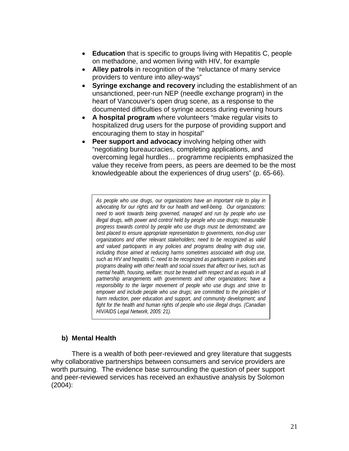- **Education** that is specific to groups living with Hepatitis C, people on methadone, and women living with HIV, for example
- **Alley patrols** in recognition of the "reluctance of many service providers to venture into alley-ways"
- **Syringe exchange and recovery** including the establishment of an unsanctioned, peer-run NEP (needle exchange program) in the heart of Vancouver's open drug scene, as a response to the documented difficulties of syringe access during evening hours
- **A hospital program** where volunteers "make regular visits to hospitalized drug users for the purpose of providing support and encouraging them to stay in hospital"
- **Peer support and advocacy** involving helping other with "negotiating bureaucracies, completing applications, and overcoming legal hurdles… programme recipients emphasized the value they receive from peers, as peers are deemed to be the most knowledgeable about the experiences of drug users" (p. 65-66).

*As people who use drugs, our organizations have an important role to play in advocating for our rights and for our health and well-being. Our organizations: need to work towards being governed, managed and run by people who use illegal drugs, with power and control held by people who use drugs; measurable progress towards control by people who use drugs must be demonstrated; are best placed to ensure appropriate representation to governments, non-drug user organizations and other relevant stakeholders; need to be recognized as valid and valued participants in any policies and programs dealing with drug use, including those aimed at reducing harms sometimes associated with drug use, such as HIV and hepatitis C; need to be recognized as participants in policies and programs dealing with other health and social issues that affect our lives, such as mental health, housing, welfare; must be treated with respect and as equals in all partnership arrangements with governments and other organizations; have a responsibility to the larger movement of people who use drugs and strive to empower and include people who use drugs; are committed to the principles of harm reduction, peer education and support, and community development; and fight for the health and human rights of people who use illegal drugs. (Canadian HIV/AIDS Legal Network, 2005: 21).* 

# **b) Mental Health**

There is a wealth of both peer-reviewed and grey literature that suggests why collaborative partnerships between consumers and service providers are worth pursuing. The evidence base surrounding the question of peer support and peer-reviewed services has received an exhaustive analysis by Solomon (2004):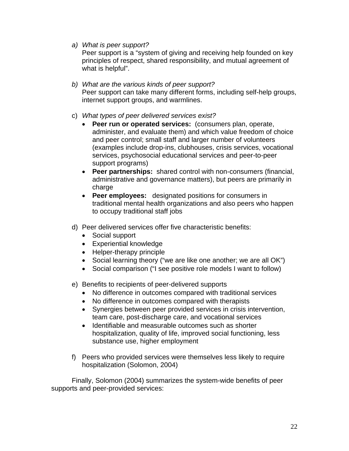*a) What is peer support?* 

Peer support is a "system of giving and receiving help founded on key principles of respect, shared responsibility, and mutual agreement of what is helpful".

- *b) What are the various kinds of peer support?*  Peer support can take many different forms, including self-help groups, internet support groups, and warmlines.
- c) *What types of peer delivered services exist?*
	- **Peer run or operated services:** (consumers plan, operate, administer, and evaluate them) and which value freedom of choice and peer control; small staff and larger number of volunteers (examples include drop-ins, clubhouses, crisis services, vocational services, psychosocial educational services and peer-to-peer support programs)
	- **Peer partnerships:** shared control with non-consumers (financial, administrative and governance matters), but peers are primarily in charge
	- **Peer employees:** designated positions for consumers in traditional mental health organizations and also peers who happen to occupy traditional staff jobs
- d) Peer delivered services offer five characteristic benefits:
	- Social support
	- Experiential knowledge
	- Helper-therapy principle
	- Social learning theory ("we are like one another; we are all OK")
	- Social comparison ("I see positive role models I want to follow)
- e) Benefits to recipients of peer-delivered supports
	- No difference in outcomes compared with traditional services
	- No difference in outcomes compared with therapists
	- Synergies between peer provided services in crisis intervention, team care, post-discharge care, and vocational services
	- Identifiable and measurable outcomes such as shorter hospitalization, quality of life, improved social functioning, less substance use, higher employment
- f) Peers who provided services were themselves less likely to require hospitalization (Solomon, 2004)

Finally, Solomon (2004) summarizes the system-wide benefits of peer supports and peer-provided services: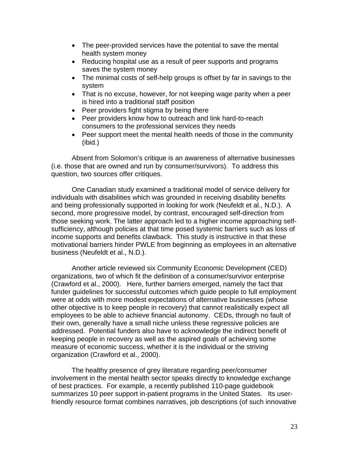- The peer-provided services have the potential to save the mental health system money
- Reducing hospital use as a result of peer supports and programs saves the system money
- The minimal costs of self-help groups is offset by far in savings to the system
- That is no excuse, however, for not keeping wage parity when a peer is hired into a traditional staff position
- Peer providers fight stigma by being there
- Peer providers know how to outreach and link hard-to-reach consumers to the professional services they needs
- Peer support meet the mental health needs of those in the community (ibid.)

Absent from Solomon's critique is an awareness of alternative businesses (i.e. those that are owned and run by consumer/survivors). To address this question, two sources offer critiques.

One Canadian study examined a traditional model of service delivery for individuals with disabilities which was grounded in receiving disability benefits and being professionally supported in looking for work (Neufeldt et al., N.D.). A second, more progressive model, by contrast, encouraged self-direction from those seeking work. The latter approach led to a higher income approaching selfsufficiency, although policies at that time posed systemic barriers such as loss of income supports and benefits clawback. This study is instructive in that these motivational barriers hinder PWLE from beginning as employees in an alternative business (Neufeldt et al., N.D.).

Another article reviewed six Community Economic Development (CED) organizations, two of which fit the definition of a consumer/survivor enterprise (Crawford et al., 2000). Here, further barriers emerged, namely the fact that funder guidelines for successful outcomes which guide people to full employment were at odds with more modest expectations of alternative businesses (whose other objective is to keep people in recovery) that cannot realistically expect all employees to be able to achieve financial autonomy. CEDs, through no fault of their own, generally have a small niche unless these regressive policies are addressed. Potential funders also have to acknowledge the indirect benefit of keeping people in recovery as well as the aspired goals of achieving some measure of economic success, whether it is the individual or the striving organization (Crawford et al., 2000).

The healthy presence of grey literature regarding peer/consumer involvement in the mental health sector speaks directly to knowledge exchange of best practices. For example, a recently published 110-page guidebook summarizes 10 peer support in-patient programs in the United States. Its userfriendly resource format combines narratives, job descriptions (of such innovative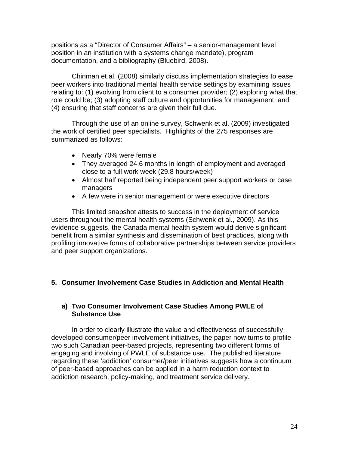positions as a "Director of Consumer Affairs" – a senior-management level position in an institution with a systems change mandate), program documentation, and a bibliography (Bluebird, 2008).

Chinman et al. (2008) similarly discuss implementation strategies to ease peer workers into traditional mental health service settings by examining issues relating to: (1) evolving from client to a consumer provider; (2) exploring what that role could be; (3) adopting staff culture and opportunities for management; and (4) ensuring that staff concerns are given their full due.

Through the use of an online survey, Schwenk et al. (2009) investigated the work of certified peer specialists. Highlights of the 275 responses are summarized as follows:

- Nearly 70% were female
- They averaged 24.6 months in length of employment and averaged close to a full work week (29.8 hours/week)
- Almost half reported being independent peer support workers or case managers
- A few were in senior management or were executive directors

This limited snapshot attests to success in the deployment of service users throughout the mental health systems (Schwenk et al., 2009). As this evidence suggests, the Canada mental health system would derive significant benefit from a similar synthesis and dissemination of best practices, along with profiling innovative forms of collaborative partnerships between service providers and peer support organizations.

# **5. Consumer Involvement Case Studies in Addiction and Mental Health**

## **a) Two Consumer Involvement Case Studies Among PWLE of Substance Use**

In order to clearly illustrate the value and effectiveness of successfully developed consumer/peer involvement initiatives, the paper now turns to profile two such Canadian peer-based projects, representing two different forms of engaging and involving of PWLE of substance use. The published literature regarding these 'addiction' consumer/peer initiatives suggests how a continuum of peer-based approaches can be applied in a harm reduction context to addiction research, policy-making, and treatment service delivery.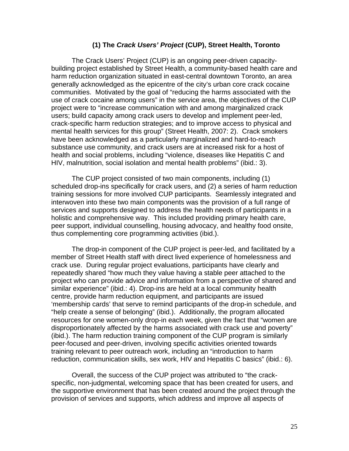#### **(1) The** *Crack Users' Project* **(CUP), Street Health, Toronto**

The Crack Users' Project (CUP) is an ongoing peer-driven capacitybuilding project established by Street Health, a community-based health care and harm reduction organization situated in east-central downtown Toronto, an area generally acknowledged as the epicentre of the city's urban core crack cocaine communities. Motivated by the goal of "reducing the harms associated with the use of crack cocaine among users" in the service area, the objectives of the CUP project were to "increase communication with and among marginalized crack users; build capacity among crack users to develop and implement peer-led, crack-specific harm reduction strategies; and to improve access to physical and mental health services for this group" (Street Health, 2007: 2). Crack smokers have been acknowledged as a particularly marginalized and hard-to-reach substance use community, and crack users are at increased risk for a host of health and social problems, including "violence, diseases like Hepatitis C and HIV, malnutrition, social isolation and mental health problems" (ibid.: 3).

The CUP project consisted of two main components, including (1) scheduled drop-ins specifically for crack users, and (2) a series of harm reduction training sessions for more involved CUP participants. Seamlessly integrated and interwoven into these two main components was the provision of a full range of services and supports designed to address the health needs of participants in a holistic and comprehensive way. This included providing primary health care, peer support, individual counselling, housing advocacy, and healthy food onsite, thus complementing core programming activities (ibid.).

 The drop-in component of the CUP project is peer-led, and facilitated by a member of Street Health staff with direct lived experience of homelessness and crack use. During regular project evaluations, participants have clearly and repeatedly shared "how much they value having a stable peer attached to the project who can provide advice and information from a perspective of shared and similar experience" (ibid.: 4). Drop-ins are held at a local community health centre, provide harm reduction equipment, and participants are issued 'membership cards' that serve to remind participants of the drop-in schedule, and "help create a sense of belonging" (ibid.). Additionally, the program allocated resources for one women-only drop-in each week, given the fact that "women are disproportionately affected by the harms associated with crack use and poverty" (ibid.). The harm reduction training component of the CUP program is similarly peer-focused and peer-driven, involving specific activities oriented towards training relevant to peer outreach work, including an "introduction to harm reduction, communication skills, sex work, HIV and Hepatitis C basics" (ibid.: 6).

Overall, the success of the CUP project was attributed to "the crackspecific, non-judgmental, welcoming space that has been created for users, and the supportive environment that has been created around the project through the provision of services and supports, which address and improve all aspects of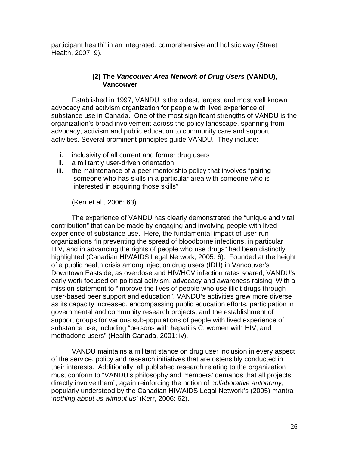participant health" in an integrated, comprehensive and holistic way (Street Health, 2007: 9).

# **(2) The** *Vancouver Area Network of Drug Users* **(VANDU), Vancouver**

 Established in 1997, VANDU is the oldest, largest and most well known advocacy and activism organization for people with lived experience of substance use in Canada. One of the most significant strengths of VANDU is the organization's broad involvement across the policy landscape, spanning from advocacy, activism and public education to community care and support activities. Several prominent principles guide VANDU. They include:

- i. inclusivity of all current and former drug users
- ii. a militantly user-driven orientation
- iii. the maintenance of a peer mentorship policy that involves "pairing someone who has skills in a particular area with someone who is interested in acquiring those skills"

(Kerr et al., 2006: 63).

 The experience of VANDU has clearly demonstrated the "unique and vital contribution" that can be made by engaging and involving people with lived experience of substance use. Here, the fundamental impact of user-run organizations "in preventing the spread of bloodborne infections, in particular HIV, and in advancing the rights of people who use drugs" had been distinctly highlighted (Canadian HIV/AIDS Legal Network, 2005: 6). Founded at the height of a public health crisis among injection drug users (IDU) in Vancouver's Downtown Eastside, as overdose and HIV/HCV infection rates soared, VANDU's early work focused on political activism, advocacy and awareness raising. With a mission statement to "improve the lives of people who use illicit drugs through user-based peer support and education", VANDU's activities grew more diverse as its capacity increased, encompassing public education efforts, participation in governmental and community research projects, and the establishment of support groups for various sub-populations of people with lived experience of substance use, including "persons with hepatitis C, women with HIV, and methadone users" (Health Canada, 2001: iv).

 VANDU maintains a militant stance on drug user inclusion in every aspect of the service, policy and research initiatives that are ostensibly conducted in their interests. Additionally, all published research relating to the organization must conform to "VANDU's philosophy and members' demands that all projects directly involve them", again reinforcing the notion of *collaborative autonomy*, popularly understood by the Canadian HIV/AIDS Legal Network's (2005) mantra '*nothing about us without us'* (Kerr, 2006: 62).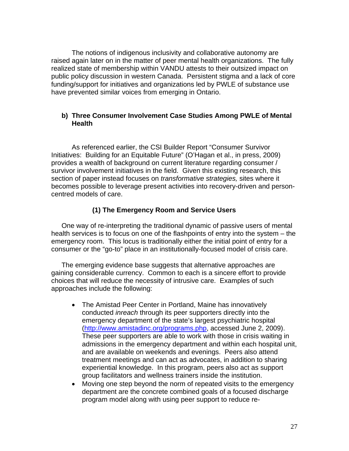The notions of indigenous inclusivity and collaborative autonomy are raised again later on in the matter of peer mental health organizations. The fully realized state of membership within VANDU attests to their outsized impact on public policy discussion in western Canada. Persistent stigma and a lack of core funding/support for initiatives and organizations led by PWLE of substance use have prevented similar voices from emerging in Ontario.

## **b) Three Consumer Involvement Case Studies Among PWLE of Mental Health**

As referenced earlier, the CSI Builder Report "Consumer Survivor Initiatives: Building for an Equitable Future" (O'Hagan et al., in press, 2009) provides a wealth of background on current literature regarding consumer / survivor involvement initiatives in the field. Given this existing research, this section of paper instead focuses on *transformative strategies,* sites where it becomes possible to leverage present activities into recovery-driven and personcentred models of care.

## **(1) The Emergency Room and Service Users**

One way of re-interpreting the traditional dynamic of passive users of mental health services is to focus on one of the flashpoints of entry into the system – the emergency room. This locus is traditionally either the initial point of entry for a consumer or the "go-to" place in an institutionally-focused model of crisis care.

The emerging evidence base suggests that alternative approaches are gaining considerable currency. Common to each is a sincere effort to provide choices that will reduce the necessity of intrusive care. Examples of such approaches include the following:

- The Amistad Peer Center in Portland, Maine has innovatively conducted *inreach* through its peer supporters directly into the emergency department of the state's largest psychiatric hospital ([http://www.amistadinc.org/programs.php,](http://www.amistadinc.org/programs.php) accessed June 2, 2009). These peer supporters are able to work with those in crisis waiting in admissions in the emergency department and within each hospital unit, and are available on weekends and evenings. Peers also attend treatment meetings and can act as advocates, in addition to sharing experiential knowledge. In this program, peers also act as support group facilitators and wellness trainers inside the institution.
- Moving one step beyond the norm of repeated visits to the emergency department are the concrete combined goals of a focused discharge program model along with using peer support to reduce re-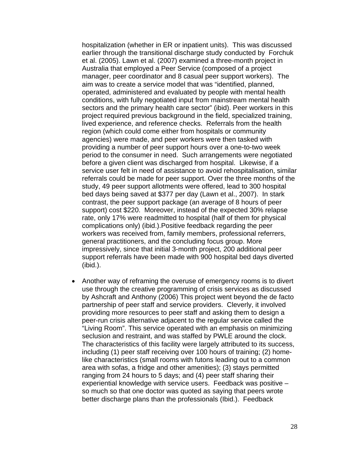hospitalization (whether in ER or inpatient units). This was discussed earlier through the transitional discharge study conducted by Forchuk et al. (2005). Lawn et al. (2007) examined a three-month project in Australia that employed a Peer Service (composed of a project manager, peer coordinator and 8 casual peer support workers). The aim was to create a service model that was "identified, planned, operated, administered and evaluated by people with mental health conditions, with fully negotiated input from mainstream mental health sectors and the primary health care sector" (ibid). Peer workers in this project required previous background in the field, specialized training, lived experience, and reference checks. Referrals from the health region (which could come either from hospitals or community agencies) were made, and peer workers were then tasked with providing a number of peer support hours over a one-to-two week period to the consumer in need. Such arrangements were negotiated before a given client was discharged from hospital. Likewise, if a service user felt in need of assistance to avoid rehospitalisation, similar referrals could be made for peer support. Over the three months of the study, 49 peer support allotments were offered, lead to 300 hospital bed days being saved at \$377 per day (Lawn et al., 2007). In stark contrast, the peer support package (an average of 8 hours of peer support) cost \$220. Moreover, instead of the expected 30% relapse rate, only 17% were readmitted to hospital (half of them for physical complications only) (ibid.).Positive feedback regarding the peer workers was received from, family members, professional referrers, general practitioners, and the concluding focus group. More impressively, since that initial 3-month project, 200 additional peer support referrals have been made with 900 hospital bed days diverted (ibid.).

• Another way of reframing the overuse of emergency rooms is to divert use through the creative programming of crisis services as discussed by Ashcraft and Anthony (2006) This project went beyond the de facto partnership of peer staff and service providers. Cleverly, it involved providing more resources to peer staff and asking them to design a peer-run crisis alternative adjacent to the regular service called the "Living Room". This service operated with an emphasis on minimizing seclusion and restraint, and was staffed by PWLE around the clock. The characteristics of this facility were largely attributed to its success, including (1) peer staff receiving over 100 hours of training; (2) homelike characteristics (small rooms with futons leading out to a common area with sofas, a fridge and other amenities); (3) stays permitted ranging from 24 hours to 5 days; and (4) peer staff sharing their experiential knowledge with service users. Feedback was positive – so much so that one doctor was quoted as saying that peers wrote better discharge plans than the professionals (Ibid.). Feedback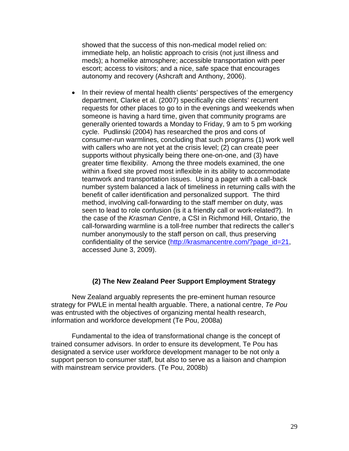showed that the success of this non-medical model relied on: immediate help, an holistic approach to crisis (not just illness and meds); a homelike atmosphere; accessible transportation with peer escort; access to visitors; and a nice, safe space that encourages autonomy and recovery (Ashcraft and Anthony, 2006).

• In their review of mental health clients' perspectives of the emergency department, Clarke et al. (2007) specifically cite clients' recurrent requests for other places to go to in the evenings and weekends when someone is having a hard time, given that community programs are generally oriented towards a Monday to Friday, 9 am to 5 pm working cycle. Pudlinski (2004) has researched the pros and cons of consumer-run warmlines, concluding that such programs (1) work well with callers who are not yet at the crisis level; (2) can create peer supports without physically being there one-on-one, and (3) have greater time flexibility. Among the three models examined, the one within a fixed site proved most inflexible in its ability to accommodate teamwork and transportation issues. Using a pager with a call-back number system balanced a lack of timeliness in returning calls with the benefit of caller identification and personalized support. The third method, involving call-forwarding to the staff member on duty, was seen to lead to role confusion (is it a friendly call or work-related?). In the case of the *Krasman Centre*, a CSI in Richmond Hill, Ontario, the call-forwarding warmline is a toll-free number that redirects the caller's number anonymously to the staff person on call, thus preserving confidentiality of the service ([http://krasmancentre.com/?page\\_id=21](http://krasmancentre.com/?page_id=21), accessed June 3, 2009).

### **(2) The New Zealand Peer Support Employment Strategy**

 New Zealand arguably represents the pre-eminent human resource strategy for PWLE in mental health arguable. There, a national centre, *Te Pou* was entrusted with the objectives of organizing mental health research, information and workforce development (Te Pou, 2008a)

 Fundamental to the idea of transformational change is the concept of trained consumer advisors. In order to ensure its development, Te Pou has designated a service user workforce development manager to be not only a support person to consumer staff, but also to serve as a liaison and champion with mainstream service providers. (Te Pou, 2008b)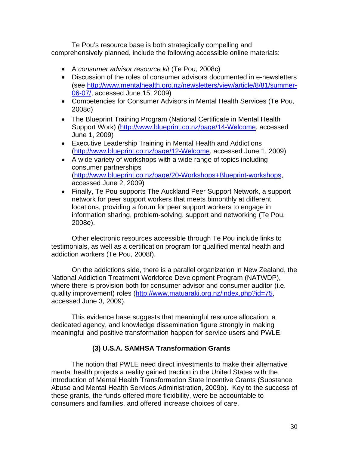Te Pou's resource base is both strategically compelling and comprehensively planned, include the following accessible online materials:

- A *consumer advisor resource kit* (Te Pou, 2008c)
- Discussion of the roles of consumer advisors documented in e-newsletters (see [http://www.mentalhealth.org.nz/newsletters/view/article/8/81/summer-](http://www.mentalhealth.org.nz/newsletters/view/article/8/81/summer-06-07/)[06-07/](http://www.mentalhealth.org.nz/newsletters/view/article/8/81/summer-06-07/), accessed June 15, 2009)
- Competencies for Consumer Advisors in Mental Health Services (Te Pou, 2008d)
- The Blueprint Training Program (National Certificate in Mental Health Support Work) ([http://www.blueprint.co.nz/page/14-Welcome,](http://www.blueprint.co.nz/page/14-Welcome) accessed June 1, 2009)
- Executive Leadership Training in Mental Health and Addictions (<http://www.blueprint.co.nz/page/12-Welcome>, accessed June 1, 2009)
- A wide variety of workshops with a wide range of topics including consumer partnerships ([http://www.blueprint.co.nz/page/20-Workshops+Blueprint-workshops,](http://www.blueprint.co.nz/page/20-Workshops+Blueprint-workshops) accessed June 2, 2009)
- Finally, Te Pou supports The Auckland Peer Support Network, a support network for peer support workers that meets bimonthly at different locations, providing a forum for peer support workers to engage in information sharing, problem-solving, support and networking (Te Pou, 2008e).

Other electronic resources accessible through Te Pou include links to testimonials, as well as a certification program for qualified mental health and addiction workers (Te Pou, 2008f).

On the addictions side, there is a parallel organization in New Zealand, the National Addiction Treatment Workforce Development Program (NATWDP), where there is provision both for consumer advisor and consumer auditor (i.e. quality improvement) roles [\(http://www.matuaraki.org.nz/index.php?id=75](http://www.matuaraki.org.nz/index.php?id=75), accessed June 3, 2009).

This evidence base suggests that meaningful resource allocation, a dedicated agency, and knowledge dissemination figure strongly in making meaningful and positive transformation happen for service users and PWLE.

# **(3) U.S.A. SAMHSA Transformation Grants**

The notion that PWLE need direct investments to make their alternative mental health projects a reality gained traction in the United States with the introduction of Mental Health Transformation State Incentive Grants (Substance Abuse and Mental Health Services Administration, 2009b). Key to the success of these grants, the funds offered more flexibility, were be accountable to consumers and families, and offered increase choices of care.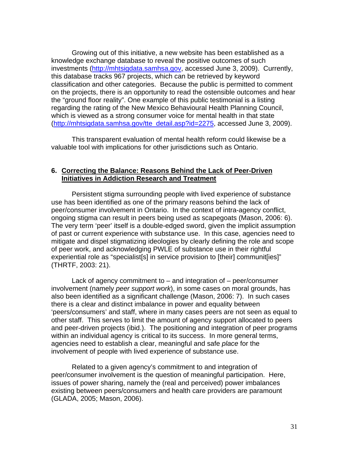Growing out of this initiative, a new website has been established as a knowledge exchange database to reveal the positive outcomes of such investments [\(http://mhtsigdata.samhsa.gov](http://mhtsigdata.samhsa.gov/), accessed June 3, 2009). Currently, this database tracks 967 projects, which can be retrieved by keyword classification and other categories. Because the public is permitted to comment on the projects, there is an opportunity to read the ostensible outcomes and hear the "ground floor reality". One example of this public testimonial is a listing regarding the rating of the New Mexico Behavioural Health Planning Council, which is viewed as a strong consumer voice for mental health in that state ([http://mhtsigdata.samhsa.gov/tte\\_detail.asp?id=2275](http://mhtsigdata.samhsa.gov/tte_detail.asp?id=2275), accessed June 3, 2009).

This transparent evaluation of mental health reform could likewise be a valuable tool with implications for other jurisdictions such as Ontario.

### **6. Correcting the Balance: Reasons Behind the Lack of Peer-Driven Initiatives in Addiction Research and Treatment**

 Persistent stigma surrounding people with lived experience of substance use has been identified as one of the primary reasons behind the lack of peer/consumer involvement in Ontario. In the context of intra-agency conflict, ongoing stigma can result in peers being used as scapegoats (Mason, 2006: 6). The very term 'peer' itself is a double-edged sword, given the implicit assumption of past or current experience with substance use. In this case, agencies need to mitigate and dispel stigmatizing ideologies by clearly defining the role and scope of peer work, and acknowledging PWLE of substance use in their rightful experiential role as "specialist[s] in service provision to [their] communit[ies]" (THRTF, 2003: 21).

 Lack of agency commitment to – and integration of – peer/consumer involvement (namely *peer support work*), in some cases on moral grounds, has also been identified as a significant challenge (Mason, 2006: 7). In such cases there is a clear and distinct imbalance in power and equality between 'peers/consumers' and staff, where in many cases peers are not seen as equal to other staff. This serves to limit the amount of agency support allocated to peers and peer-driven projects (ibid.). The positioning and integration of peer programs within an individual agency is critical to its success. In more general terms, agencies need to establish a clear, meaningful and safe *place* for the involvement of people with lived experience of substance use.

 Related to a given agency's commitment to and integration of peer/consumer involvement is the question of meaningful participation. Here, issues of power sharing, namely the (real and perceived) power imbalances existing between peers/consumers and health care providers are paramount (GLADA, 2005; Mason, 2006).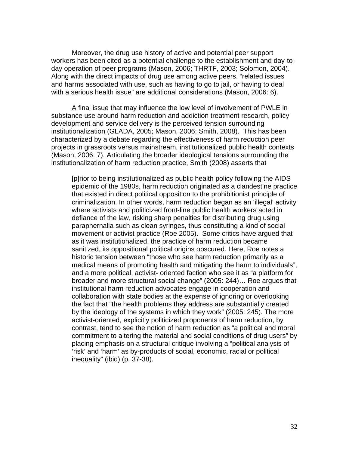Moreover, the drug use history of active and potential peer support workers has been cited as a potential challenge to the establishment and day-today operation of peer programs (Mason, 2006; THRTF, 2003; Solomon, 2004). Along with the direct impacts of drug use among active peers, "related issues and harms associated with use, such as having to go to jail, or having to deal with a serious health issue" are additional considerations (Mason, 2006: 6).

 A final issue that may influence the low level of involvement of PWLE in substance use around harm reduction and addiction treatment research, policy development and service delivery is the perceived tension surrounding institutionalization (GLADA, 2005; Mason, 2006; Smith, 2008). This has been characterized by a debate regarding the effectiveness of harm reduction peer projects in grassroots versus mainstream, institutionalized public health contexts (Mason, 2006: 7). Articulating the broader ideological tensions surrounding the institutionalization of harm reduction practice, Smith (2008) asserts that

[p]rior to being institutionalized as public health policy following the AIDS epidemic of the 1980s, harm reduction originated as a clandestine practice that existed in direct political opposition to the prohibitionist principle of criminalization. In other words, harm reduction began as an 'illegal' activity where activists and politicized front-line public health workers acted in defiance of the law, risking sharp penalties for distributing drug using paraphernalia such as clean syringes, thus constituting a kind of social movement or activist practice (Roe 2005). Some critics have argued that as it was institutionalized, the practice of harm reduction became sanitized, its oppositional political origins obscured. Here, Roe notes a historic tension between "those who see harm reduction primarily as a medical means of promoting health and mitigating the harm to individuals", and a more political, activist- oriented faction who see it as "a platform for broader and more structural social change" (2005: 244)… Roe argues that institutional harm reduction advocates engage in cooperation and collaboration with state bodies at the expense of ignoring or overlooking the fact that "the health problems they address are substantially created by the ideology of the systems in which they work" (2005: 245). The more activist-oriented, explicitly politicized proponents of harm reduction, by contrast, tend to see the notion of harm reduction as "a political and moral commitment to altering the material and social conditions of drug users" by placing emphasis on a structural critique involving a "political analysis of 'risk' and 'harm' as by-products of social, economic, racial or political inequality" (ibid) (p. 37-38).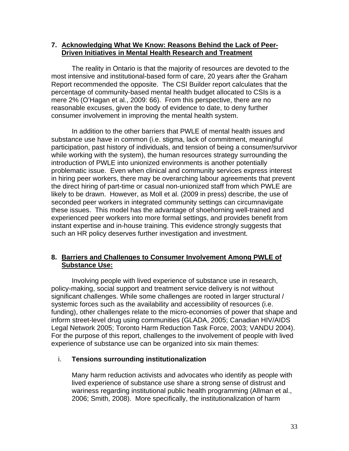#### **7. Acknowledging What We Know: Reasons Behind the Lack of Peer-Driven Initiatives in Mental Health Research and Treatment**

The reality in Ontario is that the majority of resources are devoted to the most intensive and institutional-based form of care, 20 years after the Graham Report recommended the opposite. The CSI Builder report calculates that the percentage of community-based mental health budget allocated to CSIs is a mere 2% (O'Hagan et al., 2009: 66). From this perspective, there are no reasonable excuses, given the body of evidence to date, to deny further consumer involvement in improving the mental health system.

In addition to the other barriers that PWLE of mental health issues and substance use have in common (i.e. stigma, lack of commitment, meaningful participation, past history of individuals, and tension of being a consumer/survivor while working with the system), the human resources strategy surrounding the introduction of PWLE into unionized environments is another potentially problematic issue. Even when clinical and community services express interest in hiring peer workers, there may be overarching labour agreements that prevent the direct hiring of part-time or casual non-unionized staff from which PWLE are likely to be drawn. However, as Moll et al. (2009 in press) describe, the use of seconded peer workers in integrated community settings can circumnavigate these issues. This model has the advantage of shoehorning well-trained and experienced peer workers into more formal settings, and provides benefit from instant expertise and in-house training. This evidence strongly suggests that such an HR policy deserves further investigation and investment.

## **8. Barriers and Challenges to Consumer Involvement Among PWLE of Substance Use:**

 Involving people with lived experience of substance use in research, policy-making, social support and treatment service delivery is not without significant challenges. While some challenges are rooted in larger structural / systemic forces such as the availability and accessibility of resources (i.e. funding), other challenges relate to the micro-economies of power that shape and inform street-level drug using communities (GLADA, 2005; Canadian HIV/AIDS Legal Network 2005; Toronto Harm Reduction Task Force, 2003; VANDU 2004). For the purpose of this report, challenges to the involvement of people with lived experience of substance use can be organized into six main themes:

### i. **Tensions surrounding institutionalization**

Many harm reduction activists and advocates who identify as people with lived experience of substance use share a strong sense of distrust and wariness regarding institutional public health programming (Allman et al., 2006; Smith, 2008). More specifically, the institutionalization of harm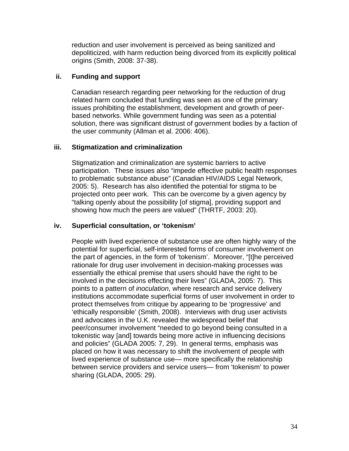reduction and user involvement is perceived as being sanitized and depoliticized, with harm reduction being divorced from its explicitly political origins (Smith, 2008: 37-38).

## **ii. Funding and support**

Canadian research regarding peer networking for the reduction of drug related harm concluded that funding was seen as one of the primary issues prohibiting the establishment, development and growth of peerbased networks. While government funding was seen as a potential solution, there was significant distrust of government bodies by a faction of the user community (Allman et al. 2006: 406).

## **iii. Stigmatization and criminalization**

Stigmatization and criminalization are systemic barriers to active participation. These issues also "impede effective public health responses to problematic substance abuse" (Canadian HIV/AIDS Legal Network, 2005: 5). Research has also identified the potential for stigma to be projected onto peer work. This can be overcome by a given agency by "talking openly about the possibility [of stigma], providing support and showing how much the peers are valued" (THRTF, 2003: 20).

## **iv. Superficial consultation, or 'tokenism'**

People with lived experience of substance use are often highly wary of the potential for superficial, self-interested forms of consumer involvement on the part of agencies, in the form of 'tokenism'. Moreover, "[t]he perceived rationale for drug user involvement in decision-making processes was essentially the ethical premise that users should have the right to be involved in the decisions effecting their lives" (GLADA, 2005: 7). This points to a pattern of *inoculation*, where research and service delivery institutions accommodate superficial forms of user involvement in order to protect themselves from critique by appearing to be 'progressive' and 'ethically responsible' (Smith, 2008). Interviews with drug user activists and advocates in the U.K. revealed the widespread belief that peer/consumer involvement "needed to go beyond being consulted in a tokenistic way [and] towards being more active in influencing decisions and policies" (GLADA 2005: 7, 29). In general terms, emphasis was placed on how it was necessary to shift the involvement of people with lived experience of substance use— more specifically the relationship between service providers and service users— from 'tokenism' to power sharing (GLADA, 2005: 29).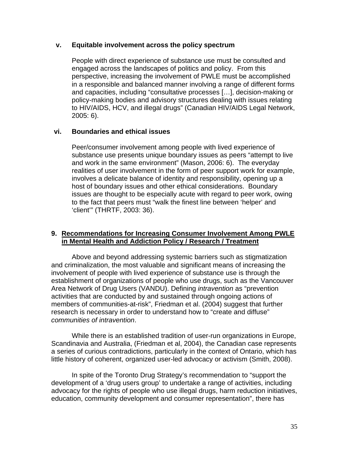#### **v. Equitable involvement across the policy spectrum**

People with direct experience of substance use must be consulted and engaged across the landscapes of politics and policy. From this perspective, increasing the involvement of PWLE must be accomplished in a responsible and balanced manner involving a range of different forms and capacities, including "consultative processes […], decision-making or policy-making bodies and advisory structures dealing with issues relating to HIV/AIDS, HCV, and illegal drugs" (Canadian HIV/AIDS Legal Network, 2005: 6).

### **vi. Boundaries and ethical issues**

Peer/consumer involvement among people with lived experience of substance use presents unique boundary issues as peers "attempt to live and work in the same environment" (Mason, 2006: 6). The everyday realities of user involvement in the form of peer support work for example, involves a delicate balance of identity and responsibility, opening up a host of boundary issues and other ethical considerations. Boundary issues are thought to be especially acute with regard to peer work, owing to the fact that peers must "walk the finest line between 'helper' and 'client'" (THRTF, 2003: 36).

#### **9. Recommendations for Increasing Consumer Involvement Among PWLE in Mental Health and Addiction Policy / Research / Treatment**

Above and beyond addressing systemic barriers such as stigmatization and criminalization, the most valuable and significant means of increasing the involvement of people with lived experience of substance use is through the establishment of organizations of people who use drugs, such as the Vancouver Area Network of Drug Users (VANDU). Defining *intravention* as "prevention activities that are conducted by and sustained through ongoing actions of members of communities-at-risk", Friedman et al. (2004) suggest that further research is necessary in order to understand how to "create and diffuse" *communities of intravention*.

While there is an established tradition of user-run organizations in Europe, Scandinavia and Australia, (Friedman et al, 2004), the Canadian case represents a series of curious contradictions, particularly in the context of Ontario, which has little history of coherent, organized user-led advocacy or activism (Smith, 2008).

In spite of the Toronto Drug Strategy's recommendation to "support the development of a 'drug users group' to undertake a range of activities, including advocacy for the rights of people who use illegal drugs, harm reduction initiatives, education, community development and consumer representation", there has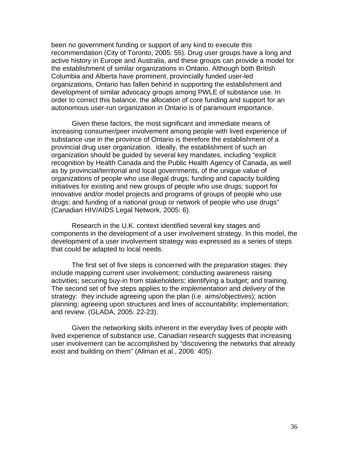been no government funding or support of any kind to execute this recommendation (City of Toronto, 2005: 55). Drug user groups have a long and active history in Europe and Australia, and these groups can provide a model for the establishment of similar organizations in Ontario. Although both British Columbia and Alberta have prominent, provincially funded user-led organizations, Ontario has fallen behind in supporting the establishment and development of similar advocacy groups among PWLE of substance use. In order to correct this balance, the allocation of core funding and support for an autonomous user-run organization in Ontario is of paramount importance.

Given these factors, the most significant and immediate means of increasing consumer/peer involvement among people with lived experience of substance use in the province of Ontario is therefore the establishment of a provincial drug user organization. Ideally, the establishment of such an organization should be guided by several key mandates, including "explicit recognition by Health Canada and the Public Health Agency of Canada, as well as by provincial/territorial and local governments, of the unique value of organizations of people who use illegal drugs; funding and capacity building initiatives for existing and new groups of people who use drugs; support for innovative and/or model projects and programs of groups of people who use drugs; and funding of a national group or network of people who use drugs" (Canadian HIV/AIDS Legal Network, 2005: 6).

Research in the U.K. context identified several key stages and components in the development of a user involvement strategy. In this model, the development of a user involvement strategy was expressed as a series of steps that could be adapted to local needs.

The first set of five steps is concerned with the *preparation* stages: they include mapping current user involvement; conducting awareness raising activities; securing buy-in from stakeholders; identifying a budget; and training. The second set of five steps applies to the *implementation* and *delivery* of the strategy: they include agreeing upon the plan (i.e. aims/objectives); action planning; agreeing upon structures and lines of accountability; implementation; and review. (GLADA, 2005: 22-23).

Given the networking skills inherent in the everyday lives of people with lived experience of substance use, Canadian research suggests that increasing user involvement can be accomplished by "discovering the networks that already exist and building on them" (Allman et al., 2006: 405).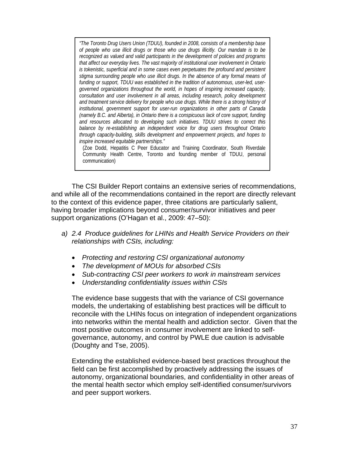*"The Toronto Drug Users Union (TDUU), founded in 2008, consists of a membership base of people who use illicit drugs or those who use drugs illicitly. Our mandate is to be recognized as valued and valid participants in the development of policies and programs that affect our everyday lives. The vast majority of institutional user involvement in Ontario is tokenistic, superficial and in some cases even perpetuates the profound and persistent stigma surrounding people who use illicit drugs. In the absence of any formal means of funding or support, TDUU was established in the tradition of autonomous, user-led, usergoverned organizations throughout the world, in hopes of inspiring increased capacity, consultation and user involvement in all areas, including research, policy development and treatment service delivery for people who use drugs. While there is a strong history of institutional, government support for user-run organizations in other parts of Canada (namely B.C. and Alberta), in Ontario there is a conspicuous lack of core support, funding and resources allocated to developing such initiatives. TDUU strives to correct this balance by re-establishing an independent voice for drug users throughout Ontario through capacity-building, skills development and empowerment projects, and hopes to inspire increased equitable partnerships."* 

(Zoe Dodd, Hepatitis C Peer Educator and Training Coordinator, South Riverdale Community Health Centre, Toronto and founding member of TDUU, personal communication)

The CSI Builder Report contains an extensive series of recommendations, and while all of the recommendations contained in the report are directly relevant to the context of this evidence paper, three citations are particularly salient, having broader implications beyond consumer/survivor initiatives and peer support organizations (O'Hagan et al., 2009: 47–50):

- *a) 2.4 Produce guidelines for LHINs and Health Service Providers on their relationships with CSIs, including:* 
	- *Protecting and restoring CSI organizational autonomy*
	- *The development of MOUs for absorbed CSIs*
	- *Sub-contracting CSI peer workers to work in mainstream services*
	- *Understanding confidentiality issues within CSIs*

The evidence base suggests that with the variance of CSI governance models, the undertaking of establishing best practices will be difficult to reconcile with the LHINs focus on integration of independent organizations into networks within the mental health and addiction sector. Given that the most positive outcomes in consumer involvement are linked to selfgovernance, autonomy, and control by PWLE due caution is advisable (Doughty and Tse, 2005).

Extending the established evidence-based best practices throughout the field can be first accomplished by proactively addressing the issues of autonomy, organizational boundaries, and confidentiality in other areas of the mental health sector which employ self-identified consumer/survivors and peer support workers.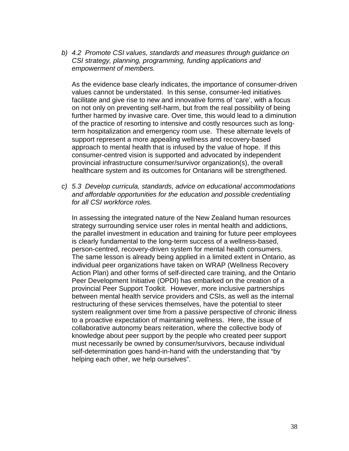*b) 4.2 Promote CSI values, standards and measures through guidance on CSI strategy, planning, programming, funding applications and empowerment of members.* 

As the evidence base clearly indicates, the importance of consumer-driven values cannot be understated. In this sense, consumer-led initiatives facilitate and give rise to new and innovative forms of 'care', with a focus on not only on preventing self-harm, but from the real possibility of being further harmed by invasive care. Over time, this would lead to a diminution of the practice of resorting to intensive and costly resources such as longterm hospitalization and emergency room use. These alternate levels of support represent a more appealing wellness and recovery-based approach to mental health that is infused by the value of hope. If this consumer-centred vision is supported and advocated by independent provincial infrastructure consumer/survivor organization(s), the overall healthcare system and its outcomes for Ontarians will be strengthened.

*c) 5.3 Develop curricula, standards, advice on educational accommodations and affordable opportunities for the education and possible credentialing for all CSI workforce roles.* 

In assessing the integrated nature of the New Zealand human resources strategy surrounding service user roles in mental health and addictions, the parallel investment in education and training for future peer employees is clearly fundamental to the long-term success of a wellness-based, person-centred, recovery-driven system for mental health consumers. The same lesson is already being applied in a limited extent in Ontario, as individual peer organizations have taken on WRAP (Wellness Recovery Action Plan) and other forms of self-directed care training, and the Ontario Peer Development Initiative (OPDI) has embarked on the creation of a provincial Peer Support Toolkit. However, more inclusive partnerships between mental health service providers and CSIs, as well as the internal restructuring of these services themselves, have the potential to steer system realignment over time from a passive perspective of chronic illness to a proactive expectation of maintaining wellness. Here, the issue of collaborative autonomy bears reiteration, where the collective body of knowledge about peer support by the people who created peer support must necessarily be owned by consumer/survivors, because individual self-determination goes hand-in-hand with the understanding that "by helping each other, we help ourselves".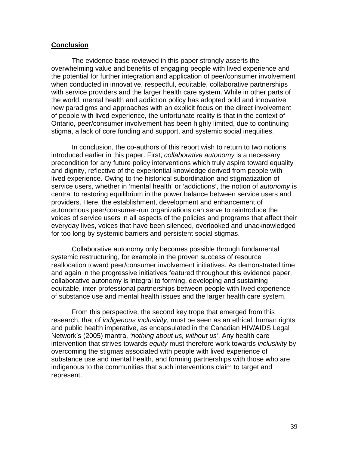#### **Conclusion**

 The evidence base reviewed in this paper strongly asserts the overwhelming value and benefits of engaging people with lived experience and the potential for further integration and application of peer/consumer involvement when conducted in innovative, respectful, equitable, collaborative partnerships with service providers and the larger health care system. While in other parts of the world, mental health and addiction policy has adopted bold and innovative new paradigms and approaches with an explicit focus on the direct involvement of people with lived experience, the unfortunate reality is that in the context of Ontario, peer/consumer involvement has been highly limited, due to continuing stigma, a lack of core funding and support, and systemic social inequities.

 In conclusion, the co-authors of this report wish to return to two notions introduced earlier in this paper. First, *collaborative autonomy* is a necessary precondition for any future policy interventions which truly aspire toward equality and dignity, reflective of the experiential knowledge derived from people with lived experience. Owing to the historical subordination and stigmatization of service users, whether in 'mental health' or 'addictions', the notion of *autonomy* is central to restoring equilibrium in the power balance between service users and providers. Here, the establishment, development and enhancement of autonomous peer/consumer-run organizations can serve to reintroduce the voices of service users in all aspects of the policies and programs that affect their everyday lives, voices that have been silenced, overlooked and unacknowledged for too long by systemic barriers and persistent social stigmas.

Collaborative autonomy only becomes possible through fundamental systemic restructuring, for example in the proven success of resource reallocation toward peer/consumer involvement initiatives. As demonstrated time and again in the progressive initiatives featured throughout this evidence paper, collaborative autonomy is integral to forming, developing and sustaining equitable, inter-professional partnerships between people with lived experience of substance use and mental health issues and the larger health care system.

From this perspective, the second key trope that emerged from this research, that of *indigenous inclusivity*, must be seen as an ethical, human rights and public health imperative, as encapsulated in the Canadian HIV/AIDS Legal Network's (2005) mantra, *'nothing about us, without us'*. Any health care intervention that strives towards *equity* must therefore work towards *inclusivity* by overcoming the stigmas associated with people with lived experience of substance use and mental health, and forming partnerships with those who are indigenous to the communities that such interventions claim to target and represent.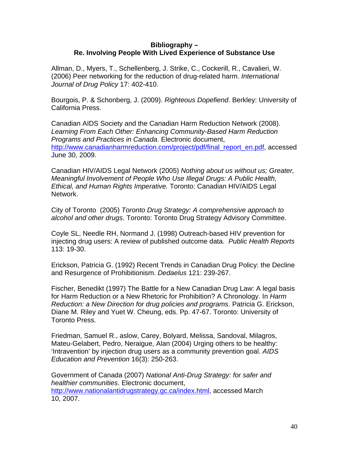### **Bibliography – Re. Involving People With Lived Experience of Substance Use**

Allman, D., Myers, T., Schellenberg, J. Strike, C., Cockerill, R., Cavalieri, W. (2006) Peer networking for the reduction of drug-related harm. *International Journal of Drug Policy* 17: 402-410.

Bourgois, P. & Schonberg, J. (2009). *Righteous Dopefiend*. Berkley: University of California Press.

Canadian AIDS Society and the Canadian Harm Reduction Network (2008). *Learning From Each Other: Enhancing Community-Based Harm Reduction Programs and Practices in Canada*. Electronic document, [http://www.canadianharmreduction.com/project/pdf/final\\_report\\_en.pdf,](http://www.canadianharmreduction.com/project/pdf/final_report_en.pdf) accessed June 30, 2009.

Canadian HIV/AIDS Legal Network (2005) *Nothing about us without us; Greater, Meaningful Involvement of People Who Use Illegal Drugs: A Public Health, Ethical, and Human Rights Imperative.* Toronto: Canadian HIV/AIDS Legal Network.

City of Toronto (2005) *Toronto Drug Strategy: A comprehensive approach to alcohol and other drugs*. Toronto: Toronto Drug Strategy Advisory Committee.

Coyle SL, Needle RH, Normand J. (1998) Outreach-based HIV prevention for injecting drug users: A review of published outcome data. *Public Health Reports* 113: 19-30.

Erickson, Patricia G. (1992) Recent Trends in Canadian Drug Policy: the Decline and Resurgence of Prohibitionism. *Dedaelus* 121: 239-267.

Fischer, Benedikt (1997) The Battle for a New Canadian Drug Law: A legal basis for Harm Reduction or a New Rhetoric for Prohibition? A Chronology. In *Harm Reduction: a New Direction for drug policies and programs*. Patricia G. Erickson, Diane M. Riley and Yuet W. Cheung, eds. Pp. 47-67. Toronto: University of Toronto Press.

Friedman, Samuel R., aslow, Carey, Bolyard, Melissa, Sandoval, Milagros, Mateu-Gelabert, Pedro, Neraigue, Alan (2004) Urging others to be healthy: 'Intravention' by injection drug users as a community prevention goal. *AIDS Education and Prevention* 16(3): 250-263.

Government of Canada (2007) *National Anti-Drug Strategy: for safer and healthier communities*. Electronic document, <http://www.nationalantidrugstrategy.gc.ca/index.html>, accessed March 10, 2007.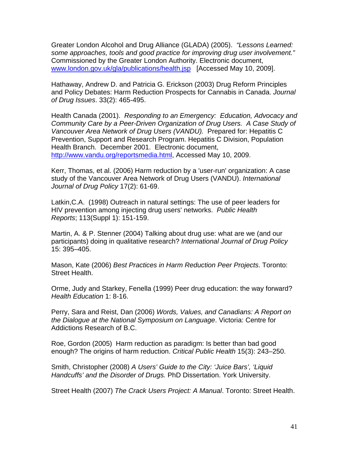Greater London Alcohol and Drug Alliance (GLADA) (2005). *"Lessons Learned: some approaches, tools and good practice for improving drug user involvement."* Commissioned by the Greater London Authority. Electronic document, [www.london.gov.uk/gla/publications/health.jsp](http://www.london.gov.uk/gla/publications/health.jsp) [Accessed May 10, 2009].

Hathaway, Andrew D. and Patricia G. Erickson (2003) Drug Reform Principles and Policy Debates: Harm Reduction Prospects for Cannabis in Canada. *Journal of Drug Issues*. 33(2): 465-495.

Health Canada (2001). *Responding to an Emergency: Education, Advocacy and Community Care by a Peer-Driven Organization of Drug Users. A Case Study of Vancouver Area Network of Drug Users (VANDU).* Prepared for: Hepatitis C Prevention, Support and Research Program. Hepatitis C Division, Population Health Branch. December 2001. Electronic document, <http://www.vandu.org/reportsmedia.html>, Accessed May 10, 2009.

Kerr, Thomas, et al. (2006) Harm reduction by a 'user-run' organization: A case study of the Vancouver Area Network of Drug Users (VANDU). *International Journal of Drug Policy* 17(2): 61-69.

Latkin,C.A. (1998) Outreach in natural settings: The use of peer leaders for HIV prevention among injecting drug users' networks. *Public Health Reports*; 113(Suppl 1): 151-159.

Martin, A. & P. Stenner (2004) Talking about drug use: what are we (and our participants) doing in qualitative research? *International Journal of Drug Policy* 15: 395–405.

Mason, Kate (2006) *Best Practices in Harm Reduction Peer Projects*. Toronto: Street Health.

Orme, Judy and Starkey, Fenella (1999) Peer drug education: the way forward? *Health Education* 1: 8-16.

Perry, Sara and Reist, Dan (2006) *Words, Values, and Canadians: A Report on the Dialogue at the National Symposium on Language*. Victoria: Centre for Addictions Research of B.C.

Roe, Gordon (2005) Harm reduction as paradigm: Is better than bad good enough? The origins of harm reduction. *Critical Public Health* 15(3): 243–250.

Smith, Christopher (2008) *A Users' Guide to the City: 'Juice Bars', 'Liquid Handcuffs' and the Disorder of Drugs.* PhD Dissertation. York University.

Street Health (2007) *The Crack Users Project: A Manual*. Toronto: Street Health.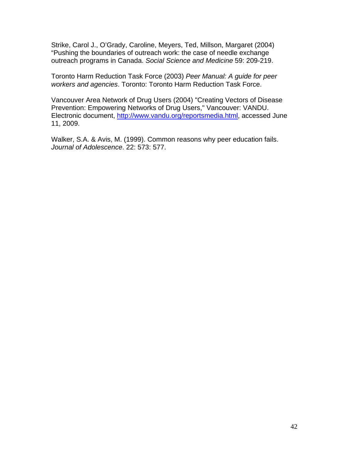Strike, Carol J., O'Grady, Caroline, Meyers, Ted, Millson, Margaret (2004) "Pushing the boundaries of outreach work: the case of needle exchange outreach programs in Canada. *Social Science and Medicine* 59: 209-219.

Toronto Harm Reduction Task Force (2003) *Peer Manual: A guide for peer workers and agencies*. Toronto: Toronto Harm Reduction Task Force.

Vancouver Area Network of Drug Users (2004) "Creating Vectors of Disease Prevention: Empowering Networks of Drug Users," Vancouver: VANDU. Electronic document, [http://www.vandu.org/reportsmedia.html,](http://www.vandu.org/reportsmedia.html) accessed June 11, 2009.

Walker, S.A. & Avis, M. (1999). Common reasons why peer education fails. *Journal of Adolescence*. 22: 573: 577.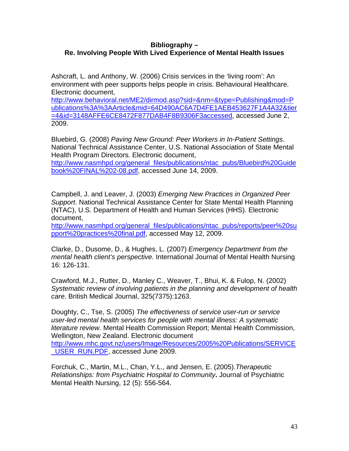### **Bibliography – Re. Involving People With Lived Experience of Mental Health Issues**

Ashcraft, L. and Anthony, W. (2006) Crisis services in the 'living room': An environment with peer supports helps people in crisis. Behavioural Healthcare. Electronic document,

[http://www.behavioral.net/ME2/dirmod.asp?sid=&nm=&type=Publishing&mod=P](http://www.behavioral.net/ME2/dirmod.asp?sid=&nm=&type=Publishing&mod=Publications%3A%3AArticle&mid=64D490AC6A7D4FE1AEB453627F1A4A32&tier=4&id=3148AFFE6CE8472F877DAB4F8B9306F3accessed) [ublications%3A%3AArticle&mid=64D490AC6A7D4FE1AEB453627F1A4A32&tier](http://www.behavioral.net/ME2/dirmod.asp?sid=&nm=&type=Publishing&mod=Publications%3A%3AArticle&mid=64D490AC6A7D4FE1AEB453627F1A4A32&tier=4&id=3148AFFE6CE8472F877DAB4F8B9306F3accessed) [=4&id=3148AFFE6CE8472F877DAB4F8B9306F3accessed](http://www.behavioral.net/ME2/dirmod.asp?sid=&nm=&type=Publishing&mod=Publications%3A%3AArticle&mid=64D490AC6A7D4FE1AEB453627F1A4A32&tier=4&id=3148AFFE6CE8472F877DAB4F8B9306F3accessed), accessed June 2, 2009.

Bluebird, G. (2008) *Paving New Ground: Peer Workers in In-Patient Settings*. National Technical Assistance Center, U.S. National Association of State Mental Health Program Directors*.* Electronic document,

[http://www.nasmhpd.org/general\\_files/publications/ntac\\_pubs/Bluebird%20Guide](http://www.nasmhpd.org/general_files/publications/ntac_pubs/Bluebird%20Guidebook%20FINAL%202-08.pdf) [book%20FINAL%202-08.pdf](http://www.nasmhpd.org/general_files/publications/ntac_pubs/Bluebird%20Guidebook%20FINAL%202-08.pdf), accessed June 14, 2009.

Campbell, J. and Leaver, J. (2003) *Emerging New Practices in Organized Peer Support*. National Technical Assistance Center for State Mental Health Planning (NTAC), U.S. Department of Health and Human Services (HHS). Electronic document,

[http://www.nasmhpd.org/general\\_files/publications/ntac\\_pubs/reports/peer%20su](http://www.nasmhpd.org/general_files/publications/ntac_pubs/reports/peer%20support%20practices%20final.pdf) [pport%20practices%20final.pdf](http://www.nasmhpd.org/general_files/publications/ntac_pubs/reports/peer%20support%20practices%20final.pdf), accessed May 12, 2009.

Clarke, D., Dusome, D., & Hughes, L. (2007) *Emergency Department from the mental health client's perspective.* International Journal of Mental Health Nursing 16: 126-131.

Crawford, M.J., Rutter, D., Manley C., Weaver, T., Bhui, K. & Fulop, N. (2002) *Systematic review of involving patients in the planning and development of health care*. British Medical Journal, 325(7375):1263.

Doughty, C., Tse, S. (2005) *The effectiveness of service user-run or service user-led mental health services for people with mental illness: A systematic literature review.* Mental Health Commission Report; Mental Health Commission, Wellington, New Zealand. Electronic document [http://www.mhc.govt.nz/users/Image/Resources/2005%20Publications/SERVICE](http://www.mhc.govt.nz/users/Image/Resources/2005%20Publications/SERVICE_USER_RUN.PDF) [\\_USER\\_RUN.PDF,](http://www.mhc.govt.nz/users/Image/Resources/2005%20Publications/SERVICE_USER_RUN.PDF) accessed June 2009.

Forchuk, C., Martin, M.L., Chan, Y.L., and Jensen, E. (2005).*Therapeutic Relationships: from Psychiatric Hospital to Community***.** Journal of Psychiatric Mental Health Nursing, 12 (5): 556-564.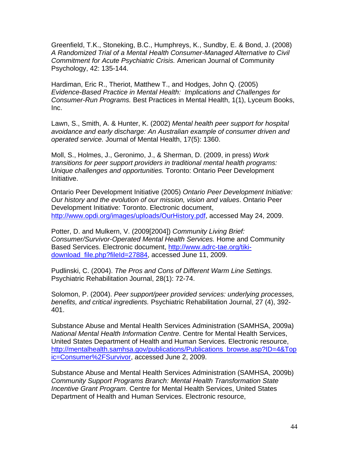Greenfield, T.K., Stoneking, B.C., Humphreys, K., Sundby, E. & Bond, J. (2008) *A Randomized Trial of a Mental Health Consumer-Managed Alternative to Civil Commitment for Acute Psychiatric Crisis.* American Journal of Community Psychology, 42: 135-144.

Hardiman, Eric R., Theriot, Matthew T., and Hodges, John Q. (2005) *Evidence-Based Practice in Mental Health: Implications and Challenges for Consumer-Run Programs.* Best Practices in Mental Health, 1(1), Lyceum Books, Inc.

Lawn, S., Smith, A. & Hunter, K. (2002) *[Mental health peer support for hospital](http://www.informaworld.com/smpp/content%7Edb=all%7Econtent=a785021916)  [avoidance and early discharge: An Australian example of consumer driven and](http://www.informaworld.com/smpp/content%7Edb=all%7Econtent=a785021916)  [operated service.](http://www.informaworld.com/smpp/content%7Edb=all%7Econtent=a785021916)* Journal of Mental Health, 17(5): 1360.

Moll, S., Holmes, J., Geronimo, J., & Sherman, D. (2009, in press) *Work transitions for peer support providers in traditional mental health programs: Unique challenges and opportunities.* Toronto: Ontario Peer Development Initiative.

Ontario Peer Development Initiative (2005) *Ontario Peer Development Initiative: Our history and the evolution of our mission, vision and values*. Ontario Peer Development Initiative: Toronto. Electronic document, [http://www.opdi.org/images/uploads/OurHistory.pdf,](http://www.opdi.org/images/uploads/OurHistory.pdf) accessed May 24, 2009.

Potter, D. and Mulkern, V. (2009[2004]) *Community Living Brief: Consumer/Survivor-Operated Mental Health Services.* Home and Community Based Services. Electronic document, [http://www.adrc-tae.org/tiki](http://www.adrc-tae.org/tiki-download_file.php?fileId=27884)[download\\_file.php?fileId=27884](http://www.adrc-tae.org/tiki-download_file.php?fileId=27884), accessed June 11, 2009.

Pudlinski, C. (2004). *The Pros and Cons of Different Warm Line Settings.* Psychiatric Rehabilitation Journal, 28(1): 72-74.

Solomon, P. (2004). *Peer support/peer provided services: underlying processes, benefits, and critical ingredients.* Psychiatric Rehabilitation Journal, 27 (4), 392- 401.

Substance Abuse and Mental Health Services Administration (SAMHSA, 2009a) *National Mental Health Information Centre*. Centre for Mental Health Services, United States Department of Health and Human Services. Electronic resource, [http://mentalhealth.samhsa.gov/publications/Publications\\_browse.asp?ID=4&Top](http://mentalhealth.samhsa.gov/publications/Publications_browse.asp?ID=4&Topic=Consumer%2FSurvivor) [ic=Consumer%2FSurvivor,](http://mentalhealth.samhsa.gov/publications/Publications_browse.asp?ID=4&Topic=Consumer%2FSurvivor) accessed June 2, 2009.

Substance Abuse and Mental Health Services Administration (SAMHSA, 2009b) *Community Support Programs Branch: Mental Health Transformation State Incentive Grant Program*. Centre for Mental Health Services, United States Department of Health and Human Services. Electronic resource,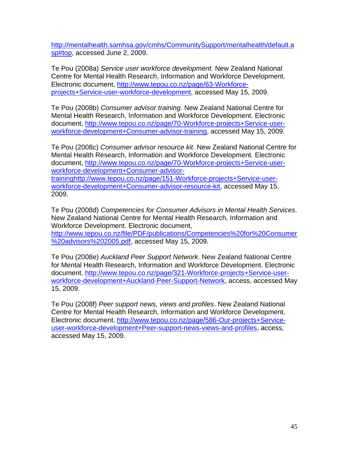[http://mentalhealth.samhsa.gov/cmhs/CommunitySupport/mentalhealth/default.a](http://mentalhealth.samhsa.gov/cmhs/CommunitySupport/mentalhealth/default.asp#top) [sp#top](http://mentalhealth.samhsa.gov/cmhs/CommunitySupport/mentalhealth/default.asp#top), accessed June 2, 2009.

Te Pou (2008a) *Service user workforce development*. New Zealand National Centre for Mental Health Research, Information and Workforce Development. Electronic document, [http://www.tepou.co.nz/page/63-Workforce](http://www.tepou.co.nz/page/63-Workforce-projects+Service-user-workforce-development)[projects+Service-user-workforce-development](http://www.tepou.co.nz/page/63-Workforce-projects+Service-user-workforce-development), accessed May 15, 2009.

Te Pou (2008b) *Consumer advisor training*. New Zealand National Centre for Mental Health Research, Information and Workforce Development. Electronic document, [http://www.tepou.co.nz/page/70-Workforce-projects+Service-user](http://www.tepou.co.nz/page/70-Workforce-projects+Service-user-workforce-development+Consumer-advisor-training)[workforce-development+Consumer-advisor-training](http://www.tepou.co.nz/page/70-Workforce-projects+Service-user-workforce-development+Consumer-advisor-training), accessed May 15, 2009.

Te Pou (2008c) *Consumer advisor resource kit*. New Zealand National Centre for Mental Health Research, Information and Workforce Development. Electronic document, [http://www.tepou.co.nz/page/70-Workforce-projects+Service-user](http://www.tepou.co.nz/page/70-Workforce-projects+Service-user-workforce-development+Consumer-advisor-training)[workforce-development+Consumer-advisor-](http://www.tepou.co.nz/page/70-Workforce-projects+Service-user-workforce-development+Consumer-advisor-training)

[training](http://www.tepou.co.nz/page/70-Workforce-projects+Service-user-workforce-development+Consumer-advisor-training)[http://www.tepou.co.nz/page/151-Workforce-projects+Service-user](http://www.tepou.co.nz/page/151-Workforce-projects+Service-user-workforce-development+Consumer-advisor-resource-kit)[workforce-development+Consumer-advisor-resource-kit](http://www.tepou.co.nz/page/151-Workforce-projects+Service-user-workforce-development+Consumer-advisor-resource-kit), accessed May 15, 2009.

Te Pou (2008d) *Competencies for Consumer Advisors in Mental Health Services*. New Zealand National Centre for Mental Health Research, Information and Workforce Development. Electronic document, [http://www.tepou.co.nz/file/PDF/publications/Competencies%20for%20Consumer](http://www.tepou.co.nz/file/PDF/publications/Competencies%20for%20Consumer%20advisors%202005.pdf) [%20advisors%202005.pdf](http://www.tepou.co.nz/file/PDF/publications/Competencies%20for%20Consumer%20advisors%202005.pdf), accessed May 15, 2009.

Te Pou (2008e) *Auckland Peer Support Network*. New Zealand National Centre for Mental Health Research, Information and Workforce Development. Electronic document, [http://www.tepou.co.nz/page/321-Workforce-projects+Service-user](http://www.tepou.co.nz/page/321-Workforce-projects+Service-user-workforce-development+Auckland-Peer-Support-Network)[workforce-development+Auckland-Peer-Support-Network](http://www.tepou.co.nz/page/321-Workforce-projects+Service-user-workforce-development+Auckland-Peer-Support-Network), access, accessed May 15, 2009.

Te Pou (2008f) *Peer support news, views and profiles*. New Zealand National Centre for Mental Health Research, Information and Workforce Development. Electronic document, [http://www.tepou.co.nz/page/586-Our-projects+Service](http://www.tepou.co.nz/page/586-Our-projects+Service-user-workforce-development+Peer-support-news-views-and-profiles)[user-workforce-development+Peer-support-news-views-and-profiles](http://www.tepou.co.nz/page/586-Our-projects+Service-user-workforce-development+Peer-support-news-views-and-profiles), access, accessed May 15, 2009.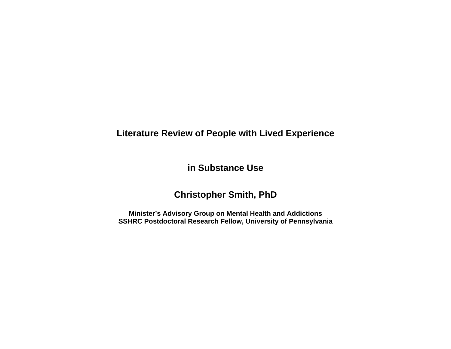## **Literature Review of People with Lived Experience**

**in Substance Use** 

## **Christopher Smith, PhD**

**Minister's Advisory Group on Mental Health and Addictions SSHRC Postdoctoral Research Fellow, University of Pennsylvania**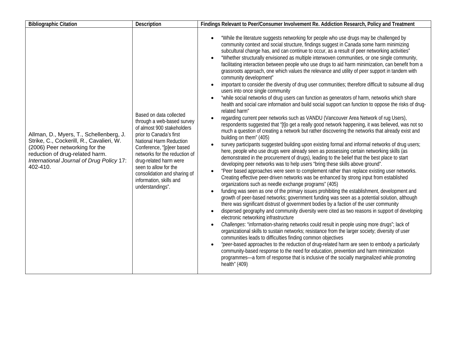| <b>Bibliographic Citation</b>                                                                                                                                                                                    | Description                                                                                                                                                                                                                                                                                                                               | Findings Relevant to Peer/Consumer Involvement Re. Addiction Research, Policy and Treatment                                                                                                                                                                                                                                                                                                                                                                                                                                                                                                                                                                                                                                                                                                                                                                                                                                                                                                                                                                                                                                                                                                                                                                                                                                                                                                                                                                                                                                                                                                                                                                                                                                                                                                                                                                                                                                                                                                                                                                                                                                                                                                                                                                                                                                                                                                                                                                                                                                                                                                                                                                                                                                                                                                                                                                                                                                                                                                                                                                                                                                     |
|------------------------------------------------------------------------------------------------------------------------------------------------------------------------------------------------------------------|-------------------------------------------------------------------------------------------------------------------------------------------------------------------------------------------------------------------------------------------------------------------------------------------------------------------------------------------|---------------------------------------------------------------------------------------------------------------------------------------------------------------------------------------------------------------------------------------------------------------------------------------------------------------------------------------------------------------------------------------------------------------------------------------------------------------------------------------------------------------------------------------------------------------------------------------------------------------------------------------------------------------------------------------------------------------------------------------------------------------------------------------------------------------------------------------------------------------------------------------------------------------------------------------------------------------------------------------------------------------------------------------------------------------------------------------------------------------------------------------------------------------------------------------------------------------------------------------------------------------------------------------------------------------------------------------------------------------------------------------------------------------------------------------------------------------------------------------------------------------------------------------------------------------------------------------------------------------------------------------------------------------------------------------------------------------------------------------------------------------------------------------------------------------------------------------------------------------------------------------------------------------------------------------------------------------------------------------------------------------------------------------------------------------------------------------------------------------------------------------------------------------------------------------------------------------------------------------------------------------------------------------------------------------------------------------------------------------------------------------------------------------------------------------------------------------------------------------------------------------------------------------------------------------------------------------------------------------------------------------------------------------------------------------------------------------------------------------------------------------------------------------------------------------------------------------------------------------------------------------------------------------------------------------------------------------------------------------------------------------------------------------------------------------------------------------------------------------------------------|
| Allman, D., Myers, T., Schellenberg, J.<br>Strike, C., Cockerill, R., Cavalieri, W.<br>(2006) Peer networking for the<br>reduction of drug-related harm.<br>International Journal of Drug Policy 17:<br>402-410. | Based on data collected<br>through a web-based survey<br>of almost 900 stakeholders<br>prior to Canada's first<br>National Harm Reduction<br>Conference, "[p]eer based<br>networks for the reduction of<br>drug-related harm were<br>seen to allow for the<br>consolidation and sharing of<br>information, skills and<br>understandings". | "While the literature suggests networking for people who use drugs may be challenged by<br>$\bullet$<br>community context and social structure, findings suggest in Canada some harm minimizing<br>subcultural change has, and can continue to occur, as a result of peer networking activities"<br>"Whether structurally envisioned as multiple interwoven communities, or one single community,<br>$\bullet$<br>facilitating interaction between people who use drugs to aid harm minimization, can benefit from a<br>grassroots approach, one which values the relevance and utility of peer support in tandem with<br>community development"<br>important to consider the diversity of drug user communities; therefore difficult to subsume all drug<br>$\bullet$<br>users into once single community<br>"while social networks of drug users can function as generators of harm, networks which share<br>$\bullet$<br>health and social care information and build social support can function to oppose the risks of drug-<br>related harm"<br>regarding current peer networks such as VANDU (Vancouver Area Network of rug Users),<br>$\bullet$<br>respondents suggested that "[t]o get a really good network happening, it was believed, was not so<br>much a question of creating a network but rather discovering the networks that already exist and<br>building on them" (405)<br>survey participants suggested building upon existing formal and informal networks of drug users;<br>$\bullet$<br>here, people who use drugs were already seen as possessing certain networking skills (as<br>demonstrated in the procurement of drugs), leading to the belief that the best place to start<br>developing peer networks was to help users "bring these skills above ground".<br>"Peer based approaches were seen to complement rather than replace existing user networks.<br>$\bullet$<br>Creating effective peer-driven networks was be enhanced by strong input from established<br>organizations such as needle exchange programs" (405)<br>funding was seen as one of the primary issues prohibiting the establishment, development and<br>$\bullet$<br>growth of peer-based networks; government funding was seen as a potential solution, although<br>there was significant distrust of government bodies by a faction of the user community<br>dispersed geography and community diversity were cited as two reasons in support of developing<br>$\bullet$<br>electronic networking infrastructure<br>Challenges: "information-sharing networks could result in people using more drugs"; lack of<br>$\bullet$<br>organizational skills to sustain networks; resistance from the larger society; diversity of user<br>communities leads to difficulties finding common objectives<br>"peer-based approaches to the reduction of drug-related harm are seen to embody a particularly<br>$\bullet$<br>community-based response to the need for education, prevention and harm minimization<br>programmes-a form of response that is inclusive of the socially marginalized while promoting<br>health" (409) |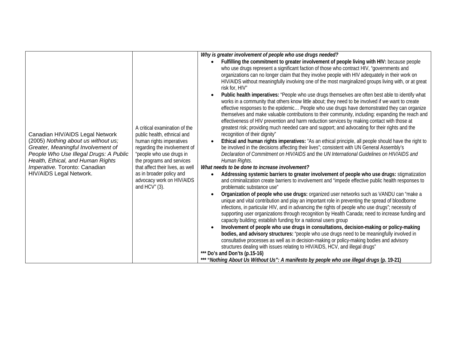| Canadian HIV/AIDS Legal Network<br>(2005) Nothing about us without us;<br>Greater, Meaningful Involvement of<br>People Who Use Illegal Drugs: A Public<br>Health, Ethical, and Human Rights<br>Imperative. Toronto: Canadian<br>HIV/AIDS Legal Network. | A critical examination of the<br>public health, ethnical and<br>human rights imperatives<br>regarding the involvement of<br>"people who use drugs in<br>the programs and services<br>that affect their lives, as well<br>as in broader policy and<br>advocacy work on HIV/AIDS<br>and $HCV''(3)$ . | Why is greater involvement of people who use drugs needed?<br>Fulfilling the commitment to greater involvement of people living with HIV: because people<br>$\bullet$<br>who use drugs represent a significant faction of those who contract HIV, "governments and<br>organizations can no longer claim that they involve people with HIV adequately in their work on<br>HIV/AIDS without meaningfully involving one of the most marginalized groups living with, or at great<br>risk for, HIV"<br>Public health imperatives: "People who use drugs themselves are often best able to identify what<br>$\bullet$<br>works in a community that others know little about; they need to be involved if we want to create<br>effective responses to the epidemic People who use drugs have demonstrated they can organize<br>themselves and make valuable contributions to their community, including: expanding the reach and<br>effectiveness of HIV prevention and harm reduction services by making contact with those at<br>greatest risk; providing much needed care and support; and advocating for their rights and the<br>recognition of their dignity"<br>Ethical and human rights imperatives: "As an ethical principle, all people should have the right to<br>be involved in the decisions affecting their lives"; consistent with UN General Assembly's<br>Declaration of Commitment on HIV/AIDS and the UN International Guidelines on HIV/AIDS and<br>Human Rights.<br>What needs to be done to increase involvement?<br>Addressing systemic barriers to greater involvement of people who use drugs: stigmatization<br>$\bullet$<br>and criminalization create barriers to involvement and "impede effective public health responses to<br>problematic substance use"<br>Organization of people who use drugs: organized user networks such as VANDU can "make a<br>$\bullet$<br>unique and vital contribution and play an important role in preventing the spread of bloodborne<br>infections, in particular HIV, and in advancing the rights of people who use drugs"; necessity of<br>supporting user organizations through recognition by Health Canada; need to increase funding and<br>capacity building; establish funding for a national users group<br>Involvement of people who use drugs in consultations, decision-making or policy-making<br>$\bullet$<br>bodies, and advisory structures: "people who use drugs need to be meaningfully involved in<br>consultative processes as well as in decision-making or policy-making bodies and advisory<br>structures dealing with issues relating to HIV/AIDS, HCV, and illegal drugs"<br>*** Do's and Don'ts (p.15-16)<br>*** "Nothing About Us Without Us": A manifesto by people who use illegal drugs (p. 19-21) |
|---------------------------------------------------------------------------------------------------------------------------------------------------------------------------------------------------------------------------------------------------------|----------------------------------------------------------------------------------------------------------------------------------------------------------------------------------------------------------------------------------------------------------------------------------------------------|-------------------------------------------------------------------------------------------------------------------------------------------------------------------------------------------------------------------------------------------------------------------------------------------------------------------------------------------------------------------------------------------------------------------------------------------------------------------------------------------------------------------------------------------------------------------------------------------------------------------------------------------------------------------------------------------------------------------------------------------------------------------------------------------------------------------------------------------------------------------------------------------------------------------------------------------------------------------------------------------------------------------------------------------------------------------------------------------------------------------------------------------------------------------------------------------------------------------------------------------------------------------------------------------------------------------------------------------------------------------------------------------------------------------------------------------------------------------------------------------------------------------------------------------------------------------------------------------------------------------------------------------------------------------------------------------------------------------------------------------------------------------------------------------------------------------------------------------------------------------------------------------------------------------------------------------------------------------------------------------------------------------------------------------------------------------------------------------------------------------------------------------------------------------------------------------------------------------------------------------------------------------------------------------------------------------------------------------------------------------------------------------------------------------------------------------------------------------------------------------------------------------------------------------------------------------------------------------------------------------------------------------------------------------------------------------------------------------------------------------------------------------------------------------|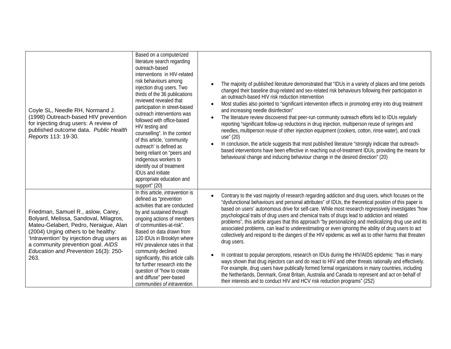| Coyle SL, Needle RH, Normand J.<br>(1998) Outreach-based HIV prevention<br>for injecting drug users: A review of<br>published outcome data. Public Health<br>Reports 113: 19-30.                                                                                                              | Based on a computerized<br>literature search regarding<br>outreach-based<br>interventions in HIV-related<br>risk behaviours among<br>injection drug users. Two<br>thirds of the 36 publications<br>reviewed revealed that<br>participation in street-based<br>outreach interventions was<br>followed with office-based<br>HIV testing and<br>counselling". In the context<br>of this article, 'community<br>outreach is defined as<br>being reliant on "peers and<br>indigenous workers to<br>identify out of treatment<br><b>IDUs and initiate</b><br>appropriate education and<br>support" (20) | The majority of published literature demonstrated that "IDUs in a variety of places and time periods<br>$\bullet$<br>changed their baseline drug-related and sex-related risk behaviours following their participation in<br>an outreach-based HIV risk reduction intervention<br>Most studies also pointed to "significant intervention effects in promoting entry into drug treatment<br>$\bullet$<br>and increasing needle disinfection"<br>The literature review discovered that peer-run community outreach efforts led to IDUs regularly<br>$\bullet$<br>reporting "significant follow-up reductions in drug injection, multiperson reuse of syringes and<br>needles, multiperson reuse of other injection equipment (cookers, cotton, rinse water), and crack<br>use" (20)<br>In conclusion, the article suggests that most published literature "strongly indicate that outreach-<br>$\bullet$<br>based interventions have been effective in reaching out-of-treatment IDUs, providing the means for<br>behavioural change and inducing behaviour change in the desired direction" (20)                                                                                                                                                                                 |
|-----------------------------------------------------------------------------------------------------------------------------------------------------------------------------------------------------------------------------------------------------------------------------------------------|---------------------------------------------------------------------------------------------------------------------------------------------------------------------------------------------------------------------------------------------------------------------------------------------------------------------------------------------------------------------------------------------------------------------------------------------------------------------------------------------------------------------------------------------------------------------------------------------------|---------------------------------------------------------------------------------------------------------------------------------------------------------------------------------------------------------------------------------------------------------------------------------------------------------------------------------------------------------------------------------------------------------------------------------------------------------------------------------------------------------------------------------------------------------------------------------------------------------------------------------------------------------------------------------------------------------------------------------------------------------------------------------------------------------------------------------------------------------------------------------------------------------------------------------------------------------------------------------------------------------------------------------------------------------------------------------------------------------------------------------------------------------------------------------------------------------------------------------------------------------------------------------|
| Friedman, Samuel R., aslow, Carey,<br>Bolyard, Melissa, Sandoval, Milagros,<br>Mateu-Gelabert, Pedro, Neraigue, Alan<br>(2004) Urging others to be healthy:<br>'Intravention' by injection drug users as<br>a community prevention goal. AIDS<br>Education and Prevention 16(3): 250-<br>263. | In this article, <i>intravention</i> is<br>defined as "prevention<br>activities that are conducted<br>by and sustained through<br>ongoing actions of members<br>of communities-at-risk".<br>Based on data drawn from<br>120 IDUs in Brooklyn where<br>HIV prevalence rates in that<br>community declined<br>significantly, this article calls<br>for further research into the<br>question of "how to create<br>and diffuse" peer-based<br>communities of intravention.                                                                                                                           | Contrary to the vast majority of research regarding addiction and drug users, which focuses on the<br>$\bullet$<br>"dysfunctional behaviours and personal attributes" of IDUs, the theoretical position of this paper is<br>based on users' autonomous drive for self-care. While most research regressively investigates "how<br>psychological traits of drug users and chemical traits of drugs lead to addiction and related<br>problems", this article argues that this approach "by personalizing and medicalizing drug use and its<br>associated problems, can lead to underestimating or even ignoring the ability of drug users to act<br>collectively and respond to the dangers of the HIV epidemic as well as to other harms that threaten<br>drug users.<br>In contrast to popular perceptions, research on IDUs during the HIV/AIDS epidemic "has in many<br>$\bullet$<br>ways shown that drug injectors can and do react to HIV and other threats rationally and effectively.<br>For example, drug users have publically formed formal organizations in many countries, including<br>the Netherlands, Denmark, Great Britain, Australia and Canada to represent and act on behalf of<br>their interests and to conduct HIV and HCV risk reduction programs" (252) |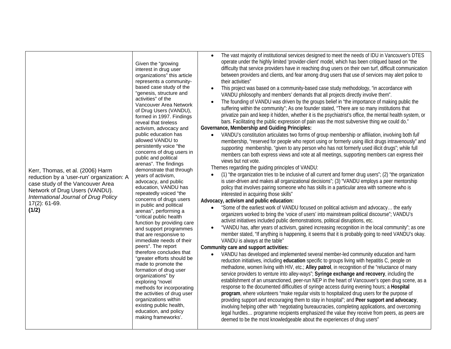| Kerr, Thomas, et al. (2006) Harm<br>reduction by a 'user-run' organization: A<br>case study of the Vancouver Area<br>Network of Drug Users (VANDU).<br>International Journal of Drug Policy<br>$17(2)$ : 61-69.<br>(1/2) | Given the "growing<br>interest in drug user<br>organizations" this article<br>represents a community-<br>based case study of the<br>"genesis, structure and<br>activities" of the<br>Vancouver Area Network<br>of Drug Users (VANDU),<br>formed in 1997. Findings<br>reveal that tireless<br>activism, advocacy and<br>public education has<br>allowed VANDU to<br>persistently voice "the<br>concerns of drug users in<br>public and political<br>arenas". The findings<br>demonstrate that through<br>years of activism,<br>advocacy, and public<br>education, VANDU has<br>repeatedly voiced "the<br>concerns of drugs users<br>in public and political<br>arenas", performing a<br>"critical public health<br>function by providing care<br>and support programmes<br>that are responsive to<br>immediate needs of their<br>peers". The report<br>therefore concludes that<br>"greater efforts should be<br>made to promote the<br>formation of drug user<br>organizations" by<br>exploring "novel<br>methods for incorporating<br>the activities of drug user<br>organizations within<br>existing public health,<br>education, and policy<br>making frameworks'. | The vast majority of institutional services designed to meet the needs of IDU in Vancouver's DTES<br>$\bullet$<br>operate under the highly limited 'provider-client' model, which has been critiqued based on "the<br>difficulty that service providers have in reaching drug users on their own turf, difficult communication<br>between providers and clients, and fear among drug users that use of services may alert police to<br>their activities"<br>This project was based on a community-based case study methodology, "in accordance with<br>$\bullet$<br>VANDU philosophy and members' demands that all projects directly involve them".<br>The founding of VANDU was driven by the groups belief in "the importance of making public the<br>suffering within the community"; As one founder stated, "There are so many institutions that<br>privatize pain and keep it hidden, whether it is the psychiatrist's office, the mental health system, or<br>bars. Facilitating the public expression of pain was the most subversive thing we could do."<br>Governance, Membership and Guiding Principles:<br>VANDU's constitution articulates two forms of group membership or affiliation, involving both full<br>$\bullet$<br>membership, "reserved for people who report using or formerly using illicit drugs intravenously" and<br>supporting membership, "given to any person who has not formerly used illicit drugs"; while full<br>members can both express views and vote at all meetings, supporting members can express their<br>views but not vote.<br>Themes regarding the guiding principles of VANDU:<br>(1) "the organization tries to be inclusive of all current and former drug users"; (2) "the organization<br>is user-driven and makes all organizational decisions"; (3) "VANDU employs a peer mentorship<br>policy that involves pairing someone who has skills in a particular area with someone who is<br>interested in acquiring those skills"<br>Advocacy, activism and public education:<br>"Some of the earliest work of VANDU focused on political activism and advocacy the early<br>$\bullet$<br>organizers worked to bring the 'voice of users' into mainstream political discourse"; VANDU's<br>activist initiatives included public demonstrations, political disruptions, etc.<br>"VANDU has, after years of activism, gained increasing recognition in the local community"; as one<br>$\bullet$<br>member stated, "If anything is happening, it seems that it is probably going to need VANDU's okay.<br>VANDU is always at the table"<br>Community care and support activities:<br>VANDU has developed and implemented several member-led community education and harm<br>$\bullet$<br>reduction initiatives, including education specific to groups living with hepatitis C, people on<br>methadone, women living with HIV, etc.; Alley patrol, in recognition of the "reluctance of many<br>service providers to venture into alley-ways"; Syringe exchange and recovery, including the<br>establishment of an unsanctioned, peer-run NEP in the heart of Vancouver's open drug scene, as a<br>response to the documented difficulties of syringe access during evening hours; a Hospital<br>program, where volunteers "make regular visits to hospitalized drug users for the purpose of<br>providing support and encouraging them to stay in hospital"; and Peer support and advocacy,<br>involving helping other with "negotiating bureaucracies, completing applications, and overcoming<br>legal hurdles programme recipients emphasized the value they receive from peers, as peers are<br>deemed to be the most knowledgeable about the experiences of drug users" |
|--------------------------------------------------------------------------------------------------------------------------------------------------------------------------------------------------------------------------|-----------------------------------------------------------------------------------------------------------------------------------------------------------------------------------------------------------------------------------------------------------------------------------------------------------------------------------------------------------------------------------------------------------------------------------------------------------------------------------------------------------------------------------------------------------------------------------------------------------------------------------------------------------------------------------------------------------------------------------------------------------------------------------------------------------------------------------------------------------------------------------------------------------------------------------------------------------------------------------------------------------------------------------------------------------------------------------------------------------------------------------------------------------------------|-------------------------------------------------------------------------------------------------------------------------------------------------------------------------------------------------------------------------------------------------------------------------------------------------------------------------------------------------------------------------------------------------------------------------------------------------------------------------------------------------------------------------------------------------------------------------------------------------------------------------------------------------------------------------------------------------------------------------------------------------------------------------------------------------------------------------------------------------------------------------------------------------------------------------------------------------------------------------------------------------------------------------------------------------------------------------------------------------------------------------------------------------------------------------------------------------------------------------------------------------------------------------------------------------------------------------------------------------------------------------------------------------------------------------------------------------------------------------------------------------------------------------------------------------------------------------------------------------------------------------------------------------------------------------------------------------------------------------------------------------------------------------------------------------------------------------------------------------------------------------------------------------------------------------------------------------------------------------------------------------------------------------------------------------------------------------------------------------------------------------------------------------------------------------------------------------------------------------------------------------------------------------------------------------------------------------------------------------------------------------------------------------------------------------------------------------------------------------------------------------------------------------------------------------------------------------------------------------------------------------------------------------------------------------------------------------------------------------------------------------------------------------------------------------------------------------------------------------------------------------------------------------------------------------------------------------------------------------------------------------------------------------------------------------------------------------------------------------------------------------------------------------------------------------------------------------------------------------------------------------------------------------------------------------------------------------------------------------------------------------------------------------------------------------------------------------------------------------------------------------------------------------------------------------------------------------------------------------------------------------------------------------------------------------------------------------------------------------------|
|--------------------------------------------------------------------------------------------------------------------------------------------------------------------------------------------------------------------------|-----------------------------------------------------------------------------------------------------------------------------------------------------------------------------------------------------------------------------------------------------------------------------------------------------------------------------------------------------------------------------------------------------------------------------------------------------------------------------------------------------------------------------------------------------------------------------------------------------------------------------------------------------------------------------------------------------------------------------------------------------------------------------------------------------------------------------------------------------------------------------------------------------------------------------------------------------------------------------------------------------------------------------------------------------------------------------------------------------------------------------------------------------------------------|-------------------------------------------------------------------------------------------------------------------------------------------------------------------------------------------------------------------------------------------------------------------------------------------------------------------------------------------------------------------------------------------------------------------------------------------------------------------------------------------------------------------------------------------------------------------------------------------------------------------------------------------------------------------------------------------------------------------------------------------------------------------------------------------------------------------------------------------------------------------------------------------------------------------------------------------------------------------------------------------------------------------------------------------------------------------------------------------------------------------------------------------------------------------------------------------------------------------------------------------------------------------------------------------------------------------------------------------------------------------------------------------------------------------------------------------------------------------------------------------------------------------------------------------------------------------------------------------------------------------------------------------------------------------------------------------------------------------------------------------------------------------------------------------------------------------------------------------------------------------------------------------------------------------------------------------------------------------------------------------------------------------------------------------------------------------------------------------------------------------------------------------------------------------------------------------------------------------------------------------------------------------------------------------------------------------------------------------------------------------------------------------------------------------------------------------------------------------------------------------------------------------------------------------------------------------------------------------------------------------------------------------------------------------------------------------------------------------------------------------------------------------------------------------------------------------------------------------------------------------------------------------------------------------------------------------------------------------------------------------------------------------------------------------------------------------------------------------------------------------------------------------------------------------------------------------------------------------------------------------------------------------------------------------------------------------------------------------------------------------------------------------------------------------------------------------------------------------------------------------------------------------------------------------------------------------------------------------------------------------------------------------------------------------------------------------------------------------------------|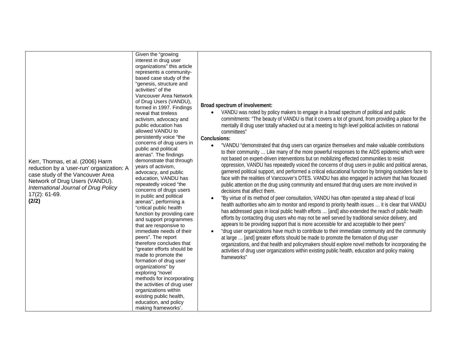|                                                                                                                                                                                                                          | Given the "growing<br>interest in drug user<br>organizations" this article<br>represents a community-<br>based case study of the<br>"genesis, structure and<br>activities" of the<br>Vancouver Area Network<br>of Drug Users (VANDU),<br>formed in 1997. Findings<br>reveal that tireless                                                                                                                                                                                                                                                                                                                                                                                                                                                                                                                                                                                | Broad spectrum of involvement:<br>VANDU was noted by policy makers to engage in a broad spectrum of political and public                                                                                                                                                                                                                                                                                                                                                                                                                                                                                                                                                                                                                                                                                                                                                                                                                                                                                                                                                                                                                                                                                                                                                                                                                                                                                                                                                                                                                                                                                                                                                                                                                                                                                                                                                                                                                       |
|--------------------------------------------------------------------------------------------------------------------------------------------------------------------------------------------------------------------------|--------------------------------------------------------------------------------------------------------------------------------------------------------------------------------------------------------------------------------------------------------------------------------------------------------------------------------------------------------------------------------------------------------------------------------------------------------------------------------------------------------------------------------------------------------------------------------------------------------------------------------------------------------------------------------------------------------------------------------------------------------------------------------------------------------------------------------------------------------------------------|------------------------------------------------------------------------------------------------------------------------------------------------------------------------------------------------------------------------------------------------------------------------------------------------------------------------------------------------------------------------------------------------------------------------------------------------------------------------------------------------------------------------------------------------------------------------------------------------------------------------------------------------------------------------------------------------------------------------------------------------------------------------------------------------------------------------------------------------------------------------------------------------------------------------------------------------------------------------------------------------------------------------------------------------------------------------------------------------------------------------------------------------------------------------------------------------------------------------------------------------------------------------------------------------------------------------------------------------------------------------------------------------------------------------------------------------------------------------------------------------------------------------------------------------------------------------------------------------------------------------------------------------------------------------------------------------------------------------------------------------------------------------------------------------------------------------------------------------------------------------------------------------------------------------------------------------|
| Kerr, Thomas, et al. (2006) Harm<br>reduction by a 'user-run' organization: A<br>case study of the Vancouver Area<br>Network of Drug Users (VANDU).<br>International Journal of Drug Policy<br>$17(2)$ : 61-69.<br>(2/2) | activism, advocacy and<br>public education has<br>allowed VANDU to<br>persistently voice "the<br>concerns of drug users in<br>public and political<br>arenas". The findings<br>demonstrate that through<br>years of activism,<br>advocacy, and public<br>education, VANDU has<br>repeatedly voiced "the<br>concerns of drugs users<br>in public and political<br>arenas", performing a<br>"critical public health<br>function by providing care<br>and support programmes<br>that are responsive to<br>immediate needs of their<br>peers". The report<br>therefore concludes that<br>"greater efforts should be<br>made to promote the<br>formation of drug user<br>organizations" by<br>exploring "novel<br>methods for incorporating<br>the activities of drug user<br>organizations within<br>existing public health,<br>education, and policy<br>making frameworks'. | commitments: "The beauty of VANDU is that it covers a lot of ground, from providing a place for the<br>mentally ill drug user totally whacked out at a meeting to high level political activities on national<br>committees"<br>Conclusions:<br>"VANDU "demonstrated that drug users can organize themselves and make valuable contributions<br>$\bullet$<br>to their community  Like many of the more powerful responses to the AIDS epidemic which were<br>not based on expert-driven interventions but on mobilizing effected communities to resist<br>oppression, VANDU has repeatedly voiced the concerns of drug users in public and political arenas,<br>garnered political support, and performed a critical educational function by bringing outsiders face to<br>face with the realities of Vancouver's DTES. VANDU has also engaged in activism that has focused<br>public attention on the drug using community and ensured that drug users are more involved in<br>decisions that affect them.<br>"By virtue of its method of peer consultation, VANDU has often operated a step ahead of local<br>health authorities who aim to monitor and respond to priority health issues  it is clear that VANDU<br>has addressed gaps in local public health efforts  [and] also extended the reach of public health<br>efforts by contacting drug users who may not be well served by traditional service delivery, and<br>appears to be providing support that is more accessible for and acceptable to their peers"<br>"drug user organizations have much to contribute to their immediate community and the community<br>at large  [and] greater efforts should be made to promote the formation of drug user<br>organizations, and that health and policymakers should explore novel methods for incorporating the<br>activities of drug user organizations within existing public health, education and policy making<br>frameworks" |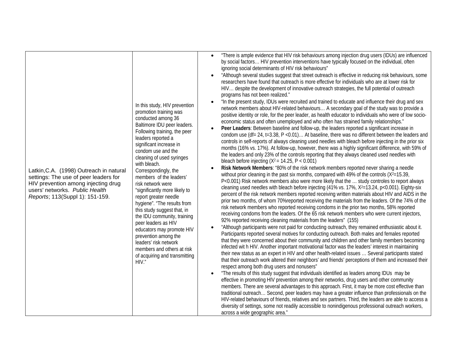| In this study, HIV prevention<br>promotion training was<br>conducted among 36<br>Baltimore IDU peer leaders.<br>Following training, the peer<br>leaders reported a<br>significant increase in<br>condom use and the<br>cleaning of used syringes<br>with bleach.<br>Latkin, C.A. (1998) Outreach in natural<br>Correspondingly, the<br>settings: The use of peer leaders for<br>members of the leaders'<br>risk network were<br>HIV prevention among injecting drug<br>users' networks. Public Health<br>"significantly more likely to<br>Reports; 113(Suppl 1): 151-159.<br>report greater needle<br>hygiene". "The results from<br>this study suggest that, in<br>the IDU community, training<br>peer leaders as HIV<br>educators may promote HIV<br>prevention among the<br>leaders' risk network<br>members and others at risk | "There is ample evidence that HIV risk behaviours among injection drug users (IDUs) are influenced<br>$\bullet$<br>by social factors HIV prevention interventions have typically focused on the individual, often<br>ignoring social determinants of HIV risk behaviours"<br>"Although several studies suggest that street outreach is effective in reducing risk behaviours, some<br>$\bullet$<br>researchers have found that outreach is more effective for individuals who are at lower risk for<br>HIV despite the development of innovative outreach strategies, the full potential of outreach<br>programs has not been realized."<br>"In the present study, IDUs were recruited and trained to educate and influence their drug and sex<br>$\bullet$<br>network members about HIV-related behaviours A secondary goal of the study was to provide a<br>positive identity or role, for the peer leader, as health educator to individuals who were of low socio-<br>economic status and often unemployed and who often has strained family relationships."<br>Peer Leaders: Between baseline and follow-up, the leaders reported a significant increase in<br>$\bullet$<br>condom use (df= 24, t=3.38, P < 0.01) At baseline, there was no different between the leaders and<br>controls in self-reports of always cleaning used needles with bleach before injecting in the prior six<br>months (16% vs. 17%). At follow-up, however, there was a highly significant difference, with 59% of<br>the leaders and only 23% of the controls reporting that they always cleaned used needles with<br>bleach before injecting ( $X^2 = 14.25$ , P < 0.001)<br>Risk Network Members: "80% of the risk network members reported never sharing a needle<br>$\bullet$<br>without prior cleaning in the past six months, compared with 49% of the controls ( $X^2=15.39$ ,<br>P<0.001) Risk network members also were more likely that the  study controles to report always<br>cleaning used needles with bleach before injecting (41% vs. 17%, X <sup>2</sup> =13.24, p<0.001). Eighty-six<br>percent of the risk network members reported receiving written materials about HIV and AIDS in the<br>prior two months, of whom 70% reported receiving the materials from the leaders. Of the 74% of the<br>risk network members who reported receiving condoms in the prior two months, 58% reported<br>receiving condoms from the leaders. Of the 65 risk network members who were current injectors,<br>92% reported receiving cleaning materials from the leaders" (155)<br>"Although participants were not paid for conducting outreach, they remained enthusiastic about it.<br>$\bullet$<br>Participants reported several motives for conducting outreach. Both males and females reported<br>that they were concerned about their community and children and other family members becoming<br>infected wit h HIV. Another important motivational factor was the leaders' interest in maintaining |
|------------------------------------------------------------------------------------------------------------------------------------------------------------------------------------------------------------------------------------------------------------------------------------------------------------------------------------------------------------------------------------------------------------------------------------------------------------------------------------------------------------------------------------------------------------------------------------------------------------------------------------------------------------------------------------------------------------------------------------------------------------------------------------------------------------------------------------|-------------------------------------------------------------------------------------------------------------------------------------------------------------------------------------------------------------------------------------------------------------------------------------------------------------------------------------------------------------------------------------------------------------------------------------------------------------------------------------------------------------------------------------------------------------------------------------------------------------------------------------------------------------------------------------------------------------------------------------------------------------------------------------------------------------------------------------------------------------------------------------------------------------------------------------------------------------------------------------------------------------------------------------------------------------------------------------------------------------------------------------------------------------------------------------------------------------------------------------------------------------------------------------------------------------------------------------------------------------------------------------------------------------------------------------------------------------------------------------------------------------------------------------------------------------------------------------------------------------------------------------------------------------------------------------------------------------------------------------------------------------------------------------------------------------------------------------------------------------------------------------------------------------------------------------------------------------------------------------------------------------------------------------------------------------------------------------------------------------------------------------------------------------------------------------------------------------------------------------------------------------------------------------------------------------------------------------------------------------------------------------------------------------------------------------------------------------------------------------------------------------------------------------------------------------------------------------------------------------------------------------------------------------------------------------------------------------------------------------------------------------------------------------------------------------------------------------------------------------------------------------------------------------------------------------------------------------------------------------------------------|
| of acquiring and transmitting<br>HIV."                                                                                                                                                                                                                                                                                                                                                                                                                                                                                                                                                                                                                                                                                                                                                                                             | their new status as an expert in HIV and other health-related issues  Several participants stated<br>that their outreach work altered their neighbors' and friends' perceptions of them and increased their<br>respect among both drug users and nonusers"<br>"The results of this study suggest that individuals identified as leaders among IDUs may be<br>$\bullet$<br>effective in promoting HIV prevention among their networks, drug users and other community<br>members. There are several advantages to this approach. First, it may be more cost effective than<br>traditional outreach Second, peer leaders may have a greater influence than professionals on the<br>HIV-related behaviours of friends, relatives and sex partners. Third, the leaders are able to access a<br>diversity of settings, some not readily accessible to nonindigenous professional outreach workers,<br>across a wide geographic area."                                                                                                                                                                                                                                                                                                                                                                                                                                                                                                                                                                                                                                                                                                                                                                                                                                                                                                                                                                                                                                                                                                                                                                                                                                                                                                                                                                                                                                                                                                                                                                                                                                                                                                                                                                                                                                                                                                                                                                                                                                                                      |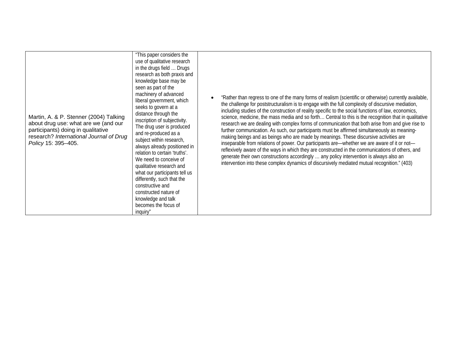| Martin, A. & P. Stenner (2004) Talking<br>about drug use: what are we (and our<br>participants) doing in qualitative<br>research? International Journal of Drug<br>Policy 15: 395-405. | "This paper considers the<br>use of qualitative research<br>in the drugs field  Drugs<br>research as both praxis and<br>knowledge base may be<br>seen as part of the<br>machinery of advanced<br>liberal government, which<br>seeks to govern at a<br>distance through the<br>inscription of subjectivity.<br>The drug user is produced<br>and re-produced as a<br>subject within research,<br>always already positioned in<br>relation to certain 'truths'.<br>We need to conceive of<br>qualitative research and<br>what our participants tell us<br>differently, such that the<br>constructive and<br>constructed nature of<br>knowledge and talk<br>becomes the focus of<br>inquiry" | "Rather than regress to one of the many forms of realism (scientific or otherwise) currently available,<br>the challenge for poststructuralism is to engage with the full complexity of discursive mediation,<br>including studies of the construction of reality specific to the social functions of law, economics,<br>science, medicine, the mass media and so forth Central to this is the recognition that in qualitative<br>research we are dealing with complex forms of communication that both arise from and give rise to<br>further communication. As such, our participants must be affirmed simultaneously as meaning-<br>making beings and as beings who are made by meanings. These discursive activities are<br>inseparable from relations of power. Our participants are-whether we are aware of it or not-<br>reflexively aware of the ways in which they are constructed in the communications of others, and<br>generate their own constructions accordingly  any policy intervention is always also an<br>intervention into these complex dynamics of discursively mediated mutual recognition." (403) |
|----------------------------------------------------------------------------------------------------------------------------------------------------------------------------------------|------------------------------------------------------------------------------------------------------------------------------------------------------------------------------------------------------------------------------------------------------------------------------------------------------------------------------------------------------------------------------------------------------------------------------------------------------------------------------------------------------------------------------------------------------------------------------------------------------------------------------------------------------------------------------------------|-----------------------------------------------------------------------------------------------------------------------------------------------------------------------------------------------------------------------------------------------------------------------------------------------------------------------------------------------------------------------------------------------------------------------------------------------------------------------------------------------------------------------------------------------------------------------------------------------------------------------------------------------------------------------------------------------------------------------------------------------------------------------------------------------------------------------------------------------------------------------------------------------------------------------------------------------------------------------------------------------------------------------------------------------------------------------------------------------------------------------------|
|----------------------------------------------------------------------------------------------------------------------------------------------------------------------------------------|------------------------------------------------------------------------------------------------------------------------------------------------------------------------------------------------------------------------------------------------------------------------------------------------------------------------------------------------------------------------------------------------------------------------------------------------------------------------------------------------------------------------------------------------------------------------------------------------------------------------------------------------------------------------------------------|-----------------------------------------------------------------------------------------------------------------------------------------------------------------------------------------------------------------------------------------------------------------------------------------------------------------------------------------------------------------------------------------------------------------------------------------------------------------------------------------------------------------------------------------------------------------------------------------------------------------------------------------------------------------------------------------------------------------------------------------------------------------------------------------------------------------------------------------------------------------------------------------------------------------------------------------------------------------------------------------------------------------------------------------------------------------------------------------------------------------------------|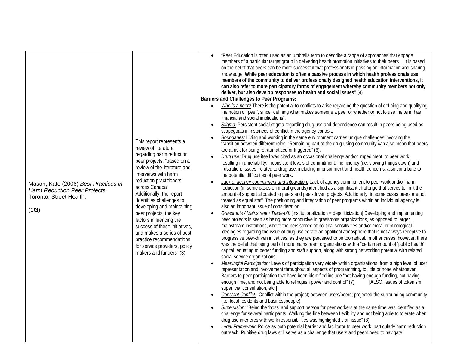| Mason, Kate (2006) Best Practices in<br>Harm Reduction Peer Projects.<br>Toronto: Street Health.<br>(1/3) | This report represents a<br>review of literature<br>regarding harm reduction<br>peer projects, "based on a<br>review of the literature and<br>interviews with harm<br>reduction practitioners<br>across Canada"<br>Additionally, the report<br>"identifies challenges to<br>developing and maintaining<br>peer projects, the key<br>factors influencing the<br>success of these initiatives.<br>and makes a series of best<br>practice recommendations<br>for service providers, policy<br>makers and funders" (3). | "Peer Education is often used as an umbrella term to describe a range of approaches that engage<br>members of a particular target group in delivering health promotion initiatives to their peers It is based<br>on the belief that peers can be more successful that professionals in passing on information and sharing<br>knowledge. While peer education is often a passive process in which health professionals use<br>members of the community to deliver professionally designed health education interventions, it<br>can also refer to more participatory forms of engagement whereby community members not only<br>deliver, but also develop responses to health and social issues" (4)<br><b>Barriers and Challenges to Peer Programs:</b><br>Who is a peer? There is the potential to conflicts to arise regarding the question of defining and qualifying<br>$\bullet$<br>the notion of 'peer', since "defining what makes someone a peer or whether or not to use the term has<br>financial and social implications".<br>Stigma: Persistent social stigma regarding drug use and dependence can result in peers being used as<br>$\bullet$<br>scapegoats in instances of conflict in the agency context.<br>Boundaries: Living and working in the same environment carries unique challenges involving the<br>$\bullet$<br>transition between different roles; "Remaining part of the drug-using community can also mean that peers<br>are at risk for being retraumatized or triggered" (6).<br>Drug use: Drug use itself was cited as an occasional challenge and/or impediment to peer work,<br>$\bullet$<br>resulting in unreliability, inconsistent levels of commitment, inefficiency (i.e. slowing things down) and<br>frustration. Issues related to drug use, including imprisonment and health concerns, also contribute to<br>the potential difficulties of peer work.<br>Lack of agency commitment and integration: Lack of agency commitment to peer work and/or harm<br>$\bullet$<br>reduction (in some cases on moral grounds) identified as a significant challenge that serves to limit the<br>amount of support allocated to peers and peer-driven projects. Additionally, in some cases peers are not<br>treated as equal staff. The positioning and integration of peer programs within an individual agency is<br>also an important issue of consideration<br>Grassroots / Mainstream Trade-off: [institutionalization = depoliticization] Developing and implementing<br>$\bullet$<br>peer projects is seen as being more conducive in grassroots organizations, as opposed to larger<br>mainstream institutions, where the persistence of political sensitivities and/or moral-criminological<br>ideologies regarding the issue of drug use cerate an apolitical atmosphere that is not always receptive to<br>progressive peer-driven initiatives, as they are perceived to be too radical. In other cases, however, there<br>was the belief that being part of more mainstream organizations with a "certain amount of 'public health'<br>capital, equating to better funding and staff support, along with strong networking potential with related<br>social service organizations.<br>Meaningful Participation: Levels of participation vary widely within organizations, from a high level of user<br>$\bullet$<br>representation and involvement throughout all aspects of programming, to little or none whatsoever.<br>Barriers to peer participation that have been identified include "not having enough funding, not having<br>enough time, and not being able to relinquish power and control" (7)<br>[ALSO, issues of tokenism;<br>superficial consultation, etc.]<br>Constant Conflict: Conflict within the project; between users/peers; projected the surrounding community<br>$\bullet$<br>(i.e. local residents and businesspeople).<br>Supervision: "Being the 'boss' and support person for peer workers at the same time was identified as a<br>$\bullet$<br>challenge for several participants. Walking the line between flexibility and not being able to tolerate when<br>drug use interferes with work responsibilities was highlighted s an issue" (8).<br>Legal Framework: Police as both potential barrier and facilitator to peer work, particularly harm reduction<br>outreach. Punitive drug laws still serve as a challenge that users and peers need to navigate. |
|-----------------------------------------------------------------------------------------------------------|---------------------------------------------------------------------------------------------------------------------------------------------------------------------------------------------------------------------------------------------------------------------------------------------------------------------------------------------------------------------------------------------------------------------------------------------------------------------------------------------------------------------|-------------------------------------------------------------------------------------------------------------------------------------------------------------------------------------------------------------------------------------------------------------------------------------------------------------------------------------------------------------------------------------------------------------------------------------------------------------------------------------------------------------------------------------------------------------------------------------------------------------------------------------------------------------------------------------------------------------------------------------------------------------------------------------------------------------------------------------------------------------------------------------------------------------------------------------------------------------------------------------------------------------------------------------------------------------------------------------------------------------------------------------------------------------------------------------------------------------------------------------------------------------------------------------------------------------------------------------------------------------------------------------------------------------------------------------------------------------------------------------------------------------------------------------------------------------------------------------------------------------------------------------------------------------------------------------------------------------------------------------------------------------------------------------------------------------------------------------------------------------------------------------------------------------------------------------------------------------------------------------------------------------------------------------------------------------------------------------------------------------------------------------------------------------------------------------------------------------------------------------------------------------------------------------------------------------------------------------------------------------------------------------------------------------------------------------------------------------------------------------------------------------------------------------------------------------------------------------------------------------------------------------------------------------------------------------------------------------------------------------------------------------------------------------------------------------------------------------------------------------------------------------------------------------------------------------------------------------------------------------------------------------------------------------------------------------------------------------------------------------------------------------------------------------------------------------------------------------------------------------------------------------------------------------------------------------------------------------------------------------------------------------------------------------------------------------------------------------------------------------------------------------------------------------------------------------------------------------------------------------------------------------------------------------------------------------------------------------------------------------------------------------------------------------------------------------------------------------------------------------------------------------------------------------------------------------------------------------------------------------------------------------------------------------------------------------------------------------------------------------------------------------------------------------------------------------------------------------------------------------------------------------------------------------------------------------------------------------------------------------------------------------------------------------------------------------------|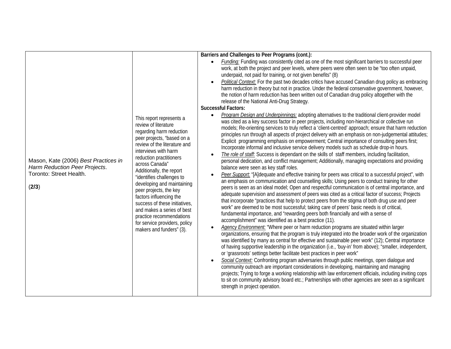| Mason, Kate (2006) Best Practices in<br>Harm Reduction Peer Projects.<br>Toronto: Street Health.<br>(2/3) | This report represents a<br>review of literature<br>regarding harm reduction<br>peer projects, "based on a<br>review of the literature and<br>interviews with harm<br>reduction practitioners<br>across Canada"<br>Additionally, the report<br>"identifies challenges to<br>developing and maintaining<br>peer projects, the key<br>factors influencing the<br>success of these initiatives,<br>and makes a series of best<br>practice recommendations<br>for service providers, policy<br>makers and funders" (3). | Barriers and Challenges to Peer Programs (cont.):<br>Funding: Funding was consistently cited as one of the most significant barriers to successful peer<br>$\bullet$<br>work, at both the project and peer levels, where peers were often seen to be "too often unpaid,<br>underpaid, not paid for training, or not given benefits" (8)<br>Political Context: For the past two decades critics have accused Canadian drug policy as embracing<br>$\bullet$<br>harm reduction in theory but not in practice. Under the federal conservative government, however,<br>the notion of harm reduction has been written out of Canadian drug policy altogether with the<br>release of the National Anti-Drug Strategy.<br><b>Successful Factors:</b><br>Program Design and Underpinnings: adopting alternatives to the traditional client-provider model<br>$\bullet$<br>was cited as a key success factor in peer projects, including non-hierarchical or collective run<br>models; Re-orienting services to truly reflect a 'client-centred' approach; ensure that harm reduction<br>principles run through all aspects of project delivery with an emphasis on non-judgemental attitudes;<br>Explicit programming emphasis on empowerment; Central importance of consulting peers first;<br>Incorporate informal and inclusive service delivery models such as schedule drop-in hours.<br>The role of staff: Success is dependant on the skills of staff members, including facilitation,<br>$\bullet$<br>personal dedication, and conflict management; Additionally, managing expectations and providing<br>balance were seen as key staff roles.<br>Peer Support: "[A]dequate and effective training for peers was critical to a successful project", with<br>$\bullet$<br>an emphasis on communication and counselling skills; Using peers to conduct training for other<br>peers is seen as an ideal model; Open and respectful communication is of central importance, and<br>adequate supervision and assessment of peers was cited as a critical factor of success; Projects<br>that incorporate "practices that help to protect peers from the stigma of both drug use and peer<br>work" are deemed to be most successful; taking care of peers' basic needs is of critical,<br>fundamental importance, and "rewarding peers both financially and with a sense of<br>accomplishment" was identified as a best practice (11).<br>Agency Environment: "Where peer or harm reduction programs are situated within larger<br>$\bullet$<br>organizations, ensuring that the program is truly integrated into the broader work of the organization<br>was identified by many as central for effective and sustainable peer work" (12); Central importance<br>of having supportive leadership in the organization (i.e., 'buy-in' from above); "smaller, independent,<br>or 'grassroots' settings better facilitate best practices in peer work"<br>Social Context: Confronting program adversaries through public meetings, open dialogue and<br>$\bullet$<br>community outreach are important considerations in developing, maintaining and managing<br>projects; Trying to forge a working relationship with law enforcement officials, including inviting cops<br>to sit on community advisory board etc.; Partnerships with other agencies are seen as a significant<br>strength in project operation. |
|-----------------------------------------------------------------------------------------------------------|---------------------------------------------------------------------------------------------------------------------------------------------------------------------------------------------------------------------------------------------------------------------------------------------------------------------------------------------------------------------------------------------------------------------------------------------------------------------------------------------------------------------|----------------------------------------------------------------------------------------------------------------------------------------------------------------------------------------------------------------------------------------------------------------------------------------------------------------------------------------------------------------------------------------------------------------------------------------------------------------------------------------------------------------------------------------------------------------------------------------------------------------------------------------------------------------------------------------------------------------------------------------------------------------------------------------------------------------------------------------------------------------------------------------------------------------------------------------------------------------------------------------------------------------------------------------------------------------------------------------------------------------------------------------------------------------------------------------------------------------------------------------------------------------------------------------------------------------------------------------------------------------------------------------------------------------------------------------------------------------------------------------------------------------------------------------------------------------------------------------------------------------------------------------------------------------------------------------------------------------------------------------------------------------------------------------------------------------------------------------------------------------------------------------------------------------------------------------------------------------------------------------------------------------------------------------------------------------------------------------------------------------------------------------------------------------------------------------------------------------------------------------------------------------------------------------------------------------------------------------------------------------------------------------------------------------------------------------------------------------------------------------------------------------------------------------------------------------------------------------------------------------------------------------------------------------------------------------------------------------------------------------------------------------------------------------------------------------------------------------------------------------------------------------------------------------------------------------------------------------------------------------------------------------------------------------------------------------------------------------------------------------------------------------------------------------------------------------------------------------------------------------------------------------------------------------------------------------------------------------------------------------------------------------------------------|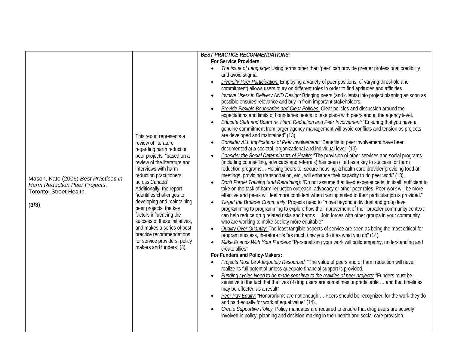|                                                                                                           |                                                                                                                                                                                                                                                                                                                                                                                                                                                                                                                     | <b>BEST PRACTICE RECOMMENDATIONS:</b>                                                                                                                                                                                                                                                                                                                                                                                                                                                                                                                                                                                                                                                                                                                                                                                                                                                                                                                                                                                                                                                                                                                                                                                                                                                                                                                                                                                                                                                                                                                                                                                                                                                                                                                                                                                                                                                                                                                                                                                                                                                                                                                                                                                                                                                                                                                                                                                                                                                                                                                                                                                                                                                                                                                                                                                                                                                                                                                                                                                                                                                                                                                                                                                                                                                                                                                                                                                                                 |
|-----------------------------------------------------------------------------------------------------------|---------------------------------------------------------------------------------------------------------------------------------------------------------------------------------------------------------------------------------------------------------------------------------------------------------------------------------------------------------------------------------------------------------------------------------------------------------------------------------------------------------------------|-------------------------------------------------------------------------------------------------------------------------------------------------------------------------------------------------------------------------------------------------------------------------------------------------------------------------------------------------------------------------------------------------------------------------------------------------------------------------------------------------------------------------------------------------------------------------------------------------------------------------------------------------------------------------------------------------------------------------------------------------------------------------------------------------------------------------------------------------------------------------------------------------------------------------------------------------------------------------------------------------------------------------------------------------------------------------------------------------------------------------------------------------------------------------------------------------------------------------------------------------------------------------------------------------------------------------------------------------------------------------------------------------------------------------------------------------------------------------------------------------------------------------------------------------------------------------------------------------------------------------------------------------------------------------------------------------------------------------------------------------------------------------------------------------------------------------------------------------------------------------------------------------------------------------------------------------------------------------------------------------------------------------------------------------------------------------------------------------------------------------------------------------------------------------------------------------------------------------------------------------------------------------------------------------------------------------------------------------------------------------------------------------------------------------------------------------------------------------------------------------------------------------------------------------------------------------------------------------------------------------------------------------------------------------------------------------------------------------------------------------------------------------------------------------------------------------------------------------------------------------------------------------------------------------------------------------------------------------------------------------------------------------------------------------------------------------------------------------------------------------------------------------------------------------------------------------------------------------------------------------------------------------------------------------------------------------------------------------------------------------------------------------------------------------------------------------------|
| Mason, Kate (2006) Best Practices in<br>Harm Reduction Peer Projects.<br>Toronto: Street Health.<br>(3/3) | This report represents a<br>review of literature<br>regarding harm reduction<br>peer projects, "based on a<br>review of the literature and<br>interviews with harm<br>reduction practitioners<br>across Canada"<br>Additionally, the report<br>"identifies challenges to<br>developing and maintaining<br>peer projects, the key<br>factors influencing the<br>success of these initiatives,<br>and makes a series of best<br>practice recommendations<br>for service providers, policy<br>makers and funders" (3). | <b>For Service Providers:</b><br>The issue of Language: Using terms other than 'peer' can provide greater professional credibility<br>$\bullet$<br>and avoid stigma.<br>Diversify Peer Participation: Employing a variety of peer positions, of varying threshold and<br>$\bullet$<br>commitment) allows users to try on different roles in order to find aptitudes and affinities.<br>Involve Users in Delivery AND Design: Bringing peers (and clients) into project planning as soon as<br>$\bullet$<br>possible ensures relevance and buy-in from important stakeholders.<br>Provide Flexible Boundaries and Clear Policies: Clear policies and discussion around the<br>$\bullet$<br>expectations and limits of boundaries needs to take place with peers and at the agency level.<br>Educate Staff and Board re. Harm Reduction and Peer Involvement: "Ensuring that you have a<br>$\bullet$<br>genuine commitment from larger agency management will avoid conflicts and tension as projects<br>are developed and maintained" (13)<br>Consider ALL Implications of Peer Involvement: "Benefits to peer involvement have been<br>$\bullet$<br>documented at a societal, organizational and individual level" (13)<br>Consider the Social Determinants of Health: "The provision of other services and social programs<br>$\bullet$<br>(including counselling, advocacy and referrals) has been cited as a key to success for harm<br>reduction programs Helping peers to secure housing, a health care provider providing food at<br>meetings, providing transportation, etc., will enhance their capacity to do peer work" (13).<br>Don't Forget Training (and Retraining): "Do not assume that lived experience is, in itself, sufficient to<br>$\bullet$<br>take on the task of harm reduction outreach, advocacy or other peer roles. Peer work will be more<br>effective and peers will feel more confident when training suited to their particular job is provided."<br>Target the Broader Community: Projects need to "move beyond individual and group level<br>$\bullet$<br>programming to programming to explore how the improvement of their broader community context<br>can help reduce drug related risks and harms Join forces with other groups in your community<br>who are working to make society more equitable"<br><b>Quality Over Quantity:</b> The least tangible aspects of service are seen as being the most critical for<br>$\bullet$<br>program success, therefore it's "as much how you do it as what you do" (14).<br>Make Friends With Your Funders: "Personalizing your work will build empathy, understanding and<br>$\bullet$<br>create allies"<br>For Funders and Policy-Makers:<br>Projects Must be Adequately Resourced: "The value of peers and of harm reduction will never<br>$\bullet$<br>realize its full potential unless adequate financial support is provided.<br>Funding cycles Need to be made sensitive to the realities of peer projects: "Funders must be<br>$\bullet$<br>sensitive to the fact that the lives of drug users are sometimes unpredictable  and that timelines<br>may be effected as a result"<br>Peer Pay Equity: "Honorariums are not enough  Peers should be recognized for the work they do<br>$\bullet$<br>and paid equally for work of equal value" (14).<br>Create Supportive Policy: Policy mandates are required to ensure that drug users are actively<br>$\bullet$ |
|                                                                                                           |                                                                                                                                                                                                                                                                                                                                                                                                                                                                                                                     | involved in policy, planning and decision-making in their health and social care provision.                                                                                                                                                                                                                                                                                                                                                                                                                                                                                                                                                                                                                                                                                                                                                                                                                                                                                                                                                                                                                                                                                                                                                                                                                                                                                                                                                                                                                                                                                                                                                                                                                                                                                                                                                                                                                                                                                                                                                                                                                                                                                                                                                                                                                                                                                                                                                                                                                                                                                                                                                                                                                                                                                                                                                                                                                                                                                                                                                                                                                                                                                                                                                                                                                                                                                                                                                           |
|                                                                                                           |                                                                                                                                                                                                                                                                                                                                                                                                                                                                                                                     |                                                                                                                                                                                                                                                                                                                                                                                                                                                                                                                                                                                                                                                                                                                                                                                                                                                                                                                                                                                                                                                                                                                                                                                                                                                                                                                                                                                                                                                                                                                                                                                                                                                                                                                                                                                                                                                                                                                                                                                                                                                                                                                                                                                                                                                                                                                                                                                                                                                                                                                                                                                                                                                                                                                                                                                                                                                                                                                                                                                                                                                                                                                                                                                                                                                                                                                                                                                                                                                       |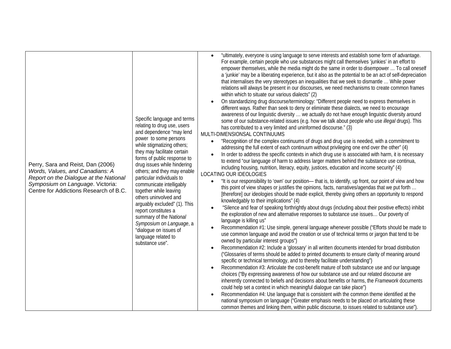| Perry, Sara and Reist, Dan (2006)<br>Words, Values, and Canadians: A<br>Report on the Dialogue at the National<br>Symposium on Language. Victoria:<br>Centre for Addictions Research of B.C. | Specific language and terms<br>relating to drug use, users<br>and dependence "may lend<br>power to some persons<br>while stigmatizing others;<br>they may facilitate certain<br>forms of public response to<br>drug issues while hindering<br>others; and they may enable<br>particular individuals to<br>communicate intelligably<br>together while leaving<br>others uninvolved and<br>arguably excluded" (1). This<br>report constitutes a<br>summary of the National<br>Symposium on Language, a<br>"dialogue on issues of<br>language related to<br>substance use". | "ultimately, everyone is using language to serve interests and establish some form of advantage.<br>For example, certain people who use substances might call themselves 'junkies' in an effort to<br>empower themselves, while the media might do the same in order to disempower  To call oneself<br>a 'junkie' may be a liberating experience, but it also as the potential to be an act of self-depreciation<br>that internalises the very stereotypes an inequalities that we seek to dismantle  While power<br>relations will always be present in our discourses, we need mechanisms to create common frames<br>within which to situate our various dialects" (2)<br>On standardizing drug discourse/terminology: "Different people need to express themselves in<br>different ways. Rather than seek to deny or eliminate these dialects, we need to encourage<br>awareness of our linguistic diversity  we actually do not have enough linguistic diversity around<br>some of our substance-related issues (e.g. how we talk about people who use illegal drugs). This<br>has contributed to a very limited and uninformed discourse." (3)<br>MULTI-DIMENSIONSAL CONTINUUMS<br>"Recognition of the complex continuums of drugs and drug use is needed, with a commitment to<br>$\bullet$<br>addressing the full extent of each continuum without privileging one end over the other" (4)<br>In order to address the specific contexts in which drug use is associated with harm, it is necessary<br>to extend "our language of harm to address larger matters behind the substance use continua,<br>including housing, nutrition, literacy, equity, justices, education and income security" (4)<br>LOCATING OUR IDEOLOGIES<br>"It is our responsibility to 'own' our position- that is, to identify, up front, our point of view and how<br>$\bullet$<br>this point of view shapes or justifies the opinions, facts, narratives/agendas that we put forth<br>[therefore] our ideologies should be made explicit, thereby giving others an opportunity to respond<br>knowledgably to their implications" (4)<br>"Silence and fear of speaking forthrightly about drugs (including about their positive effects) inhibit<br>$\bullet$<br>the exploration of new and alternative responses to substance use issues Our poverty of<br>language is killing us"<br>Recommendation #1: Use simple, general language whenever possible ("Efforts should be made to<br>use common language and avoid the creation or use of technical terms or jargon that tend to be<br>owned by particular interest groups")<br>Recommendation #2: Include a 'glossary' in all written documents intended for broad distribution<br>$\bullet$<br>("Glossaries of terms should be added to printed documents to ensure clarity of meaning around<br>specific or technical terminology, and to thereby facilitate understanding")<br>Recommendation #3: Articulate the cost-benefit mature of both substance use and our language<br>choices ("By expressing awareness of how our substance use and our related discourse are<br>inherently connected to beliefs and decisions about benefits or harms, the Framework documents<br>could help set a context in which meaningful dialogue can take place")<br>Recommendation #4: Use language that is consistent with the common theme identified at the<br>$\bullet$<br>national symposium on language ("Greater emphasis needs to be placed on articulating these<br>common themes and linking them, within public discourse, to issues related to substance use") |
|----------------------------------------------------------------------------------------------------------------------------------------------------------------------------------------------|--------------------------------------------------------------------------------------------------------------------------------------------------------------------------------------------------------------------------------------------------------------------------------------------------------------------------------------------------------------------------------------------------------------------------------------------------------------------------------------------------------------------------------------------------------------------------|------------------------------------------------------------------------------------------------------------------------------------------------------------------------------------------------------------------------------------------------------------------------------------------------------------------------------------------------------------------------------------------------------------------------------------------------------------------------------------------------------------------------------------------------------------------------------------------------------------------------------------------------------------------------------------------------------------------------------------------------------------------------------------------------------------------------------------------------------------------------------------------------------------------------------------------------------------------------------------------------------------------------------------------------------------------------------------------------------------------------------------------------------------------------------------------------------------------------------------------------------------------------------------------------------------------------------------------------------------------------------------------------------------------------------------------------------------------------------------------------------------------------------------------------------------------------------------------------------------------------------------------------------------------------------------------------------------------------------------------------------------------------------------------------------------------------------------------------------------------------------------------------------------------------------------------------------------------------------------------------------------------------------------------------------------------------------------------------------------------------------------------------------------------------------------------------------------------------------------------------------------------------------------------------------------------------------------------------------------------------------------------------------------------------------------------------------------------------------------------------------------------------------------------------------------------------------------------------------------------------------------------------------------------------------------------------------------------------------------------------------------------------------------------------------------------------------------------------------------------------------------------------------------------------------------------------------------------------------------------------------------------------------------------------------------------------------------------------------------------------------------------------------------------------------------------------------------------------------------------------------------------------------------------------------------------------------------------------------------------------------------------------------------------------------------------------------------------------------------------------------------------------------------------------------------------------------------------------------|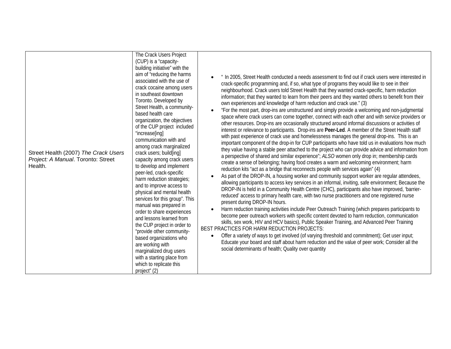| Street Health (2007) The Crack Users<br>Project: A Manual. Toronto: Street<br>Health. | The Crack Users Project<br>(CUP) is a "capacity-<br>building initiative" with the<br>aim of "reducing the harms<br>associated with the use of<br>crack cocaine among users<br>in southeast downtown<br>Toronto. Developed by<br>Street Health, a community-<br>based health care<br>organization, the objectives<br>of the CUP project included<br>"increase[ing]<br>communication with and<br>among crack marginalized<br>crack users; build[ing]<br>capacity among crack users<br>to develop and implement<br>peer-led, crack-specific<br>harm reduction strategies;<br>and to improve access to<br>physical and mental health<br>services for this group". This<br>manual was prepared in<br>order to share experiences<br>and lessons learned from<br>the CUP project in order to<br>"provide other community-<br>based organizations who<br>are working with<br>marginalized drug users<br>with a starting place from<br>which to replicate this<br>project" (2) | " In 2005, Street Health conducted a needs assessment to find out if crack users were interested in<br>crack-specific programming and, if so, what type of programs they would like to see in their<br>neighbourhood. Crack users told Street Health that they wanted crack-specific, harm reduction<br>information; that they wanted to learn from their peers and they wanted others to benefit from their<br>own experiences and knowledge of harm reduction and crack use." (3)<br>"For the most part, drop-ins are unstructured and simply provide a welcoming and non-judgmental<br>space where crack users can come together, connect with each other and with service providers or<br>other resources. Drop-ins are occasionally structured around informal discussions or activities of<br>interest or relevance to participants. Drop-ins are Peer-Led. A member of the Street Health staff<br>with past experience of crack use and homelessness manages the general drop-ins. This is an<br>important component of the drop-in for CUP participants who have told us in evaluations how much<br>they value having a stable peer attached to the project who can provide advice and information from<br>a perspective of shared and similar experience"; ALSO women only drop in; membership cards<br>create a sense of belonging; having food creates a warm and welcoming environment; harm<br>reduction kits "act as a bridge that reconnects people with services again" (4)<br>As part of the DROP-IN, a housing worker and community support worker are regular attendees,<br>allowing participants to access key services in an informal, inviting, safe environment; Because the<br>DROP-IN is held in a Community Health Centre (CHC), participants also have improved, 'barrier-<br>reduced' access to primary health care, with two nurse practitioners and one registered nurse<br>present during DROP-IN hours.<br>Harm reduction training activities include Peer Outreach Training (which prepares participants to<br>$\bullet$<br>become peer outreach workers with specific content devoted to harm reduction, communication<br>skills, sex work, HIV and HCV basics), Public Speaker Training, and Advanced Peer Training<br>BEST PRACTICES FOR HARM REDUCTION PROJECTS:<br>Offer a variety of ways to get involved (of varying threshold and commitment); Get user input;<br>Educate your board and staff about harm reduction and the value of peer work; Consider all the<br>social determinants of health; Quality over quantity |
|---------------------------------------------------------------------------------------|-----------------------------------------------------------------------------------------------------------------------------------------------------------------------------------------------------------------------------------------------------------------------------------------------------------------------------------------------------------------------------------------------------------------------------------------------------------------------------------------------------------------------------------------------------------------------------------------------------------------------------------------------------------------------------------------------------------------------------------------------------------------------------------------------------------------------------------------------------------------------------------------------------------------------------------------------------------------------|-------------------------------------------------------------------------------------------------------------------------------------------------------------------------------------------------------------------------------------------------------------------------------------------------------------------------------------------------------------------------------------------------------------------------------------------------------------------------------------------------------------------------------------------------------------------------------------------------------------------------------------------------------------------------------------------------------------------------------------------------------------------------------------------------------------------------------------------------------------------------------------------------------------------------------------------------------------------------------------------------------------------------------------------------------------------------------------------------------------------------------------------------------------------------------------------------------------------------------------------------------------------------------------------------------------------------------------------------------------------------------------------------------------------------------------------------------------------------------------------------------------------------------------------------------------------------------------------------------------------------------------------------------------------------------------------------------------------------------------------------------------------------------------------------------------------------------------------------------------------------------------------------------------------------------------------------------------------------------------------------------------------------------------------------------------------------------------------------------------------------------------------------------------------------------------------------------------------------------------------------------------------------------------------------------------------------------------------------------------------------------------------------------------------------------------------------------------------------------------------------------------------------------------------------------------------|
|---------------------------------------------------------------------------------------|-----------------------------------------------------------------------------------------------------------------------------------------------------------------------------------------------------------------------------------------------------------------------------------------------------------------------------------------------------------------------------------------------------------------------------------------------------------------------------------------------------------------------------------------------------------------------------------------------------------------------------------------------------------------------------------------------------------------------------------------------------------------------------------------------------------------------------------------------------------------------------------------------------------------------------------------------------------------------|-------------------------------------------------------------------------------------------------------------------------------------------------------------------------------------------------------------------------------------------------------------------------------------------------------------------------------------------------------------------------------------------------------------------------------------------------------------------------------------------------------------------------------------------------------------------------------------------------------------------------------------------------------------------------------------------------------------------------------------------------------------------------------------------------------------------------------------------------------------------------------------------------------------------------------------------------------------------------------------------------------------------------------------------------------------------------------------------------------------------------------------------------------------------------------------------------------------------------------------------------------------------------------------------------------------------------------------------------------------------------------------------------------------------------------------------------------------------------------------------------------------------------------------------------------------------------------------------------------------------------------------------------------------------------------------------------------------------------------------------------------------------------------------------------------------------------------------------------------------------------------------------------------------------------------------------------------------------------------------------------------------------------------------------------------------------------------------------------------------------------------------------------------------------------------------------------------------------------------------------------------------------------------------------------------------------------------------------------------------------------------------------------------------------------------------------------------------------------------------------------------------------------------------------------------------------|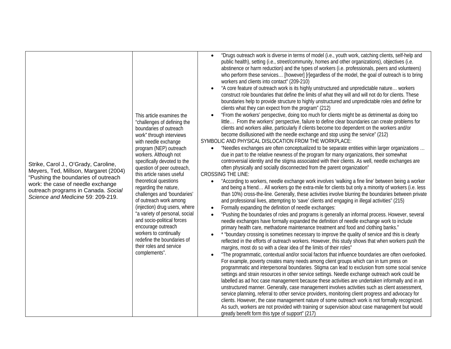| Strike, Carol J., O'Grady, Caroline,<br>Meyers, Ted, Millson, Margaret (2004)<br>"Pushing the boundaries of outreach<br>work: the case of needle exchange<br>outreach programs in Canada. Social<br>Science and Medicine 59: 209-219. | This article examines the<br>"challenges of defining the<br>boundaries of outreach<br>work" through interviews<br>with needle exchange<br>program (NEP) outreach<br>workers. Although not<br>specifically devoted to the<br>question of peer outreach,<br>this article raises useful<br>theoretical questions<br>regarding the nature,<br>challenges and 'boundaries'<br>of outreach work among<br>(injection) drug users, where<br>"a variety of personal, social<br>and socio-political forces<br>encourage outreach<br>workers to continually<br>redefine the boundaries of<br>their roles and service<br>complements". | "Drugs outreach work is diverse in terms of model (i.e., youth work, catching clients, self-help and<br>public health), setting (i.e., street/community, homes and other organizations), objectives (i.e.<br>abstinence or harm reduction) and the types of workers (i.e. professionals, peers and volunteers)<br>who perform these services [however] [r]egardless of the model, the goal of outreach is to bring<br>workers and clients into contact" (209-210)<br>"A core feature of outreach work is its highly unstructured and unpredictable nature workers<br>construct role boundaries that define the limits of what they will and will not do for clients. These<br>boundaries help to provide structure to highly unstructured and unpredictable roles and define for<br>clients what they can expect from the program" (212)<br>"From the workers' perspective, doing too much for clients might be as detrimental as doing too<br>little From the workers' perspective, failure to define clear boundaries can create problems for<br>clients and workers alike, particularly if clients become too dependent on the workers and/or<br>become disillusioned with the needle exchange and stop using the service" (212)<br>SYMBOLIC AND PHYSICAL DISLOCATION FROM THE WORKPLACE:<br>"Needles exchanges are often conceptualized to be separate entities within larger organizations<br>$\bullet$<br>due in part to the relative newness of the program for many organizations, their somewhat<br>controversial identity and the stigma associated with their clients. As well, needle exchanges are<br>often physically and socially disconnected from the parent organization"<br><b>CROSSING THE LINE:</b><br>"According to workers, needle exchange work involves 'walking a fine line' between being a worker<br>and being a friend All workers go the extra-mile for clients but only a minority of workers (i.e. less<br>than 10%) cross-the-line. Generally, these activities involve blurring the boundaries between private<br>and professional lives, attempting to 'save' clients and engaging in illegal activities" (215)<br>Formally expanding the definition of needle exchanges:<br>$\bullet$<br>"Pushing the boundaries of roles and programs is generally an informal process. However, several<br>$\bullet$<br>needle exchanges have formally expanded the definition of needle exchange work to include<br>primary health care, methadone maintenance treatment and food and clothing banks."<br>* "boundary crossing is sometimes necessary to improve the quality of service and this is clearly<br>reflected in the efforts of outreach workers. However, this study shows that when workers push the<br>margins, most do so with a clear idea of the limits of their roles"<br>"The programmatic, contextual and/or social factors that influence boundaries are often overlooked.<br>For example, poverty creates many needs among client groups which can in turn press on<br>programmatic and interpersonal boundaries. Stigma can lead to exclusion from some social service<br>settings and strain resources in other service settings. Needle exchange outreach work could be<br>labelled as ad hoc case management because these activities are undertaken informally and in an<br>unstructured manner. Generally, case management involves activities such as client assessment,<br>service planning, referral to other service providers, monitoring client progress and advocacy for<br>clients. However, the case management nature of some outreach work is not formally recognized.<br>As such, workers are not provided with training or supervision about case management but would<br>greatly benefit form this type of support" (217) |
|---------------------------------------------------------------------------------------------------------------------------------------------------------------------------------------------------------------------------------------|----------------------------------------------------------------------------------------------------------------------------------------------------------------------------------------------------------------------------------------------------------------------------------------------------------------------------------------------------------------------------------------------------------------------------------------------------------------------------------------------------------------------------------------------------------------------------------------------------------------------------|--------------------------------------------------------------------------------------------------------------------------------------------------------------------------------------------------------------------------------------------------------------------------------------------------------------------------------------------------------------------------------------------------------------------------------------------------------------------------------------------------------------------------------------------------------------------------------------------------------------------------------------------------------------------------------------------------------------------------------------------------------------------------------------------------------------------------------------------------------------------------------------------------------------------------------------------------------------------------------------------------------------------------------------------------------------------------------------------------------------------------------------------------------------------------------------------------------------------------------------------------------------------------------------------------------------------------------------------------------------------------------------------------------------------------------------------------------------------------------------------------------------------------------------------------------------------------------------------------------------------------------------------------------------------------------------------------------------------------------------------------------------------------------------------------------------------------------------------------------------------------------------------------------------------------------------------------------------------------------------------------------------------------------------------------------------------------------------------------------------------------------------------------------------------------------------------------------------------------------------------------------------------------------------------------------------------------------------------------------------------------------------------------------------------------------------------------------------------------------------------------------------------------------------------------------------------------------------------------------------------------------------------------------------------------------------------------------------------------------------------------------------------------------------------------------------------------------------------------------------------------------------------------------------------------------------------------------------------------------------------------------------------------------------------------------------------------------------------------------------------------------------------------------------------------------------------------------------------------------------------------------------------------------------------------------------------------------------------------------------------------------------------------------------------------------------------------------------------------------------------------------------------------------------------------------------------------------------------------------------------------------------------------------------------------------------------------------------------------------------------------------------------------------------------|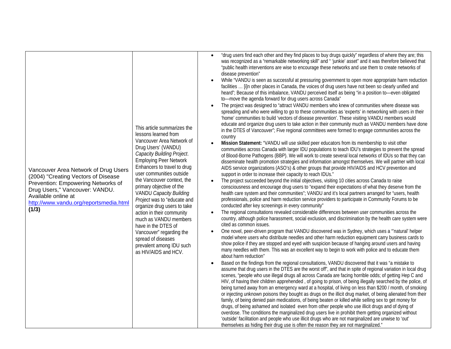| Vancouver Area Network of Drug Users<br>(2004) "Creating Vectors of Disease<br>Prevention: Empowering Networks of<br>Drug Users," Vancouver: VANDU.<br>Available online at<br>http://www.vandu.org/reportsmedia.html<br>(1/3) | This article summarizes the<br>lessons learned from<br>Vancouver Area Network of<br>Drug Users' (VANDU)<br>Capacity Building Project.<br><b>Employing Peer Network</b><br>Enhancers to travel to drug<br>user communities outside<br>the Vancouver context, the<br>primary objective of the<br><b>VANDU Capacity Building</b><br>Project was to "educate and<br>organize drug users to take<br>action in their community<br>much as VANDU members<br>have in the DTES of<br>Vancouver" regarding the<br>spread of diseases<br>prevalent among IDU such<br>as HIV/AIDS and HCV. | "drug users find each other and they find places to buy drugs quickly" regardless of where they are; this<br>$\bullet$<br>was recognized as a "remarkable networking skill" and " 'junkie' asset" and it was therefore believed that<br>"public health interventions are wise to encourage these networks and use them to create networks of<br>disease prevention"<br>While "VANDU is seen as successful at pressuring government to open more appropriate harm reduction<br>$\bullet$<br>facilities  [i]n other places in Canada, the voices of drug users have not been so clearly unified and<br>heard"; Because of this imbalance, VANDU perceived itself as being "in a position to—even obligated<br>to-move the agenda forward for drug users across Canada"<br>The project was designed to "attract VANDU members who knew of communities where disease was<br>$\bullet$<br>spreading and who were willing to go to these communities as 'experts' in networking with users in their<br>'home' communities to build 'vectors of disease prevention'. These visiting VANDU members would<br>educate and organize drug users to take action in their community much as VANDU members have done<br>in the DTES of Vancouver"; Five regional committees were formed to engage communities across the<br>country<br>Mission Statement: "VANDU will use skilled peer educators from its membership to visit other<br>$\bullet$<br>communities across Canada with larger IDU populations to teach IDU's strategies to prevent the spread<br>of Blood-Borne Pathogens (BBP). We will work to create several local networks of IDUs so that they can<br>disseminate health promotion strategies and information amongst themselves. We will partner with local<br>AIDS service organizations (ASO's) & other groups that provide HIV/AIDS and HCV prevention and<br>support in order to increase their capacity to reach IDUs."<br>The project succeeded beyond the initial objectives, visiting 10 cities across Canada to raise<br>$\bullet$<br>consciousness and encourage drug users to "expand their expectations of what they deserve from the<br>health care system and their communities"; VANDU and it's local partners arranged for "users, health<br>professionals, police and harm reduction service providers to participate in Community Forums to be<br>conducted after key screenings in every community"<br>The regional consultations revealed considerable differences between user communities across the<br>$\bullet$<br>country, although police harassment, social exclusion, and discrimination by the health care system were<br>cited as common issues.<br>One novel, peer-driven program that VANDU discovered was in Sydney, which uses a "natural' helper<br>$\bullet$<br>model where users who distribute needles and other harm reduction equipment carry business cards to<br>show police if they are stopped and eyed with suspicion because of hanging around users and having<br>many needles with them. This was an excellent way to begin to work with police and to educate them<br>about harm reduction"<br>Based on the findings from the regional consultations, VANDU discovered that it was "a mistake to<br>$\bullet$<br>assume that drug users in the DTES are the worst off", and that in spite of regional variation in local drug<br>scenes, "people who use illegal drugs all across Canada are facing horrible odds; of getting Hep C and<br>HIV, of having their children apprehended, of going to prison, of being illegally searched by the police, of<br>being turned away from an emergency ward at a hospital, of living on less than \$200 / month, of smoking<br>or injecting unknown poisons they bought as drugs on the illicit drug market, of being alienated from their<br>family, of being denied pain medications, of being beaten or killed while selling sex to get money for<br>drugs, of being ashamed and isolated even from other people who use illicit drugs and of dying of<br>overdose. The conditions the marginalized drug users live in prohibit them getting organized without<br>'outside' facilitation and people who use illicit drugs who are not marginalized are unwise to 'out'<br>themselves as hiding their drug use is often the reason they are not marginalized." |
|-------------------------------------------------------------------------------------------------------------------------------------------------------------------------------------------------------------------------------|--------------------------------------------------------------------------------------------------------------------------------------------------------------------------------------------------------------------------------------------------------------------------------------------------------------------------------------------------------------------------------------------------------------------------------------------------------------------------------------------------------------------------------------------------------------------------------|--------------------------------------------------------------------------------------------------------------------------------------------------------------------------------------------------------------------------------------------------------------------------------------------------------------------------------------------------------------------------------------------------------------------------------------------------------------------------------------------------------------------------------------------------------------------------------------------------------------------------------------------------------------------------------------------------------------------------------------------------------------------------------------------------------------------------------------------------------------------------------------------------------------------------------------------------------------------------------------------------------------------------------------------------------------------------------------------------------------------------------------------------------------------------------------------------------------------------------------------------------------------------------------------------------------------------------------------------------------------------------------------------------------------------------------------------------------------------------------------------------------------------------------------------------------------------------------------------------------------------------------------------------------------------------------------------------------------------------------------------------------------------------------------------------------------------------------------------------------------------------------------------------------------------------------------------------------------------------------------------------------------------------------------------------------------------------------------------------------------------------------------------------------------------------------------------------------------------------------------------------------------------------------------------------------------------------------------------------------------------------------------------------------------------------------------------------------------------------------------------------------------------------------------------------------------------------------------------------------------------------------------------------------------------------------------------------------------------------------------------------------------------------------------------------------------------------------------------------------------------------------------------------------------------------------------------------------------------------------------------------------------------------------------------------------------------------------------------------------------------------------------------------------------------------------------------------------------------------------------------------------------------------------------------------------------------------------------------------------------------------------------------------------------------------------------------------------------------------------------------------------------------------------------------------------------------------------------------------------------------------------------------------------------------------------------------------------------------------------------------------------------------------------------------------------------------------------------------------------------------------------------------------------------------------------------------------------------------------------------------------------------------------------------------------------------------------------------------------------------------------------------------------------------------------------------------------------------------------------------------------------------------------------------------------------------------------------------------------------|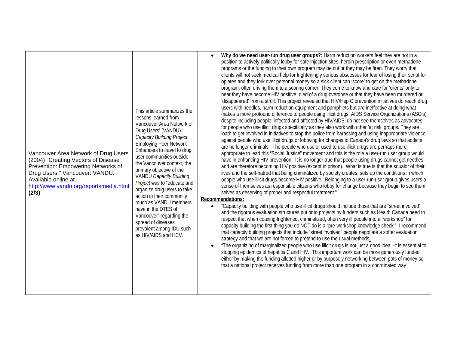| lessons learned from<br>Drug Users' (VANDU)<br>Vancouver Area Network of Drug Users<br>(2004) "Creating Vectors of Disease<br>Prevention: Empowering Networks of<br>primary objective of the<br>Drug Users," Vancouver: VANDU.<br>Available online at<br>http://www.vandu.org/reportsmedia.html<br>(2/3)<br>have in the DTES of<br>spread of diseases<br>as HIV/AIDS and HCV. | $\bullet$<br>This article summarizes the<br>Vancouver Area Network of<br>Capacity Building Project.<br><b>Employing Peer Network</b><br>Enhancers to travel to drug<br>user communities outside<br>the Vancouver context, the<br><b>VANDU Capacity Building</b><br>Project was to "educate and<br>organize drug users to take<br>action in their community<br>much as VANDU members<br>$\bullet$<br>Vancouver" regarding the<br>prevalent among IDU such | Why do we need user-run drug user groups?: Harm reduction workers feel they are not in a<br>position to actively politically lobby for safe injection sites, heroin prescription or even methadone<br>programs or the funding to their own program may be cut or they may be fired. They worry that<br>clients will not seek medical help for frighteningly serious abscesses for fear of losing their script for<br>opiates and they fork over personal money so a sick client can 'score' to get on the methadone<br>program, often driving them to a scoring corner. They come to know and care for 'clients' only to<br>hear they have become HIV positive, died of a drug overdose or that they have been murdered or<br>'disappeared' from a stroll. This project revealed that HIV/Hep C prevention initiatives do reach drug<br>users with needles, harm reduction equipment and pamphlets but are ineffective at doing what<br>makes a more profound difference to people using illicit drugs. AIDS Service Organizations (ASO's)<br>despite including people 'infected and affected by HIV/AIDS' do not see themselves as advocates<br>for people who use illicit drugs specifically as they also work with other 'at risk' groups. They are<br>loath to get involved in initiatives to stop the police from harassing and using inappropriate violence<br>against people who use illicit drugs or lobbying for changes to Canada's drug laws so that addicts<br>are no longer criminals. The people who use or used to use illicit drugs are perhaps more<br>appropriate to lead this "Social Justice" movement and this is the role a user-run user group would<br>have in enhancing HIV prevention. It is no longer true that people using drugs cannot get needles<br>and are therefore becoming HIV positive (except in prison). What is true is that the squalor of their<br>lives and the self-hatred that being criminalized by society creates, sets up the conditions in which<br>people who use illicit drugs become HIV positive. Belonging to a user-run user group gives users a<br>sense of themselves as responsible citizens who lobby for change because they begin to see them<br>selves as deserving of proper and respectful treatment."<br>Recommendations:<br>"Capacity building with people who use illicit drugs should include those that are "street involved"<br>and the rigorous evaluation structures put onto projects by funders such as Health Canada need to<br>respect that when coaxing frightened, criminalized, often very ill people into a "workshop" for<br>capacity building the first thing you do NOT do is a "pre-workshop knowledge check." I recommend<br>that capacity building projects that include "street involved" people negotiate a softer evaluation<br>strategy and that we are not forced to pretend to use the usual methods.<br>"The organizing of marginalized people who use illicit drugs is not just a good idea -it is essential to<br>stopping epidemics of hepatitis C and HIV. This important work can be more generously funded<br>either by making the funding allotted higher or by purposely networking between pots of money so<br>that a national project receives funding from more than one program in a coordinated way |
|-------------------------------------------------------------------------------------------------------------------------------------------------------------------------------------------------------------------------------------------------------------------------------------------------------------------------------------------------------------------------------|----------------------------------------------------------------------------------------------------------------------------------------------------------------------------------------------------------------------------------------------------------------------------------------------------------------------------------------------------------------------------------------------------------------------------------------------------------|----------------------------------------------------------------------------------------------------------------------------------------------------------------------------------------------------------------------------------------------------------------------------------------------------------------------------------------------------------------------------------------------------------------------------------------------------------------------------------------------------------------------------------------------------------------------------------------------------------------------------------------------------------------------------------------------------------------------------------------------------------------------------------------------------------------------------------------------------------------------------------------------------------------------------------------------------------------------------------------------------------------------------------------------------------------------------------------------------------------------------------------------------------------------------------------------------------------------------------------------------------------------------------------------------------------------------------------------------------------------------------------------------------------------------------------------------------------------------------------------------------------------------------------------------------------------------------------------------------------------------------------------------------------------------------------------------------------------------------------------------------------------------------------------------------------------------------------------------------------------------------------------------------------------------------------------------------------------------------------------------------------------------------------------------------------------------------------------------------------------------------------------------------------------------------------------------------------------------------------------------------------------------------------------------------------------------------------------------------------------------------------------------------------------------------------------------------------------------------------------------------------------------------------------------------------------------------------------------------------------------------------------------------------------------------------------------------------------------------------------------------------------------------------------------------------------------------------------------------------------------------------------------------------------------------------------------------------------------------------------------------------------------------------------------------------------------------------------------------------------------------------------------------------------------------------------------------------------------------------------------------------------------------------------------------------|
|-------------------------------------------------------------------------------------------------------------------------------------------------------------------------------------------------------------------------------------------------------------------------------------------------------------------------------------------------------------------------------|----------------------------------------------------------------------------------------------------------------------------------------------------------------------------------------------------------------------------------------------------------------------------------------------------------------------------------------------------------------------------------------------------------------------------------------------------------|----------------------------------------------------------------------------------------------------------------------------------------------------------------------------------------------------------------------------------------------------------------------------------------------------------------------------------------------------------------------------------------------------------------------------------------------------------------------------------------------------------------------------------------------------------------------------------------------------------------------------------------------------------------------------------------------------------------------------------------------------------------------------------------------------------------------------------------------------------------------------------------------------------------------------------------------------------------------------------------------------------------------------------------------------------------------------------------------------------------------------------------------------------------------------------------------------------------------------------------------------------------------------------------------------------------------------------------------------------------------------------------------------------------------------------------------------------------------------------------------------------------------------------------------------------------------------------------------------------------------------------------------------------------------------------------------------------------------------------------------------------------------------------------------------------------------------------------------------------------------------------------------------------------------------------------------------------------------------------------------------------------------------------------------------------------------------------------------------------------------------------------------------------------------------------------------------------------------------------------------------------------------------------------------------------------------------------------------------------------------------------------------------------------------------------------------------------------------------------------------------------------------------------------------------------------------------------------------------------------------------------------------------------------------------------------------------------------------------------------------------------------------------------------------------------------------------------------------------------------------------------------------------------------------------------------------------------------------------------------------------------------------------------------------------------------------------------------------------------------------------------------------------------------------------------------------------------------------------------------------------------------------------------------------------------------|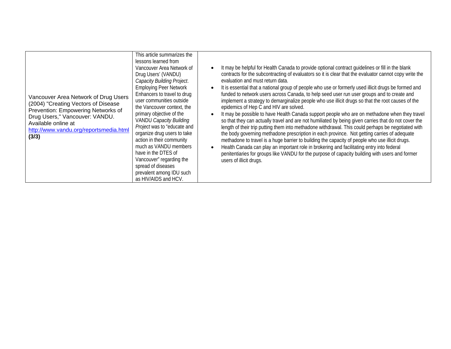| Vancouver Area Network of Drug Users<br>(2004) "Creating Vectors of Disease<br>Prevention: Empowering Networks of<br>Drug Users," Vancouver: VANDU.<br>Available online at<br>http://www.vandu.org/reportsmedia.html<br>(3/3) | This article summarizes the<br>lessons learned from<br>Vancouver Area Network of<br>Drug Users' (VANDU)<br>Capacity Building Project.<br><b>Employing Peer Network</b><br>Enhancers to travel to drug<br>user communities outside<br>the Vancouver context, the<br>primary objective of the<br><b>VANDU Capacity Building</b><br>Project was to "educate and<br>organize drug users to take<br>action in their community<br>much as VANDU members<br>have in the DTES of<br>Vancouver" regarding the<br>spread of diseases<br>prevalent among IDU such<br>as HIV/AIDS and HCV. | It may be helpful for Health Canada to provide optional contract guidelines or fill in the blank<br>$\bullet$<br>contracts for the subcontracting of evaluators so it is clear that the evaluator cannot copy write the<br>evaluation and must return data.<br>It is essential that a national group of people who use or formerly used illicit drugs be formed and<br>$\bullet$<br>funded to network users across Canada, to help seed user run user groups and to create and<br>implement a strategy to demarginalize people who use illicit drugs so that the root causes of the<br>epidemics of Hep C and HIV are solved.<br>It may be possible to have Health Canada support people who are on methadone when they travel<br>$\bullet$<br>so that they can actually travel and are not humiliated by being given carries that do not cover the<br>length of their trip putting them into methadone withdrawal. This could perhaps be negotiated with<br>the body governing methadone prescription in each province. Not getting carries of adequate<br>methadone to travel is a huge barrier to building the capacity of people who use illicit drugs.<br>Health Canada can play an important role in brokering and facilitating entry into federal<br>$\bullet$<br>penitentiaries for groups like VANDU for the purpose of capacity building with users and former<br>users of illicit drugs. |
|-------------------------------------------------------------------------------------------------------------------------------------------------------------------------------------------------------------------------------|--------------------------------------------------------------------------------------------------------------------------------------------------------------------------------------------------------------------------------------------------------------------------------------------------------------------------------------------------------------------------------------------------------------------------------------------------------------------------------------------------------------------------------------------------------------------------------|-----------------------------------------------------------------------------------------------------------------------------------------------------------------------------------------------------------------------------------------------------------------------------------------------------------------------------------------------------------------------------------------------------------------------------------------------------------------------------------------------------------------------------------------------------------------------------------------------------------------------------------------------------------------------------------------------------------------------------------------------------------------------------------------------------------------------------------------------------------------------------------------------------------------------------------------------------------------------------------------------------------------------------------------------------------------------------------------------------------------------------------------------------------------------------------------------------------------------------------------------------------------------------------------------------------------------------------------------------------------------------------------------------|
|-------------------------------------------------------------------------------------------------------------------------------------------------------------------------------------------------------------------------------|--------------------------------------------------------------------------------------------------------------------------------------------------------------------------------------------------------------------------------------------------------------------------------------------------------------------------------------------------------------------------------------------------------------------------------------------------------------------------------------------------------------------------------------------------------------------------------|-----------------------------------------------------------------------------------------------------------------------------------------------------------------------------------------------------------------------------------------------------------------------------------------------------------------------------------------------------------------------------------------------------------------------------------------------------------------------------------------------------------------------------------------------------------------------------------------------------------------------------------------------------------------------------------------------------------------------------------------------------------------------------------------------------------------------------------------------------------------------------------------------------------------------------------------------------------------------------------------------------------------------------------------------------------------------------------------------------------------------------------------------------------------------------------------------------------------------------------------------------------------------------------------------------------------------------------------------------------------------------------------------------|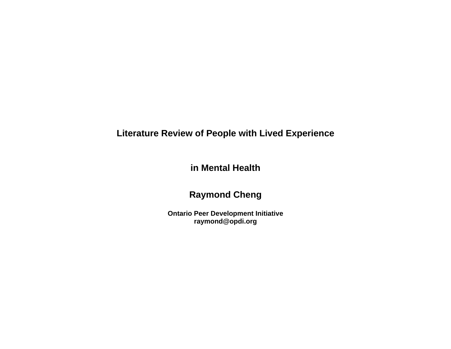# **Literature Review of People with Lived Experience**

**in Mental Health** 

# **Raymond Cheng**

**Ontario Peer Development Initiative raymond@opdi.org**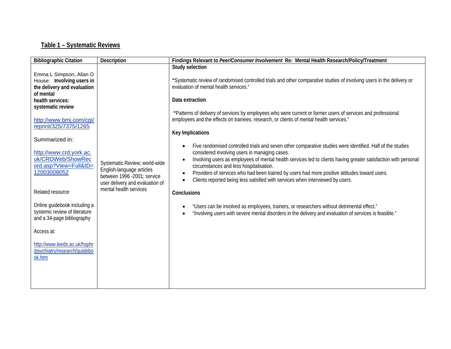### **Table 1 – Systematic Reviews**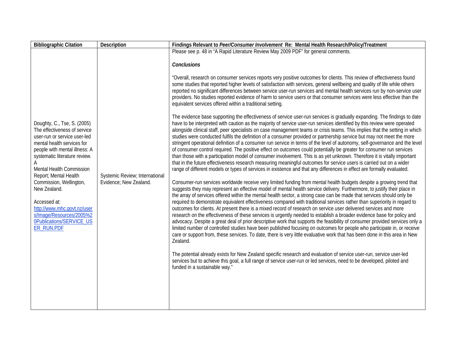| <b>Bibliographic Citation</b>                                                                                                                                                                                                                                                                                                                                                                                    | Description                                              | Findings Relevant to Peer/Consumer Involvement Re: Mental Health Research/Policy/Treatment                                                                                                                                                                                                                                                                                                                                                                                                                                                                                                                                                                                                                                                                                                                                                                                                                                                                                                                                                                                                                                                                                                                                                                                                                                                                                                                                                                                                                                                                                                                                                                                                                                                                                                                                                                                                                                                                                                                                                                                                                                                                                                                                                                                                                                                                                                                                                                                                                                                                                                                                                                                                                                                                                                                                                                                                                                                                                                                                                                                                                                                                                                      |
|------------------------------------------------------------------------------------------------------------------------------------------------------------------------------------------------------------------------------------------------------------------------------------------------------------------------------------------------------------------------------------------------------------------|----------------------------------------------------------|-------------------------------------------------------------------------------------------------------------------------------------------------------------------------------------------------------------------------------------------------------------------------------------------------------------------------------------------------------------------------------------------------------------------------------------------------------------------------------------------------------------------------------------------------------------------------------------------------------------------------------------------------------------------------------------------------------------------------------------------------------------------------------------------------------------------------------------------------------------------------------------------------------------------------------------------------------------------------------------------------------------------------------------------------------------------------------------------------------------------------------------------------------------------------------------------------------------------------------------------------------------------------------------------------------------------------------------------------------------------------------------------------------------------------------------------------------------------------------------------------------------------------------------------------------------------------------------------------------------------------------------------------------------------------------------------------------------------------------------------------------------------------------------------------------------------------------------------------------------------------------------------------------------------------------------------------------------------------------------------------------------------------------------------------------------------------------------------------------------------------------------------------------------------------------------------------------------------------------------------------------------------------------------------------------------------------------------------------------------------------------------------------------------------------------------------------------------------------------------------------------------------------------------------------------------------------------------------------------------------------------------------------------------------------------------------------------------------------------------------------------------------------------------------------------------------------------------------------------------------------------------------------------------------------------------------------------------------------------------------------------------------------------------------------------------------------------------------------------------------------------------------------------------------------------------------------|
|                                                                                                                                                                                                                                                                                                                                                                                                                  |                                                          | Please see p. 48 in "A Rapid Literature Review May 2009 PDF" for general comments.                                                                                                                                                                                                                                                                                                                                                                                                                                                                                                                                                                                                                                                                                                                                                                                                                                                                                                                                                                                                                                                                                                                                                                                                                                                                                                                                                                                                                                                                                                                                                                                                                                                                                                                                                                                                                                                                                                                                                                                                                                                                                                                                                                                                                                                                                                                                                                                                                                                                                                                                                                                                                                                                                                                                                                                                                                                                                                                                                                                                                                                                                                              |
| Doughty, C., Tse, S. (2005)<br>The effectiveness of service<br>user-run or service user-led<br>mental health services for<br>people with mental illness: A<br>systematic literature review.<br>Mental Health Commission<br>Report; Mental Health<br>Commission, Wellington,<br>New Zealand.<br>Accessed at:<br>http://www.mhc.govt.nz/user<br>s/Image/Resources/2005%2<br>0Publications/SERVICE_US<br>ER_RUN.PDF | Systemic Review; International<br>Evidence; New Zealand. | <b>Conclusions</b><br>"Overall, research on consumer services reports very positive outcomes for clients. This review of effectiveness found<br>some studies that reported higher levels of satisfaction with services, general wellbeing and quality of life while others<br>reported no significant differences between service user-run services and mental health services run by non-service user<br>providers. No studies reported evidence of harm to service users or that consumer services were less effective than the<br>equivalent services offered within a traditional setting.<br>The evidence base supporting the effectiveness of service user-run services is gradually expanding. The findings to date<br>have to be interpreted with caution as the majority of service user-run services identified by this review were operated<br>alongside clinical staff, peer specialists on case management teams or crisis teams. This implies that the setting in which<br>studies were conducted fulfils the definition of a consumer provided or partnership service but may not meet the more<br>stringent operational definition of a consumer run service in terms of the level of autonomy, self-governance and the level<br>of consumer control required. The positive effect on outcomes could potentially be greater for consumer run services<br>than those with a participation model of consumer involvement. This is as yet unknown. Therefore it is vitally important<br>that in the future effectiveness research measuring meaningful outcomes for service users is carried out on a wider<br>range of different models or types of services in existence and that any differences in effect are formally evaluated.<br>Consumer-run services worldwide receive very limited funding from mental health budgets despite a growing trend that<br>suggests they may represent an effective model of mental health service delivery. Furthermore, to justify their place in<br>the array of services offered within the mental health sector, a strong case can be made that services should only be<br>required to demonstrate equivalent effectiveness compared with traditional services rather than superiority in regard to<br>outcomes for clients. At present there is a mixed record of research on service user delivered services and more<br>research on the effectiveness of these services is urgently needed to establish a broader evidence base for policy and<br>advocacy. Despite a great deal of prior descriptive work that supports the feasibility of consumer provided services only a<br>limited number of controlled studies have been published focusing on outcomes for people who participate in, or receive<br>care or support from, these services. To date, there is very little evaluative work that has been done in this area in New<br>Zealand.<br>The potential already exists for New Zealand specific research and evaluation of service user-run, service user-led<br>services but to achieve this goal, a full range of service user-run or led services, need to be developed, piloted and<br>funded in a sustainable way." |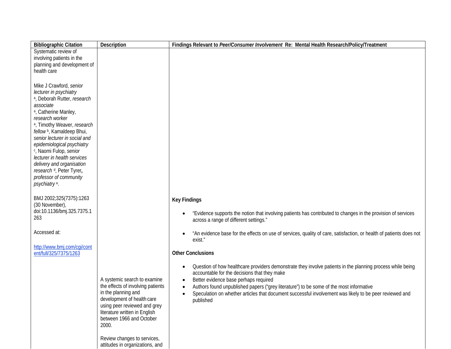| <b>Bibliographic Citation</b>                                          | Description                                                       | Findings Relevant to Peer/Consumer Involvement Re: Mental Health Research/Policy/Treatment                                                              |
|------------------------------------------------------------------------|-------------------------------------------------------------------|---------------------------------------------------------------------------------------------------------------------------------------------------------|
| Systematic review of                                                   |                                                                   |                                                                                                                                                         |
| involving patients in the<br>planning and development of               |                                                                   |                                                                                                                                                         |
| health care                                                            |                                                                   |                                                                                                                                                         |
|                                                                        |                                                                   |                                                                                                                                                         |
| Mike J Crawford, senior                                                |                                                                   |                                                                                                                                                         |
| lecturer in psychiatry                                                 |                                                                   |                                                                                                                                                         |
| a, Deborah Rutter, research<br>associate                               |                                                                   |                                                                                                                                                         |
| <sup>a</sup> , Catherine Manley,                                       |                                                                   |                                                                                                                                                         |
| research worker                                                        |                                                                   |                                                                                                                                                         |
| a, Timothy Weaver, research                                            |                                                                   |                                                                                                                                                         |
| fellow <sup>b</sup> , Kamaldeep Bhui,<br>senior lecturer in social and |                                                                   |                                                                                                                                                         |
| epidemiological psychiatry                                             |                                                                   |                                                                                                                                                         |
| c, Naomi Fulop, senior                                                 |                                                                   |                                                                                                                                                         |
| lecturer in health services                                            |                                                                   |                                                                                                                                                         |
| delivery and organisation<br>research <sup>d</sup> , Peter Tyrer,      |                                                                   |                                                                                                                                                         |
| professor of community                                                 |                                                                   |                                                                                                                                                         |
| psychiatry <sup>a</sup> .                                              |                                                                   |                                                                                                                                                         |
|                                                                        |                                                                   |                                                                                                                                                         |
| BMJ 2002;325(7375):1263                                                |                                                                   | <b>Key Findings</b>                                                                                                                                     |
| (30 November),<br>doi:10.1136/bmj.325.7375.1                           |                                                                   |                                                                                                                                                         |
| 263                                                                    |                                                                   | "Evidence supports the notion that involving patients has contributed to changes in the provision of services<br>across a range of different settings." |
|                                                                        |                                                                   |                                                                                                                                                         |
| Accessed at:                                                           |                                                                   | "An evidence base for the effects on use of services, quality of care, satisfaction, or health of patients does not                                     |
|                                                                        |                                                                   | exist."                                                                                                                                                 |
| http://www.bmj.com/cgi/cont<br>ent/full/325/7375/1263                  |                                                                   | <b>Other Conclusions</b>                                                                                                                                |
|                                                                        |                                                                   |                                                                                                                                                         |
|                                                                        |                                                                   | Question of how healthcare providers demonstrate they involve patients in the planning process while being                                              |
|                                                                        |                                                                   | accountable for the decisions that they make                                                                                                            |
|                                                                        | A systemic search to examine<br>the effects of involving patients | Better evidence base perhaps required<br>Authors found unpublished papers ("grey literature") to be some of the most informative                        |
|                                                                        | in the planning and                                               | Speculation on whether articles that document successful involvement was likely to be peer reviewed and<br>$\bullet$                                    |
|                                                                        | development of health care                                        | published                                                                                                                                               |
|                                                                        | using peer reviewed and grey<br>literature written in English     |                                                                                                                                                         |
|                                                                        | between 1966 and October                                          |                                                                                                                                                         |
|                                                                        | 2000.                                                             |                                                                                                                                                         |
|                                                                        |                                                                   |                                                                                                                                                         |
|                                                                        | Review changes to services,<br>attitudes in organizations, and    |                                                                                                                                                         |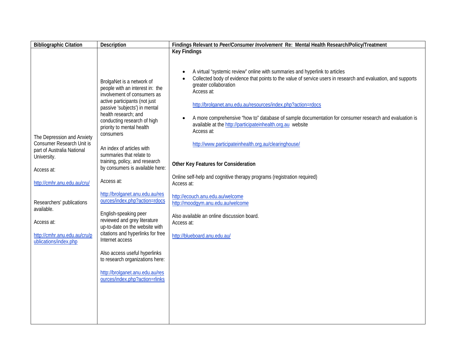| <b>Bibliographic Citation</b>                                                                                                                                                                                                                                              | Description                                                                                                                                                                                                                                                                                                                                                                                                                                                                                                                                                                                                                                                                                                                                                                | Findings Relevant to Peer/Consumer Involvement Re: Mental Health Research/Policy/Treatment                                                                                                                                                                                                                                                                                                                                                                                                                                                                                                                                                                                                                                                                                                                                                                                                  |
|----------------------------------------------------------------------------------------------------------------------------------------------------------------------------------------------------------------------------------------------------------------------------|----------------------------------------------------------------------------------------------------------------------------------------------------------------------------------------------------------------------------------------------------------------------------------------------------------------------------------------------------------------------------------------------------------------------------------------------------------------------------------------------------------------------------------------------------------------------------------------------------------------------------------------------------------------------------------------------------------------------------------------------------------------------------|---------------------------------------------------------------------------------------------------------------------------------------------------------------------------------------------------------------------------------------------------------------------------------------------------------------------------------------------------------------------------------------------------------------------------------------------------------------------------------------------------------------------------------------------------------------------------------------------------------------------------------------------------------------------------------------------------------------------------------------------------------------------------------------------------------------------------------------------------------------------------------------------|
| The Depression and Anxiety<br><b>Consumer Research Unit is</b><br>part of Australia National<br>University.<br>Access at:<br>http://cmhr.anu.edu.au/cru/<br>Researchers' publications<br>available.<br>Access at:<br>http://cmhr.anu.edu.au/cru/p<br>ublications/index.php | BrolgaNet is a network of<br>people with an interest in: the<br>involvement of consumers as<br>active participants (not just<br>passive 'subjects') in mental<br>health research; and<br>conducting research of high<br>priority to mental health<br>consumers<br>An index of articles with<br>summaries that relate to<br>training, policy, and research<br>by consumers is available here:<br>Access at:<br>http://brolganet.anu.edu.au/res<br>ources/index.php?action=rdocs<br>English-speaking peer<br>reviewed and grey literature<br>up-to-date on the website with<br>citations and hyperlinks for free<br>Internet access<br>Also access useful hyperlinks<br>to research organizations here:<br>http://brolganet.anu.edu.au/res<br>ources/index.php?action=rlinks | <b>Key Findings</b><br>A virtual "systemic review" online with summaries and hyperlink to articles<br>Collected body of evidence that points to the value of service users in research and evaluation, and supports<br>greater collaboration<br>Access at:<br>http://brolganet.anu.edu.au/resources/index.php?action=rdocs<br>A more comprehensive "how to" database of sample documentation for consumer research and evaluation is<br>$\bullet$<br>available at the http://participateinhealth.org.au website<br>Access at:<br>http://www.participateinhealth.org.au/clearinghouse/<br>Other Key Features for Consideration<br>Online self-help and cognitive therapy programs (registration required)<br>Access at:<br>http://ecouch.anu.edu.au/welcome<br>http://moodqym.anu.edu.au/welcome<br>Also available an online discussion board.<br>Access at:<br>http://blueboard.anu.edu.au/ |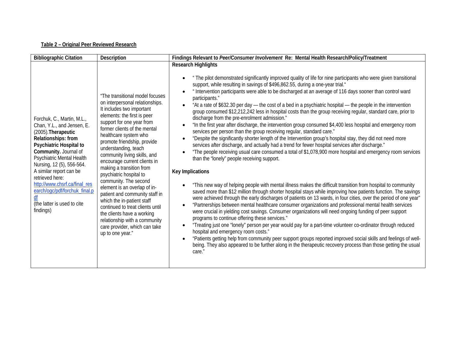#### **Table 2 – Original Peer Reviewed Research**

| <b>Bibliographic Citation</b>                                                                                                                                                                                                                                                                                                                                                    | <b>Description</b>                                                                                                                                                                                                                                                                                                                                                                                                                                                                                                                                                                                                                                                                  | Findings Relevant to Peer/Consumer Involvement Re: Mental Health Research/Policy/Treatment                                                                                                                                                                                                                                                                                                                                                                                                                                                                                                                                                                                                                                                                                                                                                                                                                                                                                                                                                                                                                                                                                                                                                                                                                                                                                                                                                                                                                                                                                                                                                                                                                                                                                                                                                                                                                                                                                                                                                                                                                                                                                                                                                                                                                                             |
|----------------------------------------------------------------------------------------------------------------------------------------------------------------------------------------------------------------------------------------------------------------------------------------------------------------------------------------------------------------------------------|-------------------------------------------------------------------------------------------------------------------------------------------------------------------------------------------------------------------------------------------------------------------------------------------------------------------------------------------------------------------------------------------------------------------------------------------------------------------------------------------------------------------------------------------------------------------------------------------------------------------------------------------------------------------------------------|----------------------------------------------------------------------------------------------------------------------------------------------------------------------------------------------------------------------------------------------------------------------------------------------------------------------------------------------------------------------------------------------------------------------------------------------------------------------------------------------------------------------------------------------------------------------------------------------------------------------------------------------------------------------------------------------------------------------------------------------------------------------------------------------------------------------------------------------------------------------------------------------------------------------------------------------------------------------------------------------------------------------------------------------------------------------------------------------------------------------------------------------------------------------------------------------------------------------------------------------------------------------------------------------------------------------------------------------------------------------------------------------------------------------------------------------------------------------------------------------------------------------------------------------------------------------------------------------------------------------------------------------------------------------------------------------------------------------------------------------------------------------------------------------------------------------------------------------------------------------------------------------------------------------------------------------------------------------------------------------------------------------------------------------------------------------------------------------------------------------------------------------------------------------------------------------------------------------------------------------------------------------------------------------------------------------------------------|
| Forchuk, C., Martin, M.L.,<br>Chan, Y.L., and Jensen, E.<br>(2005). Therapeutic<br>Relationships: from<br>Psychiatric Hospital to<br>Community. Journal of<br>Psychiatric Mental Health<br>Nursing, 12 (5), 556-564.<br>A similar report can be<br>retrieved here:<br>http://www.chsrf.ca/final_res<br>earch/ogc/pdf/forchuk_final.p<br>(the latter is used to cite<br>findings) | "The transitional model focuses<br>on interpersonal relationships.<br>It includes two important<br>elements: the first is peer<br>support for one year from<br>former clients of the mental<br>healthcare system who<br>promote friendship, provide<br>understanding, teach<br>community living skills, and<br>encourage current clients in<br>making a transition from<br>psychiatric hospital to<br>community. The second<br>element is an overlap of in-<br>patient and community staff in<br>which the in-patient staff<br>continued to treat clients until<br>the clients have a working<br>relationship with a community<br>care provider, which can take<br>up to one year." | <b>Research Highlights</b><br>" The pilot demonstrated significantly improved quality of life for nine participants who were given transitional<br>support, while resulting in savings of \$496,862.55, during a one-year trial."<br>" Intervention participants were able to be discharged at an average of 116 days sooner than control ward<br>$\bullet$<br>participants."<br>"At a rate of \$632.30 per day — the cost of a bed in a psychiatric hospital — the people in the intervention<br>group consumed \$12,212,242 less in hospital costs than the group receiving regular, standard care, prior to<br>discharge from the pre-enrolment admission."<br>"In the first year after discharge, the intervention group consumed \$4,400 less hospital and emergency room<br>services per person than the group receiving regular, standard care."<br>"Despite the significantly shorter length of the Intervention group's hospital stay, they did not need more<br>services after discharge, and actually had a trend for fewer hospital services after discharge."<br>"The people receiving usual care consumed a total of \$1,078,900 more hospital and emergency room services<br>than the "lonely" people receiving support.<br>Key Implications<br>"This new way of helping people with mental illness makes the difficult transition from hospital to community<br>saved more than \$12 million through shorter hospital stays while improving how patients function. The savings<br>were achieved through the early discharges of patients on 13 wards, in four cities, over the period of one year"<br>"Partnerships between mental healthcare consumer organizations and professional mental health services<br>$\bullet$<br>were crucial in yielding cost savings. Consumer organizations will need ongoing funding of peer support<br>programs to continue offering these services."<br>"Treating just one "lonely" person per year would pay for a part-time volunteer co-ordinator through reduced<br>$\bullet$<br>hospital and emergency room costs."<br>"Patients getting help from community peer support groups reported improved social skills and feelings of well-<br>$\bullet$<br>being. They also appeared to be further along in the therapeutic recovery process than those getting the usual<br>care." |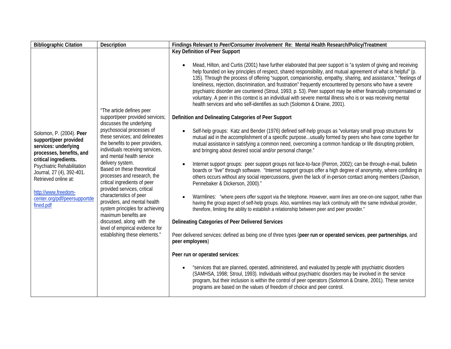| <b>Bibliographic Citation</b>                                                                                                                                                                                                                                                         | Description                                                                                                                                                                                                                                                                                                                                                                                                                                                                                                                      | Findings Relevant to Peer/Consumer Involvement Re: Mental Health Research/Policy/Treatment                                                                                                                                                                                                                                                                                                                                                                                                                                                                                                                                                                                                                                                                                                                                                                                                                                                                                                                                                                                                                                                                                                                                                                                                                                                                                                                                                                                                                                                                                                                                                                                                                                                                                                                                                                                                                                                                                                                        |
|---------------------------------------------------------------------------------------------------------------------------------------------------------------------------------------------------------------------------------------------------------------------------------------|----------------------------------------------------------------------------------------------------------------------------------------------------------------------------------------------------------------------------------------------------------------------------------------------------------------------------------------------------------------------------------------------------------------------------------------------------------------------------------------------------------------------------------|-------------------------------------------------------------------------------------------------------------------------------------------------------------------------------------------------------------------------------------------------------------------------------------------------------------------------------------------------------------------------------------------------------------------------------------------------------------------------------------------------------------------------------------------------------------------------------------------------------------------------------------------------------------------------------------------------------------------------------------------------------------------------------------------------------------------------------------------------------------------------------------------------------------------------------------------------------------------------------------------------------------------------------------------------------------------------------------------------------------------------------------------------------------------------------------------------------------------------------------------------------------------------------------------------------------------------------------------------------------------------------------------------------------------------------------------------------------------------------------------------------------------------------------------------------------------------------------------------------------------------------------------------------------------------------------------------------------------------------------------------------------------------------------------------------------------------------------------------------------------------------------------------------------------------------------------------------------------------------------------------------------------|
| Solomon, P. (2004). Peer<br>support/peer provided<br>services: underlying<br>processes, benefits, and<br>critical ingredients.<br>Psychiatric Rehabilitation<br>Journal, 27 (4), 392-401.<br>Retrieved online at:<br>http://www.freedom-<br>center.org/pdf/peersupportde<br>fined.pdf | "The article defines peer<br>support/peer provided services;<br>discusses the underlying<br>psychosocial processes of<br>these services; and delineates<br>the benefits to peer providers,<br>individuals receiving services,<br>and mental health service<br>delivery system.<br>Based on these theoretical<br>processes and research, the<br>critical ingredients of peer<br>provided services, critical<br>characteristics of peer<br>providers, and mental health<br>system principles for achieving<br>maximum benefits are | Key Definition of Peer Support<br>Mead, Hilton, and Curtis (2001) have further elaborated that peer support is "a system of giving and receiving<br>help founded on key principles of respect, shared responsibility, and mutual agreement of what is helpful" (p.<br>135). Through the process of offering "support, companionship, empathy, sharing, and assistance," "feelings of<br>loneliness, rejection, discrimination, and frustration" frequently encountered by persons who have a severe<br>psychiatric disorder are countered (Stroul, 1993; p. 53). Peer support may be either financially compensated or<br>voluntary. A peer in this context is an individual with severe mental illness who is or was receiving mental<br>health services and who self-identifies as such (Solomon & Draine, 2001).<br>Definition and Delineating Categories of Peer Support<br>Self-help groups: Katz and Bender (1976) defined self-help groups as "voluntary small group structures for<br>mutual aid in the accomplishment of a specific purposeusually formed by peers who have come together for<br>mutual assistance in satisfying a common need, overcoming a common handicap or life disrupting problem,<br>and bringing about desired social and/or personal change."<br>Internet support groups: peer support groups not face-to-face (Perron, 2002); can be through e-mail, bulletin<br>boards or "live" through software. "Internet support groups offer a high degree of anonymity, where confiding in<br>others occurs without any social repercussions, given the lack of in-person contact among members (Davison,<br>Pennebaker & Dickerson, 2000)."<br>Warmlines: "where peers offer support via the telephone. However, warm lines are one-on-one support, rather than<br>having the group aspect of self-help groups. Also, warmlines may lack continuity with the same individual provider,<br>therefore, limiting the ability to establish a relationship between peer and peer provider." |
|                                                                                                                                                                                                                                                                                       | discussed, along with the<br>level of empirical evidence for<br>establishing these elements."                                                                                                                                                                                                                                                                                                                                                                                                                                    | Delineating Categories of Peer Delivered Services                                                                                                                                                                                                                                                                                                                                                                                                                                                                                                                                                                                                                                                                                                                                                                                                                                                                                                                                                                                                                                                                                                                                                                                                                                                                                                                                                                                                                                                                                                                                                                                                                                                                                                                                                                                                                                                                                                                                                                 |
|                                                                                                                                                                                                                                                                                       |                                                                                                                                                                                                                                                                                                                                                                                                                                                                                                                                  | Peer delivered services: defined as being one of three types (peer run or operated services, peer partnerships, and<br>peer employees)                                                                                                                                                                                                                                                                                                                                                                                                                                                                                                                                                                                                                                                                                                                                                                                                                                                                                                                                                                                                                                                                                                                                                                                                                                                                                                                                                                                                                                                                                                                                                                                                                                                                                                                                                                                                                                                                            |
|                                                                                                                                                                                                                                                                                       |                                                                                                                                                                                                                                                                                                                                                                                                                                                                                                                                  | Peer run or operated services:                                                                                                                                                                                                                                                                                                                                                                                                                                                                                                                                                                                                                                                                                                                                                                                                                                                                                                                                                                                                                                                                                                                                                                                                                                                                                                                                                                                                                                                                                                                                                                                                                                                                                                                                                                                                                                                                                                                                                                                    |
|                                                                                                                                                                                                                                                                                       |                                                                                                                                                                                                                                                                                                                                                                                                                                                                                                                                  | "services that are planned, operated, administered, and evaluated by people with psychiatric disorders<br>(SAMHSA, 1998; Stroul, 1993). Individuals without psychiatric disorders may be involved in the service<br>program, but their inclusion is within the control of peer operators (Solomon & Draine, 2001). These service<br>programs are based on the values of freedom of choice and peer control.                                                                                                                                                                                                                                                                                                                                                                                                                                                                                                                                                                                                                                                                                                                                                                                                                                                                                                                                                                                                                                                                                                                                                                                                                                                                                                                                                                                                                                                                                                                                                                                                       |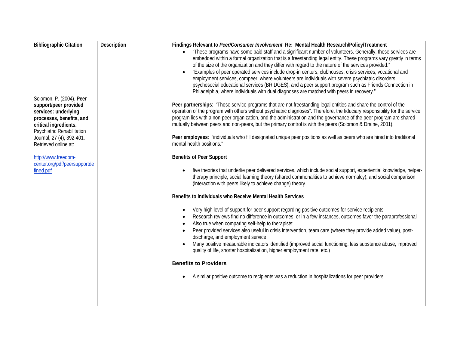| <b>Bibliographic Citation</b>                                                                      | Description | Findings Relevant to Peer/Consumer Involvement Re: Mental Health Research/Policy/Treatment                                                                                                                                                                                                                                                                                                                                                                                                                                                                                                                                                                                                                                                                               |
|----------------------------------------------------------------------------------------------------|-------------|--------------------------------------------------------------------------------------------------------------------------------------------------------------------------------------------------------------------------------------------------------------------------------------------------------------------------------------------------------------------------------------------------------------------------------------------------------------------------------------------------------------------------------------------------------------------------------------------------------------------------------------------------------------------------------------------------------------------------------------------------------------------------|
| Solomon, P. (2004). Peer                                                                           |             | "These programs have some paid staff and a significant number of volunteers. Generally, these services are<br>$\bullet$<br>embedded within a formal organization that is a freestanding legal entity. These programs vary greatly in terms<br>of the size of the organization and they differ with regard to the nature of the services provided."<br>"Examples of peer operated services include drop-in centers, clubhouses, crisis services, vocational and<br>employment services, compeer, where volunteers are individuals with severe psychiatric disorders,<br>psychosocial educational services (BRIDGES), and a peer support program such as Friends Connection in<br>Philadelphia, where individuals with dual diagnoses are matched with peers in recovery." |
| support/peer provided<br>services: underlying<br>processes, benefits, and<br>critical ingredients. |             | Peer partnerships: "Those service programs that are not freestanding legal entities and share the control of the<br>operation of the program with others without psychiatric diagnoses". Therefore, the fiduciary responsibility for the service<br>program lies with a non-peer organization, and the administration and the governance of the peer program are shared<br>mutually between peers and non-peers, but the primary control is with the peers (Solomon & Draine, 2001).                                                                                                                                                                                                                                                                                     |
| Psychiatric Rehabilitation<br>Journal, 27 (4), 392-401.<br>Retrieved online at:                    |             | Peer employees: "individuals who fill designated unique peer positions as well as peers who are hired into traditional<br>mental health positions."                                                                                                                                                                                                                                                                                                                                                                                                                                                                                                                                                                                                                      |
| http://www.freedom-                                                                                |             | <b>Benefits of Peer Support</b>                                                                                                                                                                                                                                                                                                                                                                                                                                                                                                                                                                                                                                                                                                                                          |
| center.org/pdf/peersupportde<br>fined.pdf                                                          |             | five theories that underlie peer delivered services, which include social support, experiential knowledge, helper-<br>therapy principle, social learning theory (shared commonalities to achieve normalcy), and social comparison<br>(interaction with peers likely to achieve change) theory.                                                                                                                                                                                                                                                                                                                                                                                                                                                                           |
|                                                                                                    |             | Benefits to Individuals who Receive Mental Health Services                                                                                                                                                                                                                                                                                                                                                                                                                                                                                                                                                                                                                                                                                                               |
|                                                                                                    |             | Very high level of support for peer support regarding positive outcomes for service recipients<br>Research reviews find no difference in outcomes, or in a few instances, outcomes favor the paraprofessional<br>Also true when comparing self-help to therapists;<br>$\bullet$<br>Peer provided services also useful in crisis intervention, team care (where they provide added value), post-                                                                                                                                                                                                                                                                                                                                                                          |
|                                                                                                    |             | discharge, and employment service<br>Many positive measurable indicators identified (improved social functioning, less substance abuse, improved<br>quality of life, shorter hospitalization, higher employment rate, etc.)                                                                                                                                                                                                                                                                                                                                                                                                                                                                                                                                              |
|                                                                                                    |             | <b>Benefits to Providers</b>                                                                                                                                                                                                                                                                                                                                                                                                                                                                                                                                                                                                                                                                                                                                             |
|                                                                                                    |             | A similar positive outcome to recipients was a reduction in hospitalizations for peer providers                                                                                                                                                                                                                                                                                                                                                                                                                                                                                                                                                                                                                                                                          |
|                                                                                                    |             |                                                                                                                                                                                                                                                                                                                                                                                                                                                                                                                                                                                                                                                                                                                                                                          |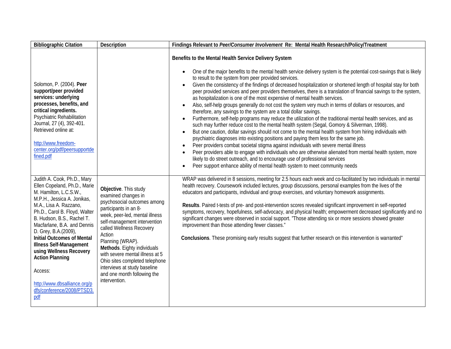| <b>Bibliographic Citation</b>                                                                                                                                                                                                                                                                                                                                                                                                                                                    | Description                                                                                                                                                                                                                                                                                                                                                                                                          | Findings Relevant to Peer/Consumer Involvement Re: Mental Health Research/Policy/Treatment                                                                                                                                                                                                                                                                                                                                                                                                                                                                                                                                                                                                                                                                                                                                                                                                                                                                                                                                                                                                                                                                                                                                                                                                                                                                                                                                                                                                                                                                               |
|----------------------------------------------------------------------------------------------------------------------------------------------------------------------------------------------------------------------------------------------------------------------------------------------------------------------------------------------------------------------------------------------------------------------------------------------------------------------------------|----------------------------------------------------------------------------------------------------------------------------------------------------------------------------------------------------------------------------------------------------------------------------------------------------------------------------------------------------------------------------------------------------------------------|--------------------------------------------------------------------------------------------------------------------------------------------------------------------------------------------------------------------------------------------------------------------------------------------------------------------------------------------------------------------------------------------------------------------------------------------------------------------------------------------------------------------------------------------------------------------------------------------------------------------------------------------------------------------------------------------------------------------------------------------------------------------------------------------------------------------------------------------------------------------------------------------------------------------------------------------------------------------------------------------------------------------------------------------------------------------------------------------------------------------------------------------------------------------------------------------------------------------------------------------------------------------------------------------------------------------------------------------------------------------------------------------------------------------------------------------------------------------------------------------------------------------------------------------------------------------------|
| Solomon, P. (2004). Peer<br>support/peer provided<br>services: underlying<br>processes, benefits, and<br>critical ingredients.<br>Psychiatric Rehabilitation<br>Journal, 27 (4), 392-401.<br>Retrieved online at:<br>http://www.freedom-<br>center.org/pdf/peersupportde<br>fined.pdf                                                                                                                                                                                            |                                                                                                                                                                                                                                                                                                                                                                                                                      | Benefits to the Mental Health Service Delivery System<br>One of the major benefits to the mental health service delivery system is the potential cost-savings that is likely<br>to result to the system from peer provided services.<br>Given the consistency of the findings of decreased hospitalization or shortened length of hospital stay for both<br>$\bullet$<br>peer provided services and peer providers themselves, there is a translation of financial savings to the system,<br>as hospitalization is one of the most expensive of mental health services.<br>Also, self-help groups generally do not cost the system very much in terms of dollars or resources, and<br>$\bullet$<br>therefore, any savings to the system are a total dollar savings.<br>Furthermore, self-help programs may reduce the utilization of the traditional mental health services, and as<br>such may further reduce cost to the mental health system (Segal, Gomory & Silverman, 1998).<br>But one caution, dollar savings should not come to the mental health system from hiring individuals with<br>psychiatric diagnoses into existing positions and paying them less for the same job.<br>Peer providers combat societal stigma against individuals with severe mental illness<br>$\bullet$<br>Peer providers able to engage with individuals who are otherwise alienated from mental health system, more<br>likely to do street outreach, and to encourage use of professional services<br>Peer support enhance ability of mental health system to meet community needs |
| Judith A. Cook, Ph.D., Mary<br>Ellen Copeland, Ph.D., Marie<br>M. Hamilton, L.C.S.W.,<br>M.P.H., Jessica A. Jonikas,<br>M.A., Lisa A. Razzano,<br>Ph.D., Carol B. Floyd, Walter<br>B. Hudson, B.S., Rachel T.<br>Macfarlane, B.A. and Dennis<br>D. Grey, B.A.(2009),<br><b>Initial Outcomes of Mental</b><br><b>Illness Self-Management</b><br>using Wellness Recovery<br><b>Action Planning</b><br>Access:<br>http://www.dbsalliance.org/p<br>dfs/conference/2008/PTSD3.<br>pdf | Objective. This study<br>examined changes in<br>psychosocial outcomes among<br>participants in an 8-<br>week, peer-led, mental illness<br>self-management intervention<br>called Wellness Recovery<br>Action<br>Planning (WRAP).<br>Methods. Eighty individuals<br>with severe mental illness at 5<br>Ohio sites completed telephone<br>interviews at study baseline<br>and one month following the<br>intervention. | WRAP was delivered in 8 sessions, meeting for 2.5 hours each week and co-facilitated by two individuals in mental<br>health recovery. Coursework included lectures, group discussions, personal examples from the lives of the<br>educators and participants, individual and group exercises, and voluntary homework assignments.<br>Results. Paired t-tests of pre- and post-intervention scores revealed significant improvement in self-reported<br>symptoms, recovery, hopefulness, self-advocacy, and physical health; empowerment decreased significantly and no<br>significant changes were observed in social support. "Those attending six or more sessions showed greater<br>improvement than those attending fewer classes."<br>Conclusions. These promising early results suggest that further research on this intervention is warranted"                                                                                                                                                                                                                                                                                                                                                                                                                                                                                                                                                                                                                                                                                                                   |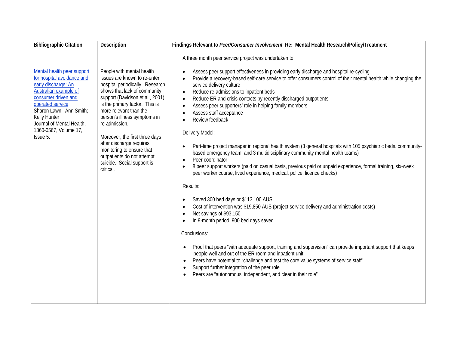| A three month peer service project was undertaken to:<br>Mental health peer support<br>People with mental health<br>Assess peer support effectiveness in providing early discharge and hospital re-cycling<br>for hospital avoidance and<br>issues are known to re-enter<br>Provide a recovery-based self-care service to offer consumers control of their mental health while changing the<br>$\bullet$<br>early discharge: An<br>hospital periodically. Research<br>service delivery culture<br>Australian example of<br>shows that lack of community<br>Reduce re-admissions to inpatient beds<br>$\bullet$<br>support (Davidson et al., 2001)<br>consumer driven and<br>Reduce ER and crisis contacts by recently discharged outpatients<br>$\bullet$<br>is the primary factor. This is<br>operated service<br>Assess peer supporters' role in helping family members<br>$\bullet$<br>more relevant than the<br>Sharon Lawn; Ann Smith;<br>Assess staff acceptance<br>$\bullet$<br>Kelly Hunter<br>person's illness symptoms in<br>Review feedback<br>Journal of Mental Health,<br>re-admission. |
|------------------------------------------------------------------------------------------------------------------------------------------------------------------------------------------------------------------------------------------------------------------------------------------------------------------------------------------------------------------------------------------------------------------------------------------------------------------------------------------------------------------------------------------------------------------------------------------------------------------------------------------------------------------------------------------------------------------------------------------------------------------------------------------------------------------------------------------------------------------------------------------------------------------------------------------------------------------------------------------------------------------------------------------------------------------------------------------------------|
| Delivery Model:<br>Moreover, the first three days<br>after discharge requires<br>Part-time project manager in regional health system (3 general hospitals with 105 psychiatric beds, community-<br>monitoring to ensure that<br>based emergency team, and 3 multidisciplinary community mental health teams)<br>outpatients do not attempt<br>Peer coordinator<br>suicide. Social support is<br>8 peer support workers (paid on casual basis, previous paid or unpaid experience, formal training, six-week<br>critical.<br>peer worker course, lived experience, medical, police, licence checks)<br>Results:<br>Saved 300 bed days or \$113,100 AUS<br>Cost of intervention was \$19,850 AUS (project service delivery and administration costs)<br>Net savings of \$93,150<br>In 9-month period, 900 bed days saved<br>Conclusions:                                                                                                                                                                                                                                                               |
| 1360-0567, Volume 17,<br>Issue 5.                                                                                                                                                                                                                                                                                                                                                                                                                                                                                                                                                                                                                                                                                                                                                                                                                                                                                                                                                                                                                                                                    |
|                                                                                                                                                                                                                                                                                                                                                                                                                                                                                                                                                                                                                                                                                                                                                                                                                                                                                                                                                                                                                                                                                                      |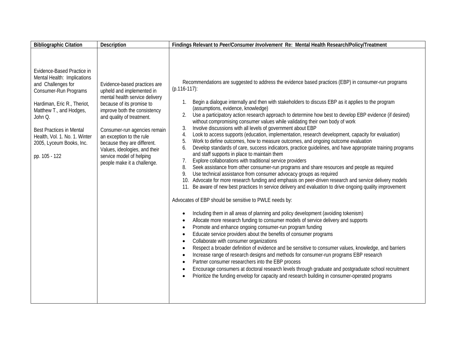| <b>Bibliographic Citation</b>                                                                                                                                                                                                                                                                  | Description                                                                                                                                                                                                                                                                                                                                                                  | Findings Relevant to Peer/Consumer Involvement Re: Mental Health Research/Policy/Treatment                                                                                                                                                                                                                                                                                                                                                                                                                                                                                                                                                                                                                                                                                                                                                                                                                                                                                                                                                                                                                                                                                                                                                                                                                                                                                                                                                                                                                                                                                                                                                                                                                                                                                                                                                                                                                                                                                                                                                                                                                                                                                                                                                                                                                                                                                             |
|------------------------------------------------------------------------------------------------------------------------------------------------------------------------------------------------------------------------------------------------------------------------------------------------|------------------------------------------------------------------------------------------------------------------------------------------------------------------------------------------------------------------------------------------------------------------------------------------------------------------------------------------------------------------------------|----------------------------------------------------------------------------------------------------------------------------------------------------------------------------------------------------------------------------------------------------------------------------------------------------------------------------------------------------------------------------------------------------------------------------------------------------------------------------------------------------------------------------------------------------------------------------------------------------------------------------------------------------------------------------------------------------------------------------------------------------------------------------------------------------------------------------------------------------------------------------------------------------------------------------------------------------------------------------------------------------------------------------------------------------------------------------------------------------------------------------------------------------------------------------------------------------------------------------------------------------------------------------------------------------------------------------------------------------------------------------------------------------------------------------------------------------------------------------------------------------------------------------------------------------------------------------------------------------------------------------------------------------------------------------------------------------------------------------------------------------------------------------------------------------------------------------------------------------------------------------------------------------------------------------------------------------------------------------------------------------------------------------------------------------------------------------------------------------------------------------------------------------------------------------------------------------------------------------------------------------------------------------------------------------------------------------------------------------------------------------------------|
| Evidence-Based Practice in<br>Mental Health: Implications<br>and Challenges for<br>Consumer-Run Programs<br>Hardiman, Eric R., Theriot,<br>Matthew T., and Hodges,<br>John Q.<br><b>Best Practices in Mental</b><br>Health, Vol. 1. No. 1. Winter<br>2005, Lyceum Books, Inc.<br>pp. 105 - 122 | Evidence-based practices are<br>upheld and implemented in<br>mental health service delivery<br>because of its promise to<br>improve both the consistency<br>and quality of treatment.<br>Consumer-run agencies remain<br>an exception to the rule<br>because they are different.<br>Values, ideologies, and their<br>service model of helping<br>people make it a challenge. | Recommendations are suggested to address the evidence based practices (EBP) in consumer-run programs<br>$(p.116-117)$ :<br>Begin a dialogue internally and then with stakeholders to discuss EBP as it applies to the program<br>(assumptions, evidence, knowledge)<br>Use a participatory action research approach to determine how best to develop EBP evidence (if desired)<br>2.<br>without compromising consumer values while validating their own body of work<br>Involve discussions with all levels of government about EBP<br>3.<br>Look to access supports (education, implementation, research development, capacity for evaluation)<br>4.<br>Work to define outcomes, how to measure outcomes, and ongoing outcome evaluation<br>5.<br>Develop standards of care, success indicators, practice guidelines, and have appropriate training programs<br>6.<br>and staff supports in place to maintain them<br>Explore collaborations with traditional service providers<br>7.<br>Seek assistance from other consumer-run programs and share resources and people as required<br>8.<br>Use technical assistance from consumer advocacy groups as required<br>10. Advocate for more research funding and emphasis on peer-driven research and service delivery models<br>11. Be aware of new best practices In service delivery and evaluation to drive ongoing quality improvement<br>Advocates of EBP should be sensitive to PWLE needs by:<br>Including them in all areas of planning and policy development (avoiding tokenism)<br>$\bullet$<br>Allocate more research funding to consumer models of service delivery and supports<br>$\bullet$<br>Promote and enhance ongoing consumer-run program funding<br>$\bullet$<br>Educate service providers about the benefits of consumer programs<br>$\bullet$<br>Collaborate with consumer organizations<br>$\bullet$<br>Respect a broader definition of evidence and be sensitive to consumer values, knowledge, and barriers<br>$\bullet$<br>Increase range of research designs and methods for consumer-run programs EBP research<br>$\bullet$<br>Partner consumer researchers into the EBP process<br>$\bullet$<br>Encourage consumers at doctoral research levels through graduate and postgraduate school recruitment<br>Prioritize the funding envelop for capacity and research building in consumer-operated programs |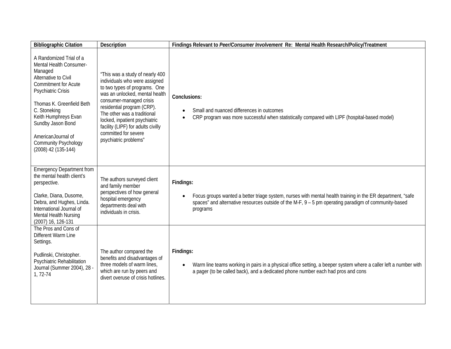| <b>Bibliographic Citation</b>                                                                                                                                                                                                                                                                                           | Description                                                                                                                                                                                                                                                                                                                                         | Findings Relevant to Peer/Consumer Involvement Re: Mental Health Research/Policy/Treatment                                                                                                                                                                 |
|-------------------------------------------------------------------------------------------------------------------------------------------------------------------------------------------------------------------------------------------------------------------------------------------------------------------------|-----------------------------------------------------------------------------------------------------------------------------------------------------------------------------------------------------------------------------------------------------------------------------------------------------------------------------------------------------|------------------------------------------------------------------------------------------------------------------------------------------------------------------------------------------------------------------------------------------------------------|
| A Randomized Trial of a<br>Mental Health Consumer-<br>Managed<br>Alternative to Civil<br><b>Commitment for Acute</b><br><b>Psychiatric Crisis</b><br>Thomas K. Greenfield Beth<br>C. Stoneking<br>Keith Humphreys Evan<br>Sundby Jason Bond<br>AmericanJournal of<br><b>Community Psychology</b><br>(2008) 42 (135-144) | "This was a study of nearly 400<br>individuals who were assigned<br>to two types of programs. One<br>was an unlocked, mental health<br>consumer-managed crisis<br>residential program (CRP).<br>The other was a traditional<br>locked, inpatient psychiatric<br>facility (LIPF) for adults civilly<br>committed for severe<br>psychiatric problems" | Conclusions:<br>Small and nuanced differences in outcomes<br>CRP program was more successful when statistically compared with LIPF (hospital-based model)                                                                                                  |
| <b>Emergency Department from</b><br>the mental health client's<br>perspective.<br>Clarke, Diana, Dusome,<br>Debra, and Hughes, Linda.<br>International Journal of<br>Mental Health Nursing<br>(2007) 16, 126-131                                                                                                        | The authors surveyed client<br>and family member<br>perspectives of how general<br>hospital emergency<br>departments deal with<br>individuals in crisis.                                                                                                                                                                                            | Findings:<br>Focus groups wanted a better triage system, nurses with mental health training in the ER department, "safe<br>$\bullet$<br>spaces" and alternative resources outside of the M-F, $9 - 5$ pm operating paradigm of community-based<br>programs |
| The Pros and Cons of<br>Different Warm Line<br>Settings.<br>Pudlinski, Christopher.<br>Psychiatric Rehabilitation<br>Journal (Summer 2004), 28 -<br>1, 72-74                                                                                                                                                            | The author compared the<br>benefits and disadvantages of<br>three models of warm lines,<br>which are run by peers and<br>divert overuse of crisis hotlines.                                                                                                                                                                                         | Findings:<br>Warm line teams working in pairs in a physical office setting, a beeper system where a caller left a number with<br>$\bullet$<br>a pager (to be called back), and a dedicated phone number each had pros and cons                             |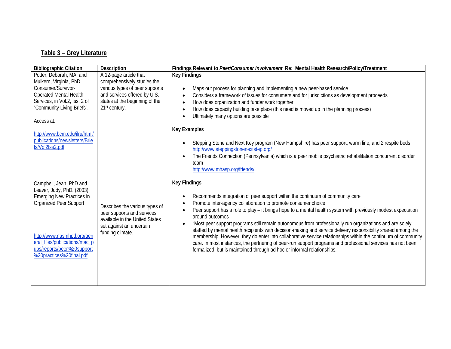## **Table 3 – Grey Literature**

| <b>Bibliographic Citation</b>                                                                                                                               | Description                                                                                                                                      | Findings Relevant to Peer/Consumer Involvement Re: Mental Health Research/Policy/Treatment                                                                                                                                                                                                                                                                                                                                |
|-------------------------------------------------------------------------------------------------------------------------------------------------------------|--------------------------------------------------------------------------------------------------------------------------------------------------|---------------------------------------------------------------------------------------------------------------------------------------------------------------------------------------------------------------------------------------------------------------------------------------------------------------------------------------------------------------------------------------------------------------------------|
| Potter, Deborah, MA, and                                                                                                                                    | A 12-page article that                                                                                                                           | <b>Key Findings</b>                                                                                                                                                                                                                                                                                                                                                                                                       |
| Mulkern, Virginia, PhD.<br>Consumer/Survivor-<br><b>Operated Mental Health</b><br>Services, in Vol.2, Iss. 2 of<br>"Community Living Briefs".<br>Access at: | comprehensively studies the<br>various types of peer supports<br>and services offered by U.S.<br>states at the beginning of the<br>21st century. | Maps out process for planning and implementing a new peer-based service<br>Considers a framework of issues for consumers and for jurisdictions as development proceeds<br>How does organization and funder work together<br>How does capacity building take place (this need is moved up in the planning process)<br>Ultimately many options are possible                                                                 |
|                                                                                                                                                             |                                                                                                                                                  | <b>Key Examples</b>                                                                                                                                                                                                                                                                                                                                                                                                       |
| http://www.bcm.edu/ilru/html/<br>publications/newsletters/Brie<br>fs/Vol2Iss2.pdf                                                                           |                                                                                                                                                  | Stepping Stone and Next Key program (New Hampshire) has peer support, warm line, and 2 respite beds<br>http://www.steppingstonenextstep.org/<br>The Friends Connection (Pennsylvania) which is a peer mobile psychiatric rehabilitation concurrent disorder<br>team<br>http://www.mhasp.org/friends/                                                                                                                      |
| Campbell, Jean. PhD and                                                                                                                                     |                                                                                                                                                  | <b>Key Findings</b>                                                                                                                                                                                                                                                                                                                                                                                                       |
| Leaver, Judy, PhD. (2003)<br>Emerging New Practices in<br>Organized Peer Support                                                                            | Describes the various types of<br>peer supports and services<br>available in the United States<br>set against an uncertain                       | Recommends integration of peer support within the continuum of community care<br>Promote inter-agency collaboration to promote consumer choice<br>Peer support has a role to play - it brings hope to a mental health system with previously modest expectation<br>around outcomes<br>"Most peer support programs still remain autonomous from professionally run organizations and are solely                            |
| http://www.nasmhpd.org/gen<br>eral_files/publications/ntac_p<br>ubs/reports/peer%20support<br>%20practices%20final.pdf                                      | funding climate.                                                                                                                                 | staffed by mental health recipients with decision-making and service delivery responsibility shared among the<br>membership. However, they do enter into collaborative service relationships within the continuum of community<br>care. In most instances, the partnering of peer-run support programs and professional services has not been<br>formalized, but is maintained through ad hoc or informal relationships." |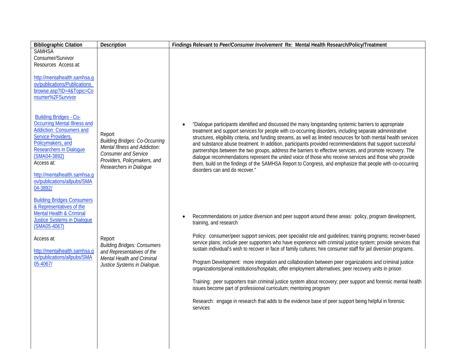| <b>Bibliographic Citation</b>                                                                                                                                                                                                                                                                 | Description                                                                                                                                                                | Findings Relevant to Peer/Consumer Involvement Re: Mental Health Research/Policy/Treatment                                                                                                                                                                                                                                                                                                                                                                                                                                                                                                                                                                                                                                                                                                                                                                                                                                                                                                                                  |
|-----------------------------------------------------------------------------------------------------------------------------------------------------------------------------------------------------------------------------------------------------------------------------------------------|----------------------------------------------------------------------------------------------------------------------------------------------------------------------------|-----------------------------------------------------------------------------------------------------------------------------------------------------------------------------------------------------------------------------------------------------------------------------------------------------------------------------------------------------------------------------------------------------------------------------------------------------------------------------------------------------------------------------------------------------------------------------------------------------------------------------------------------------------------------------------------------------------------------------------------------------------------------------------------------------------------------------------------------------------------------------------------------------------------------------------------------------------------------------------------------------------------------------|
| <b>SAMHSA</b><br>Consumer/Survivor<br>Resources Access at:<br>http://mentalhealth.samhsa.q<br>ov/publications/Publications<br>browse.asp?ID=4&Topic=Co<br>nsumer%2FSurvivor                                                                                                                   |                                                                                                                                                                            |                                                                                                                                                                                                                                                                                                                                                                                                                                                                                                                                                                                                                                                                                                                                                                                                                                                                                                                                                                                                                             |
| <b>Building Bridges - Co-</b><br><b>Occurring Mental Illness and</b><br><b>Addiction: Consumers and</b><br>Service Providers,<br>Policymakers, and<br><b>Researchers in Dialogue</b><br>(SMA04-3892)<br>Access at:<br>http://mentalhealth.samhsa.g<br>ov/publications/allpubs/SMA<br>04-3892/ | Report<br><b>Building Bridges: Co-Occurring</b><br>Mental Illness and Addiction:<br><b>Consumer and Service</b><br>Providers, Policymakers, and<br>Researchers in Dialogue | "Dialogue participants identified and discussed the many longstanding systemic barriers to appropriate<br>treatment and support services for people with co-occurring disorders, including separate administrative<br>structures, eligibility criteria, and funding streams, as well as limited resources for both mental health services<br>and substance abuse treatment. In addition, participants provided recommendations that support successful<br>partnerships between the two groups, address the barriers to effective services, and promote recovery. The<br>dialogue recommendations represent the united voice of those who receive services and those who provide<br>them, build on the findings of the SAMHSA Report to Congress, and emphasize that people with co-occurring<br>disorders can and do recover."                                                                                                                                                                                              |
| <b>Building Bridges Consumers</b><br>& Representatives of the<br><b>Mental Health &amp; Criminal</b><br><b>Justice Systems in Dialogue</b><br>(SMA05-4067)<br>Access at:<br>http://mentalhealth.samhsa.g<br>ov/publications/allpubs/SMA<br>05-4067/                                           | Report<br><b>Building Bridges: Consumers</b><br>and Representatives of the<br>Mental Health and Criminal<br>Justice Systems in Dialogue.                                   | Recommendations on justice diversion and peer support around these areas: policy, program development,<br>training, and research<br>Policy: consumer/peer support services; peer specialist role and quidelines; training programs; recover-based<br>service plans; include peer supporters who have experience with criminal justice system; provide services that<br>sustain individual's wish to recover in face of family cultures; hire consumer staff for jail diversion programs.<br>Program Development: more integration and collaboration between peer organizations and criminal justice<br>organizations/penal institutions/hospitals; offer employment alternatives; peer recovery units in prison<br>Training: peer supporters train criminal justice system about recovery; peer support and forensic mental health<br>issues become part of professional curriculum; mentoring program<br>Research: engage in research that adds to the evidence base of peer support being helpful in forensic<br>services |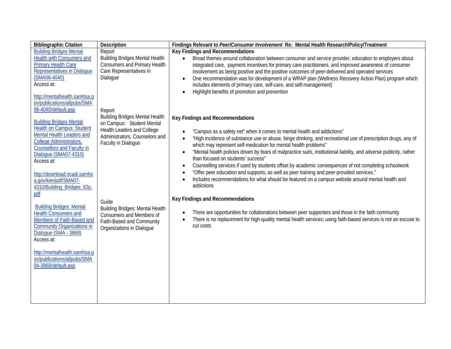| <b>Bibliographic Citation</b>                                                                                                                                                                                                                                                                | <b>Description</b>                                                                                                                                                                                            | Findings Relevant to Peer/Consumer Involvement Re: Mental Health Research/Policy/Treatment                                                                                                                                                                                                                                                                                                                                                                                                                                                                                                                                                                                                                                                                                             |
|----------------------------------------------------------------------------------------------------------------------------------------------------------------------------------------------------------------------------------------------------------------------------------------------|---------------------------------------------------------------------------------------------------------------------------------------------------------------------------------------------------------------|----------------------------------------------------------------------------------------------------------------------------------------------------------------------------------------------------------------------------------------------------------------------------------------------------------------------------------------------------------------------------------------------------------------------------------------------------------------------------------------------------------------------------------------------------------------------------------------------------------------------------------------------------------------------------------------------------------------------------------------------------------------------------------------|
| <b>Building Bridges Mental</b><br><b>Health with Consumers and</b><br><b>Primary Health Care</b><br><b>Representatives in Dialogue</b><br>(SMA06-4040)<br>Access at:<br>http://mentalhealth.samhsa.g<br>ov/publications/allpubs/SMA<br>06-4040/default.asp<br><b>Building Bridges Mental</b> | Report<br><b>Building Bridges Mental Health</b><br><b>Consumers and Primary Health</b><br>Care Representatives in<br>Dialogue<br>Report<br><b>Building Bridges Mental Health</b><br>on Campus: Student Mental | Key Findings and Recommendations<br>Broad themes around collaboration between consumer and service provider, education to employers about<br>$\bullet$<br>integrated care, payment incentives for primary care practitioners, and improved awareness of consumer<br>involvement as being positive and the positive outcomes of peer-delivered and operated services<br>One recommendation was for development of a WRAP plan (Wellness Recovery Action Plan) program which<br>includes elements of primary care, self-care, and self-management)<br>Highlight benefits of promotion and prevention<br>Key Findings and Recommendations                                                                                                                                                 |
| <b>Health on Campus: Student</b><br>Mental Health Leaders and<br>College Administrators,<br><b>Counsellors and Faculty in</b><br>Dialogue (SMA07-4310)<br>Access at:<br>http://download.ncadi.samhs<br>a.gov/ken/pdf/SMA07-<br>4310/Building_Bridges_62p.<br>pdf                             | Health Leaders and College<br>Administrators, Counselors and<br>Faculty in Dialogue                                                                                                                           | "Campus as a safety net" when it comes to mental health and addictions"<br>"High incidence of substance use or abuse, binge drinking, and recreational use of prescription drugs, any of<br>which may represent self-medication for mental health problems"<br>"Mental health policies driven by fears of malpractice suits, institutional liability, and adverse publicity, rather<br>than focused on students' success"<br>Counselling services if used by students offset by academic consequences of not completing schoolwork<br>"Offer peer education and supports, as well as peer training and peer-provided services."<br>Includes recommendations for what should be featured on a campus website around mental health and<br>addictions<br>Key Findings and Recommendations |
| <b>Building Bridges: Mental</b><br><b>Health Consumers and</b><br>Members of Faith-Based and<br><b>Community Organizations in</b><br>Dialogue (SMA - 3868)<br>Access at:<br>http://mentalhealth.samhsa.g<br>ov/publications/allpubs/SMA<br>04-3868/default.asp                               | Guide<br><b>Building Bridges: Mental Health</b><br>Consumers and Members of<br>Faith-Based and Community<br>Organizations in Dialogue                                                                         | There are opportunities for collaborations between peer supporters and those in the faith community<br>There is no replacement for high-quality mental health services; using faith-based services is not an excuse to<br>$\bullet$<br>cut costs                                                                                                                                                                                                                                                                                                                                                                                                                                                                                                                                       |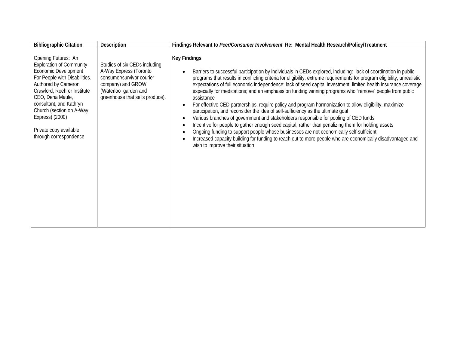| <b>Bibliographic Citation</b>                                                                                                                                                                                                                                                                                           | Description                                                                                                                                                          | Findings Relevant to Peer/Consumer Involvement Re: Mental Health Research/Policy/Treatment                                                                                                                                                                                                                                                                                                                                                                                                                                                                                                                                                                                                                                                                                                                                                                                                                                                                                                                                                                                                                                                           |
|-------------------------------------------------------------------------------------------------------------------------------------------------------------------------------------------------------------------------------------------------------------------------------------------------------------------------|----------------------------------------------------------------------------------------------------------------------------------------------------------------------|------------------------------------------------------------------------------------------------------------------------------------------------------------------------------------------------------------------------------------------------------------------------------------------------------------------------------------------------------------------------------------------------------------------------------------------------------------------------------------------------------------------------------------------------------------------------------------------------------------------------------------------------------------------------------------------------------------------------------------------------------------------------------------------------------------------------------------------------------------------------------------------------------------------------------------------------------------------------------------------------------------------------------------------------------------------------------------------------------------------------------------------------------|
| Opening Futures: An<br><b>Exploration of Community</b><br>Economic Development<br>For People with Disabilities.<br>Authored by Cameron<br>Crawford, Roehrer Institute<br>CEO, Dena Maule,<br>consultant, and Kathryn<br>Church (section on A-Way<br>Express) (2000)<br>Private copy available<br>through correspondence | Studies of six CEDs including<br>A-Way Express (Toronto<br>consumer/survivor courier<br>company) and GROW<br>(Waterloo garden and<br>greenhouse that sells produce). | <b>Key Findings</b><br>Barriers to successful participation by individuals in CEDs explored, including: lack of coordination in public<br>programs that results in conflicting criteria for eligibility; extreme requirements for program eligibility, unrealistic<br>expectations of full economic independence; lack of seed capital investment, limited health insurance coverage<br>especially for medications; and an emphasis on funding winning programs who "remove" people from pubic<br>assistance<br>For effective CED partnerships, require policy and program harmonization to allow eligibility, maximize<br>participation, and reconsider the idea of self-sufficiency as the ultimate goal<br>Various branches of government and stakeholders responsible for pooling of CED funds<br>Incentive for people to gather enough seed capital, rather than penalizing them for holding assets<br>Ongoing funding to support people whose businesses are not economically self-sufficient<br>Increased capacity building for funding to reach out to more people who are economically disadvantaged and<br>wish to improve their situation |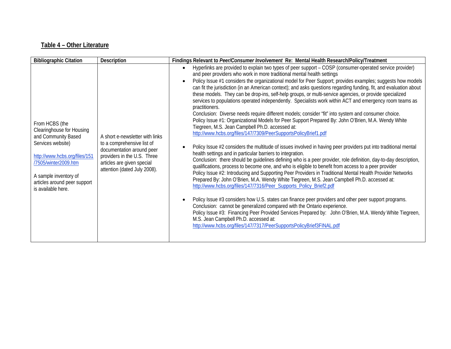## **Table 4 – Other Literature**

| <b>Bibliographic Citation</b>                                                                                                                                                                                                   | Description                                                                                                                                                                             | Findings Relevant to Peer/Consumer Involvement Re: Mental Health Research/Policy/Treatment                                                                                                                                                                                                                                                                                                                                                                                                                                                                                                                                                                                                                                                                                                                                                                                                                                                                                                                                                                                                                                                                                                                                                                                                                                                                                                                                                                                                                                                                                                                                                                                                                                                                                                                                                                                                                                                                                                                                                                                                                         |
|---------------------------------------------------------------------------------------------------------------------------------------------------------------------------------------------------------------------------------|-----------------------------------------------------------------------------------------------------------------------------------------------------------------------------------------|--------------------------------------------------------------------------------------------------------------------------------------------------------------------------------------------------------------------------------------------------------------------------------------------------------------------------------------------------------------------------------------------------------------------------------------------------------------------------------------------------------------------------------------------------------------------------------------------------------------------------------------------------------------------------------------------------------------------------------------------------------------------------------------------------------------------------------------------------------------------------------------------------------------------------------------------------------------------------------------------------------------------------------------------------------------------------------------------------------------------------------------------------------------------------------------------------------------------------------------------------------------------------------------------------------------------------------------------------------------------------------------------------------------------------------------------------------------------------------------------------------------------------------------------------------------------------------------------------------------------------------------------------------------------------------------------------------------------------------------------------------------------------------------------------------------------------------------------------------------------------------------------------------------------------------------------------------------------------------------------------------------------------------------------------------------------------------------------------------------------|
| From HCBS (the<br>Clearinghouse for Housing<br>and Community Based<br>Services website)<br>http://www.hcbs.org/files/151<br>/7505/winter2009.htm<br>A sample inventory of<br>articles around peer support<br>is available here. | A short e-newsletter with links<br>to a comprehensive list of<br>documentation around peer<br>providers in the U.S. Three<br>articles are given special<br>attention (dated July 2008). | Hyperlinks are provided to explain two types of peer support - COSP (consumer-operated service provider)<br>and peer providers who work in more traditional mental health settings<br>Policy Issue #1 considers the organizational model for Peer Support; provides examples; suggests how models<br>can fit the jurisdiction (in an American context); and asks questions regarding funding, fit, and evaluation about<br>these models. They can be drop-ins, self-help groups, or multi-service agencies, or provide specialized<br>services to populations operated independently. Specialists work within ACT and emergency room teams as<br>practitioners.<br>Conclusion: Diverse needs require different models; consider "fit" into system and consumer choice.<br>Policy Issue #1: Organizational Models for Peer Support Prepared By: John O'Brien, M.A. Wendy White<br>Tiegreen, M.S. Jean Campbell Ph.D. accessed at:<br>http://www.hcbs.org/files/147/7309/PeerSupportsPolicyBrief1.pdf<br>Policy Issue #2 considers the multitude of issues involved in having peer providers put into traditional mental<br>health settings and in particular barriers to integration.<br>Conclusion: there should be guidelines defining who is a peer provider, role definition, day-to-day description,<br>qualifications, process to become one, and who is eligible to benefit from access to a peer provider<br>Policy Issue #2: Introducing and Supporting Peer Providers in Traditional Mental Health Provider Networks<br>Prepared By: John O'Brien, M.A. Wendy White Tiegreen, M.S. Jean Campbell Ph.D. accessed at:<br>http://www.hcbs.org/files/147/7316/Peer_Supports_Policy_Brief2.pdf<br>Policy Issue #3 considers how U.S. states can finance peer providers and other peer support programs.<br>Conclusion: cannot be generalized compared with the Ontario experience.<br>Policy Issue #3: Financing Peer Provided Services Prepared by: John O'Brien, M.A. Wendy White Tiegreen,<br>M.S. Jean Campbell Ph.D. accessed at:<br>http://www.hcbs.org/files/147/7317/PeerSupportsPolicyBrief3FINAL.pdf |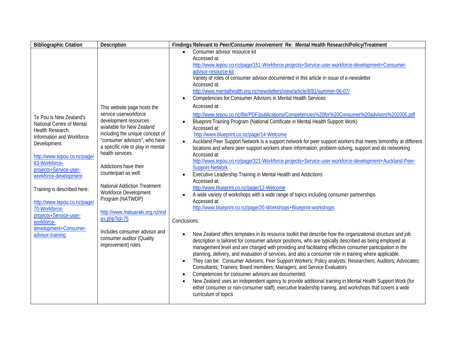| <b>Bibliographic Citation</b>                                                                                                                                                                                                                                                                                                                                                                  | <b>Description</b>                                                                                                                                                                                                                                                                                                                                                                                                                                                                   | Findings Relevant to Peer/Consumer Involvement Re: Mental Health Research/Policy/Treatment                                                                                                                                                                                                                                                                                                                                                                                                                                                                                                                                                                                                                                                                                                                                                                                                                                                                                                                                                                                                                                                                                                                                                                                                                                                                                                                                                                                                                                                                                                                                                                                                                                                                                                                                                                                                                                                                                |
|------------------------------------------------------------------------------------------------------------------------------------------------------------------------------------------------------------------------------------------------------------------------------------------------------------------------------------------------------------------------------------------------|--------------------------------------------------------------------------------------------------------------------------------------------------------------------------------------------------------------------------------------------------------------------------------------------------------------------------------------------------------------------------------------------------------------------------------------------------------------------------------------|---------------------------------------------------------------------------------------------------------------------------------------------------------------------------------------------------------------------------------------------------------------------------------------------------------------------------------------------------------------------------------------------------------------------------------------------------------------------------------------------------------------------------------------------------------------------------------------------------------------------------------------------------------------------------------------------------------------------------------------------------------------------------------------------------------------------------------------------------------------------------------------------------------------------------------------------------------------------------------------------------------------------------------------------------------------------------------------------------------------------------------------------------------------------------------------------------------------------------------------------------------------------------------------------------------------------------------------------------------------------------------------------------------------------------------------------------------------------------------------------------------------------------------------------------------------------------------------------------------------------------------------------------------------------------------------------------------------------------------------------------------------------------------------------------------------------------------------------------------------------------------------------------------------------------------------------------------------------------|
|                                                                                                                                                                                                                                                                                                                                                                                                | This website page hosts the                                                                                                                                                                                                                                                                                                                                                                                                                                                          | Consumer advisor resource kit<br>$\bullet$<br>Accessed at:<br>http://www.tepou.co.nz/page/151-Workforce-projects+Service-user-workforce-development+Consumer-<br>advisor-resource-kit<br>Variety of roles of consumer advisor documented in this article in issue of e-newsletter<br>Accessed at:<br>http://www.mentalhealth.org.nz/newsletters/view/article/8/81/summer-06-07/<br>Competencies for Consumer Advisors in Mental Health Services<br>$\bullet$<br>Accessed at:                                                                                                                                                                                                                                                                                                                                                                                                                                                                                                                                                                                                                                                                                                                                                                                                                                                                                                                                                                                                                                                                                                                                                                                                                                                                                                                                                                                                                                                                                              |
| Te Pou is New Zealand's<br>National Centre of Mental<br>Health Research,<br>Information and Workforce<br>Development.<br>http://www.tepou.co.nz/page/<br>63-Workforce-<br>projects+Service-user-<br>workforce-development<br>Training is described here:<br>http://www.tepou.co.nz/page/<br>70-Workforce-<br>projects+Service-user-<br>workforce-<br>development+Consumer-<br>advisor-training | service userworkforce<br>development resources<br>available for New Zealand<br>including the unique concept of<br>"consumer advisors", who have<br>a specific role to play in mental<br>health services.<br>Addictions have their<br>counterpart as well:<br><b>National Addiction Treatment</b><br>Workforce Development<br>Program (NATWDP)<br>http://www.matuaraki.org.nz/ind<br>ex.php?id=75<br>Includes consumer advisor and<br>consumer auditor (Quality<br>improvement) roles | http://www.tepou.co.nz/file/PDF/publications/Competencies%20for%20Consumer%20advisors%202005.pdf<br>Blueprint Training Program (National Certificate in Mental Health Support Work)<br>Accessed at:<br>http://www.blueprint.co.nz/page/14-Welcome<br>Auckland Peer Support Network is a support network for peer support workers that meets bimonthly at different<br>$\bullet$<br>locations and where peer support workers share information, problem-solving, support and do networking<br>Accessed at:<br>http://www.tepou.co.nz/page/321-Workforce-projects+Service-user-workforce-development+Auckland-Peer-<br><b>Support-Network</b><br>Executive Leadership Training in Mental Health and Addictions<br>$\bullet$<br>Accessed at:<br>http://www.blueprint.co.nz/page/12-Welcome<br>A wide variety of workshops with a wide range of topics including consumer partnerships<br>Accessed at:<br>http://www.blueprint.co.nz/page/20-Workshops+Blueprint-workshops<br>Conclusions:<br>New Zealand offers templates in its resource toolkit that describe how the organizational structure and job<br>description is tailored for consumer advisor positions, who are typically described as being employed at<br>management level and are charged with providing and facilitating effective consumer participation in the<br>planning, delivery, and evaluation of services, and also a consumer role in training where applicable.<br>They can be: Consumer Advisers; Peer Support Workers; Policy analysts; Researchers; Auditors; Advocates;<br>$\bullet$<br>Consultants; Trainers; Board members; Managers; and Service Evaluators<br>Competencies for consumer advisors are documented.<br>$\bullet$<br>New Zealand uses an independent agency to provide additional training in Mental Health Support Work (for<br>$\bullet$<br>either consumer or non-consumer staff), executive leadership training, and workshops that covers a wide<br>curriculum of topics |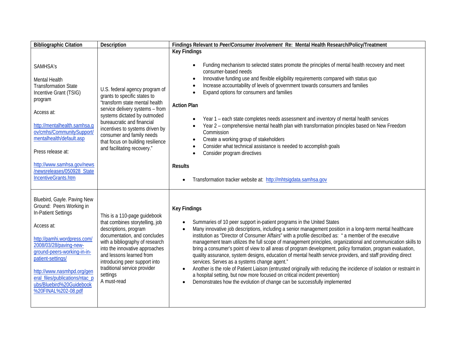| <b>Bibliographic Citation</b>                                                                                                                                                                                                                                                                                                | Description                                                                                                                                                                                                                                                                                                                           | Findings Relevant to Peer/Consumer Involvement Re: Mental Health Research/Policy/Treatment                                                                                                                                                                                                                                                                                                                                                                                                                                                                                                                                                                                                                                                                                                                                                                                                                                                                                                                       |
|------------------------------------------------------------------------------------------------------------------------------------------------------------------------------------------------------------------------------------------------------------------------------------------------------------------------------|---------------------------------------------------------------------------------------------------------------------------------------------------------------------------------------------------------------------------------------------------------------------------------------------------------------------------------------|------------------------------------------------------------------------------------------------------------------------------------------------------------------------------------------------------------------------------------------------------------------------------------------------------------------------------------------------------------------------------------------------------------------------------------------------------------------------------------------------------------------------------------------------------------------------------------------------------------------------------------------------------------------------------------------------------------------------------------------------------------------------------------------------------------------------------------------------------------------------------------------------------------------------------------------------------------------------------------------------------------------|
| SAMHSA's<br>Mental Health<br><b>Transformation State</b><br>Incentive Grant (TSIG)<br>program<br>Access at:<br>http://mentalhealth.samhsa.g<br>ov/cmhs/CommunitySupport/<br>mentalhealth/default.asp<br>Press release at:<br>http://www.samhsa.gov/news<br>newsreleases/050928 State<br>IncentiveGrants.htm                  | U.S. federal agency program of<br>grants to specific states to<br>"transform state mental health<br>service delivery systems - from<br>systems dictated by outmoded<br>bureaucratic and financial<br>incentives to systems driven by<br>consumer and family needs<br>that focus on building resilience<br>and facilitating recovery." | <b>Key Findings</b><br>Funding mechanism to selected states promote the principles of mental health recovery and meet<br>consumer-based needs<br>Innovative funding use and flexible eligibility requirements compared with status quo<br>$\bullet$<br>Increase accountability of levels of government towards consumers and families<br>Expand options for consumers and families<br><b>Action Plan</b><br>Year 1 – each state completes needs assessment and inventory of mental health services<br>Year 2 - comprehensive mental health plan with transformation principles based on New Freedom<br>Commission<br>Create a working group of stakeholders<br>$\bullet$<br>Consider what technical assistance is needed to accomplish goals<br>Consider program directives<br><b>Results</b><br>Transformation tracker website at: http://mhtsigdata.samhsa.gov                                                                                                                                                 |
| Bluebird, Gayle. Paving New<br>Ground: Peers Working in<br>In-Patient Settings<br>Access at:<br>http://pamhi.wordpress.com/<br>2008/03/28/paving-new-<br>ground-peers-working-in-in-<br>patient-settings/<br>http://www.nasmhpd.org/gen<br>eral_files/publications/ntac_p<br>ubs/Bluebird%20Guidebook<br>%20FINAL%202-08.pdf | This is a 110-page guidebook<br>that combines storytelling, job<br>descriptions, program<br>documentation, and concludes<br>with a bibliography of research<br>into the innovative approaches<br>and lessons learned from<br>introducing peer support into<br>traditional service provider<br>settings<br>A must-read                 | <b>Key Findings</b><br>Summaries of 10 peer support in-patient programs in the United States<br>Many innovative job descriptions, including a senior management position in a long-term mental healthcare<br>$\bullet$<br>institution as "Director of Consumer Affairs" with a profile described as: " a member of the executive<br>management team utilizes the full scope of management principles, organizational and communication skills to<br>bring a consumer's point of view to all areas of program development, policy formation, program evaluation,<br>quality assurance, system designs, education of mental health service providers, and staff providing direct<br>services. Serves as a systems change agent."<br>Another is the role of Patient Liaison (entrusted originally with reducing the incidence of isolation or restraint in<br>a hospital setting, but now more focused on critical incident prevention)<br>Demonstrates how the evolution of change can be successfully implemented |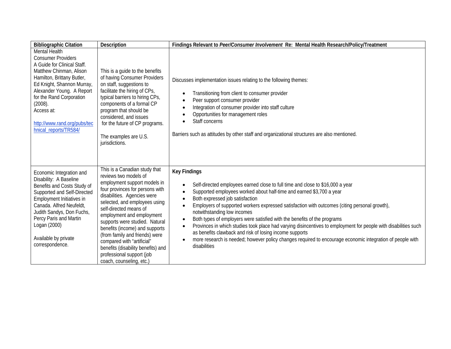| <b>Bibliographic Citation</b>                                                                                                                                                                                                                                                                               | Description                                                                                                                                                                                                                                                                                                                                                                                                                                                                         | Findings Relevant to Peer/Consumer Involvement Re: Mental Health Research/Policy/Treatment                                                                                                                                                                                                                                                                                                                                                                                                                                                                                                                                                                                                                                                           |
|-------------------------------------------------------------------------------------------------------------------------------------------------------------------------------------------------------------------------------------------------------------------------------------------------------------|-------------------------------------------------------------------------------------------------------------------------------------------------------------------------------------------------------------------------------------------------------------------------------------------------------------------------------------------------------------------------------------------------------------------------------------------------------------------------------------|------------------------------------------------------------------------------------------------------------------------------------------------------------------------------------------------------------------------------------------------------------------------------------------------------------------------------------------------------------------------------------------------------------------------------------------------------------------------------------------------------------------------------------------------------------------------------------------------------------------------------------------------------------------------------------------------------------------------------------------------------|
| Mental Health<br><b>Consumer Providers</b><br>A Guide for Clinical Staff.<br>Matthew Chinman, Alison<br>Hamilton, Brittany Butler,<br>Ed Knight, Shannon Murray,<br>Alexander Young. A Report<br>for the Rand Corporation<br>(2008).<br>Access at:<br>http://www.rand.org/pubs/tec<br>hnical_reports/TR584/ | This is a guide to the benefits<br>of having Consumer Providers<br>on staff, suggestions to<br>facilitate the hiring of CPs,<br>typical barriers to hiring CPs,<br>components of a formal CP<br>program that should be<br>considered, and issues<br>for the future of CP programs.<br>The examples are U.S.<br>jurisdictions.                                                                                                                                                       | Discusses implementation issues relating to the following themes:<br>Transitioning from client to consumer provider<br>Peer support consumer provider<br>Integration of consumer provider into staff culture<br>Opportunities for management roles<br>Staff concerns<br>Barriers such as attitudes by other staff and organizational structures are also mentioned.                                                                                                                                                                                                                                                                                                                                                                                  |
| Economic Integration and<br>Disability: A Baseline<br>Benefits and Costs Study of<br>Supported and Self-Directed<br>Employment Initiatives in<br>Canada. Alfred Neufeldt,<br>Judith Sandys, Don Fuchs,<br>Percy Paris and Martin<br>Logan (2000)<br>Available by private<br>correspondence.                 | This is a Canadian study that<br>reviews two models of<br>employment support models in<br>four provinces for persons with<br>disabilities. Agencies were<br>selected, and employees using<br>self-directed means of<br>employment and employment<br>supports were studied. Natural<br>benefits (income) and supports<br>(from family and friends) were<br>compared with "artificial"<br>benefits (disability benefits) and<br>professional support (job<br>coach, counseling, etc.) | <b>Key Findings</b><br>Self-directed employees earned close to full time and close to \$16,000 a year<br>Supported employees worked about half-time and earned \$3,700 a year<br>Both expressed job satisfaction<br>Employers of supported workers expressed satisfaction with outcomes (citing personal growth),<br>notwithstanding low incomes<br>Both types of employers were satisfied with the benefits of the programs<br>Provinces in which studies took place had varying disincentives to employment for people with disabilities such<br>as benefits clawback and risk of losing income supports<br>more research is needed; however policy changes required to encourage economic integration of people with<br>$\bullet$<br>disabilities |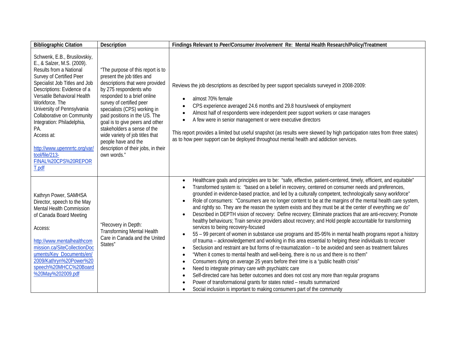| <b>Bibliographic Citation</b>                                                                                                                                                                                                                                                                                                                                                                                                        | Description                                                                                                                                                                                                                                                                                                                                                                                                                                | Findings Relevant to Peer/Consumer Involvement Re: Mental Health Research/Policy/Treatment                                                                                                                                                                                                                                                                                                                                                                                                                                                                                                                                                                                                                                                                                                                                                                                                                                                                                                                                                                                                                                                                                                                                                                                                                                                                                                                                                                                                                                                                                                                                                                                                                                                                     |
|--------------------------------------------------------------------------------------------------------------------------------------------------------------------------------------------------------------------------------------------------------------------------------------------------------------------------------------------------------------------------------------------------------------------------------------|--------------------------------------------------------------------------------------------------------------------------------------------------------------------------------------------------------------------------------------------------------------------------------------------------------------------------------------------------------------------------------------------------------------------------------------------|----------------------------------------------------------------------------------------------------------------------------------------------------------------------------------------------------------------------------------------------------------------------------------------------------------------------------------------------------------------------------------------------------------------------------------------------------------------------------------------------------------------------------------------------------------------------------------------------------------------------------------------------------------------------------------------------------------------------------------------------------------------------------------------------------------------------------------------------------------------------------------------------------------------------------------------------------------------------------------------------------------------------------------------------------------------------------------------------------------------------------------------------------------------------------------------------------------------------------------------------------------------------------------------------------------------------------------------------------------------------------------------------------------------------------------------------------------------------------------------------------------------------------------------------------------------------------------------------------------------------------------------------------------------------------------------------------------------------------------------------------------------|
| Schwenk, E.B., Brusilovskiy,<br>E., & Salzer, M.S. (2009).<br>Results from a National<br>Survey of Certified Peer<br>Specialist Job Titles and Job<br>Descriptions: Evidence of a<br>Versatile Behavioral Health<br>Workforce. The<br>University of Pennsylvania<br>Collaborative on Community<br>Integration: Philadelphia,<br>PA.<br>Access at:<br>http://www.upennrrtc.org/var/<br>tool/file/213-<br>FINAL%20CPS%20REPOR<br>T.pdf | "The purpose of this report is to<br>present the job titles and<br>descriptions that were provided<br>by 275 respondents who<br>responded to a brief online<br>survey of certified peer<br>specialists (CPS) working in<br>paid positions in the US. The<br>goal is to give peers and other<br>stakeholders a sense of the<br>wide variety of job titles that<br>people have and the<br>description of their jobs, in their<br>own words." | Reviews the job descriptions as described by peer support specialists surveyed in 2008-2009:<br>almost 70% female<br>CPS experience averaged 24.6 months and 29.8 hours/week of employment<br>Almost half of respondents were independent peer support workers or case managers<br>A few were in senior management or were executive directors<br>$\bullet$<br>This report provides a limited but useful snapshot (as results were skewed by high participation rates from three states)<br>as to how peer support can be deployed throughout mental health and addiction services.                                                                                                                                                                                                                                                                                                                                                                                                                                                                                                                                                                                                                                                                                                                                                                                                                                                                                                                                                                                                                                                                                                                                                                            |
| Kathryn Power, SAMHSA<br>Director, speech to the May<br>Mental Health Commission<br>of Canada Board Meeting<br>Access:<br>http://www.mentalhealthcom<br>mission.ca/SiteCollectionDoc<br>uments/Key_Documents/en/<br>2009/Kathryn%20Power%20<br>speech%20MHCC%20Board<br>%20May%202009.pdf                                                                                                                                            | "Recovery in Depth:<br><b>Transforming Mental Health</b><br>Care in Canada and the United<br>States"                                                                                                                                                                                                                                                                                                                                       | Healthcare goals and principles are to be: "safe, effective, patient-centered, timely, efficient, and equitable"<br>$\bullet$<br>Transformed system is: "based on a belief in recovery, centered on consumer needs and preferences,<br>grounded in evidence-based practice, and led by a culturally competent, technologically savvy workforce"<br>Role of consumers: "Consumers are no longer content to be at the margins of the mental health care system,<br>$\bullet$<br>and rightly so. They are the reason the system exists and they must be at the center of everything we do"<br>Described in DEPTH vision of recovery: Define recovery; Eliminate practices that are anti-recovery; Promote<br>$\bullet$<br>healthy behaviours; Train service providers about recovery; and Hold people accountable for transforming<br>services to being recovery-focused<br>55 - 99 percent of women in substance use programs and 85-95% in mental health programs report a history<br>$\bullet$<br>of trauma - acknowledgement and working in this area essential to helping these individuals to recover<br>Seclusion and restraint are but forms of re-traumatization – to be avoided and seen as treatment failures<br>$\bullet$<br>"When it comes to mental health and well-being, there is no us and there is no them"<br>$\bullet$<br>Consumers dying on average 25 years before their time is a "public health crisis"<br>$\bullet$<br>Need to integrate primary care with psychiatric care<br>$\bullet$<br>Self-directed care has better outcomes and does not cost any more than regular programs<br>Power of transformational grants for states noted - results summarized<br>Social inclusion is important to making consumers part of the community |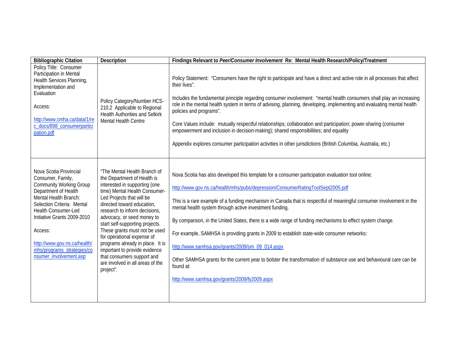| <b>Bibliographic Citation</b>                                                                                                                                                                                                                                                                                         | Description                                                                                                                                                                                                                                                                                                                                                                                                                                                                                                   | Findings Relevant to Peer/Consumer Involvement Re: Mental Health Research/Policy/Treatment                                                                                                                                                                                                                                                                                                                                                                                                                                                                                                                                                                                                                                                                                                                                 |
|-----------------------------------------------------------------------------------------------------------------------------------------------------------------------------------------------------------------------------------------------------------------------------------------------------------------------|---------------------------------------------------------------------------------------------------------------------------------------------------------------------------------------------------------------------------------------------------------------------------------------------------------------------------------------------------------------------------------------------------------------------------------------------------------------------------------------------------------------|----------------------------------------------------------------------------------------------------------------------------------------------------------------------------------------------------------------------------------------------------------------------------------------------------------------------------------------------------------------------------------------------------------------------------------------------------------------------------------------------------------------------------------------------------------------------------------------------------------------------------------------------------------------------------------------------------------------------------------------------------------------------------------------------------------------------------|
| Policy Title: Consumer<br>Participation in Mental<br>Health Services Planning,<br>Implementation and<br>Evaluation<br>Access:<br>http://www.cmha.ca/data/1/re<br>c_docs/898_consumerpartici<br>pation.pdf                                                                                                             | Policy Category/Number HCS-<br>210.2 Applicable to Regional<br><b>Health Authorities and Selkirk</b><br>Mental Health Centre                                                                                                                                                                                                                                                                                                                                                                                  | Policy Statement: "Consumers have the right to participate and have a direct and active role in all processes that affect<br>their lives".<br>Includes the fundamental principle regarding consumer involvement: "mental health consumers shall play an increasing<br>role in the mental health system in terms of advising, planning, developing, implementing and evaluating mental health<br>policies and programs".<br>Core Values include: mutually respectful relationships; collaboration and participation; power-sharing (consumer<br>empowerment and inclusion in decision-making); shared responsibilities; and equality<br>Appendix explores consumer participation activities in other jurisdictions (British Columbia, Australia, etc.)                                                                      |
| Nova Scotia Provincial<br>Consumer, Family,<br><b>Community Working Group</b><br>Department of Health<br>Mental Health Branch:<br>Selection Criteria: Mental<br>Health Consumer-Led<br>Initiative Grants 2009-2010<br>Access:<br>http://www.gov.ns.ca/health/<br>mhs/programs_strategies/co<br>nsumer_involvement.asp | "The Mental Health Branch of<br>the Department of Health is<br>interested in supporting (one<br>time) Mental Health Consumer-<br>Led Projects that will be<br>directed toward education,<br>research to inform decisions,<br>advocacy, or seed money to<br>start self-supporting projects.<br>These grants must not be used<br>for operational expense of<br>programs already in place. It is<br>important to provide evidence<br>that consumers support and<br>are involved in all areas of the<br>project". | Nova Scotia has also developed this template for a consumer participation evaluation tool online:<br>http://www.gov.ns.ca/health/mhs/pubs/depression/ConsumerRatingToolSept2005.pdf<br>This is a rare example of a funding mechanism in Canada that is respectful of meaningful consumer involvement in the<br>mental health system through active investment funding.<br>By comparison, in the United States, there is a wide range of funding mechanisms to effect system change.<br>For example, SAMHSA is providing grants in 2009 to establish state-wide consumer networks:<br>http://www.samhsa.gov/grants/2009/sm_09_014.aspx<br>Other SAMHSA grants for the current year to bolster the transformation of substance use and behavioural care can be<br>found at:<br>http://www.samhsa.gov/grants/2009/fy2009.aspx |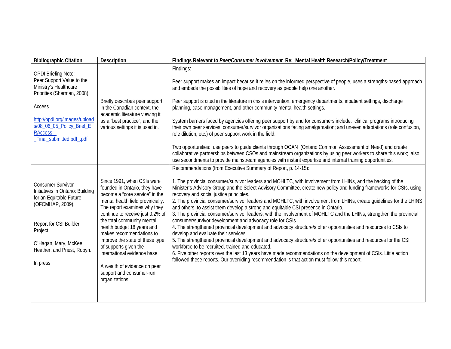| <b>Bibliographic Citation</b>                                                                                                                                                                                                    | <b>Description</b>                                                                                                                                                                                                                                                                                                                                                                                                                                                       | Findings Relevant to Peer/Consumer Involvement Re: Mental Health Research/Policy/Treatment                                                                                                                                                                                                                                                                                                                                                                                                                                                                                                                                                                                                                                                                                                                                                                                                                                                                                                                                                                                                                                                                                                                                                   |
|----------------------------------------------------------------------------------------------------------------------------------------------------------------------------------------------------------------------------------|--------------------------------------------------------------------------------------------------------------------------------------------------------------------------------------------------------------------------------------------------------------------------------------------------------------------------------------------------------------------------------------------------------------------------------------------------------------------------|----------------------------------------------------------------------------------------------------------------------------------------------------------------------------------------------------------------------------------------------------------------------------------------------------------------------------------------------------------------------------------------------------------------------------------------------------------------------------------------------------------------------------------------------------------------------------------------------------------------------------------------------------------------------------------------------------------------------------------------------------------------------------------------------------------------------------------------------------------------------------------------------------------------------------------------------------------------------------------------------------------------------------------------------------------------------------------------------------------------------------------------------------------------------------------------------------------------------------------------------|
| <b>OPDI Briefing Note:</b><br>Peer Support Value to the<br>Ministry's Healthcare<br>Priorities (Sherman, 2008).<br>Access<br>http://opdi.org/images/upload<br>s/08_06_05_Policy_Brief_E<br>RAccess_-<br>Final_submitted.pdf_.pdf | Briefly describes peer support<br>in the Canadian context, the<br>academic literature viewing it<br>as a "best practice", and the<br>various settings it is used in.                                                                                                                                                                                                                                                                                                     | Findings:<br>Peer support makes an impact because it relies on the informed perspective of people, uses a strengths-based approach<br>and embeds the possibilities of hope and recovery as people help one another.<br>Peer support is cited in the literature in crisis intervention, emergency departments, inpatient settings, discharge<br>planning, case management, and other community mental health settings.<br>System barriers faced by agencies offering peer support by and for consumers include: clinical programs introducing<br>their own peer services; consumer/survivor organizations facing amalgamation; and uneven adaptations (role confusion,<br>role dilution, etc.) of peer support work in the field.<br>Two opportunities: use peers to guide clients through OCAN (Ontario Common Assessment of Need) and create<br>collaborative partnerships between CSOs and mainstream organizations by using peer workers to share this work; also<br>use secondments to provide mainstream agencies with instant expertise and internal training opportunities.                                                                                                                                                           |
|                                                                                                                                                                                                                                  |                                                                                                                                                                                                                                                                                                                                                                                                                                                                          | Recommendations (from Executive Summary of Report, p. 14-15):                                                                                                                                                                                                                                                                                                                                                                                                                                                                                                                                                                                                                                                                                                                                                                                                                                                                                                                                                                                                                                                                                                                                                                                |
| <b>Consumer Survivor</b><br>Initiatives in Ontario: Building<br>for an Equitable Future<br>(OFCMHAP, 2009).<br>Report for CSI Builder<br>Project<br>O'Hagan, Mary, McKee,<br>Heather, and Priest, Robyn.<br>In press             | Since 1991, when CSIs were<br>founded in Ontario, they have<br>become a "core service" in the<br>mental health field provincially.<br>The report examines why they<br>continue to receive just 0.2% of<br>the total community mental<br>health budget 18 years and<br>makes recommendations to<br>improve the state of these type<br>of supports given the<br>international evidence base.<br>A wealth of evidence on peer<br>support and consumer-run<br>organizations. | 1. The provincial consumer/survivor leaders and MOHLTC, with involvement from LHINs, and the backing of the<br>Minister's Advisory Group and the Select Advisory Committee, create new policy and funding frameworks for CSIs, using<br>recovery and social justice principles.<br>2. The provincial consumer/survivor leaders and MOHLTC, with involvement from LHINs, create guidelines for the LHINS<br>and others, to assist them develop a strong and equitable CSI presence in Ontario.<br>3. The provincial consumer/survivor leaders, with the involvement of MOHLTC and the LHINs, strengthen the provincial<br>consumer/survivor development and advocacy role for CSIs.<br>4. The strengthened provincial development and advocacy structure/s offer opportunities and resources to CSIs to<br>develop and evaluate their services.<br>5. The strengthened provincial development and advocacy structure/s offer opportunities and resources for the CSI<br>workforce to be recruited, trained and educated.<br>6. Five other reports over the last 13 years have made recommendations on the development of CSIs. Little action<br>followed these reports. Our overriding recommendation is that action must follow this report. |